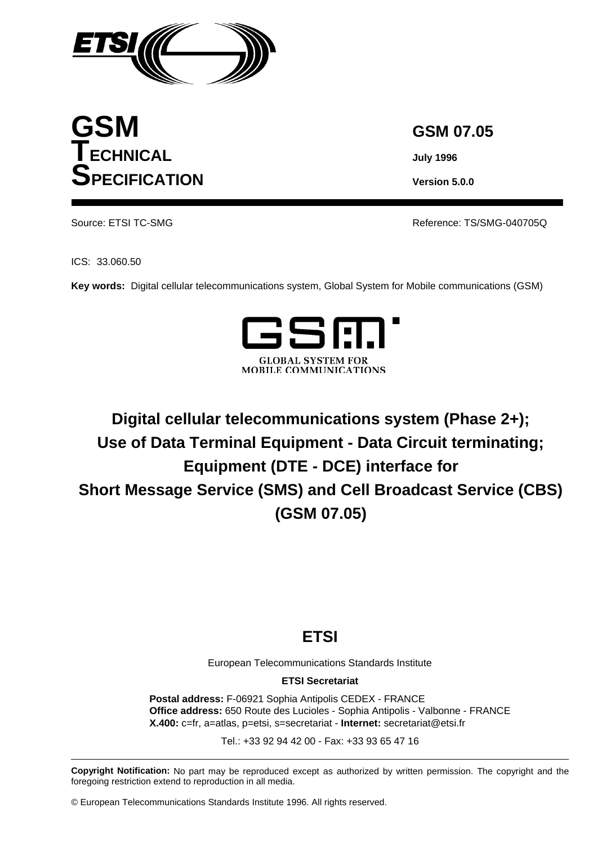

# **GSM GSM 07.05 TECHNICAL** July 1996 **SPECIFICATION Version 5.0.0**

Source: ETSI TC-SMG Reference: TS/SMG-040705Q

ICS: 33.060.50

**Key words:** Digital cellular telecommunications system, Global System for Mobile communications (GSM)



## **Digital cellular telecommunications system (Phase 2+); Use of Data Terminal Equipment - Data Circuit terminating; Equipment (DTE - DCE) interface for Short Message Service (SMS) and Cell Broadcast Service (CBS) (GSM 07.05)**

## **ETSI**

European Telecommunications Standards Institute

## **ETSI Secretariat**

**Postal address:** F-06921 Sophia Antipolis CEDEX - FRANCE **Office address:** 650 Route des Lucioles - Sophia Antipolis - Valbonne - FRANCE **X.400:** c=fr, a=atlas, p=etsi, s=secretariat - **Internet:** secretariat@etsi.fr

Tel.: +33 92 94 42 00 - Fax: +33 93 65 47 16

**Copyright Notification:** No part may be reproduced except as authorized by written permission. The copyright and the foregoing restriction extend to reproduction in all media.

© European Telecommunications Standards Institute 1996. All rights reserved.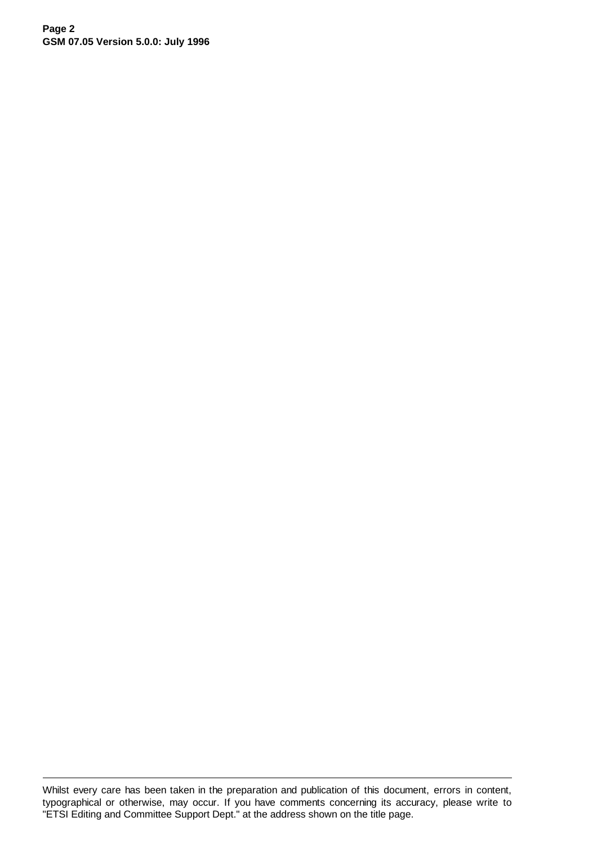**Page 2 GSM 07.05 Version 5.0.0: July 1996**

Whilst every care has been taken in the preparation and publication of this document, errors in content, typographical or otherwise, may occur. If you have comments concerning its accuracy, please write to "ETSI Editing and Committee Support Dept." at the address shown on the title page.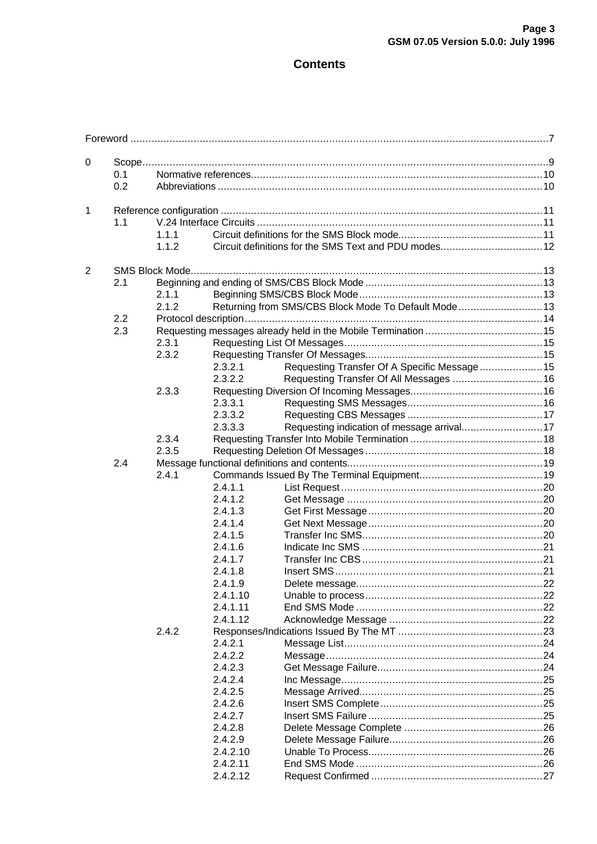## **Contents**

| 0            |     |       |                    |                                                     |  |  |  |
|--------------|-----|-------|--------------------|-----------------------------------------------------|--|--|--|
|              | 0.1 |       |                    |                                                     |  |  |  |
|              | 0.2 |       |                    |                                                     |  |  |  |
|              |     |       |                    |                                                     |  |  |  |
| $\mathbf{1}$ |     |       |                    |                                                     |  |  |  |
|              | 1.1 |       |                    |                                                     |  |  |  |
|              |     | 1.1.1 |                    |                                                     |  |  |  |
|              |     | 1.1.2 |                    |                                                     |  |  |  |
| 2            |     |       |                    |                                                     |  |  |  |
|              | 2.1 |       |                    |                                                     |  |  |  |
|              |     | 2.1.1 |                    |                                                     |  |  |  |
|              |     | 2.1.2 |                    | Returning from SMS/CBS Block Mode To Default Mode13 |  |  |  |
|              | 2.2 |       |                    |                                                     |  |  |  |
|              | 2.3 |       |                    |                                                     |  |  |  |
|              |     | 2.3.1 |                    |                                                     |  |  |  |
|              |     | 2.3.2 |                    |                                                     |  |  |  |
|              |     |       | 2.3.2.1            | Requesting Transfer Of A Specific Message15         |  |  |  |
|              |     |       | 2.3.2.2            |                                                     |  |  |  |
|              |     | 2.3.3 |                    |                                                     |  |  |  |
|              |     |       | 2.3.3.1            |                                                     |  |  |  |
|              |     |       | 2.3.3.2            |                                                     |  |  |  |
|              |     |       | 2.3.3.3            | Requesting indication of message arrival17          |  |  |  |
|              |     | 2.3.4 |                    |                                                     |  |  |  |
|              |     | 2.3.5 |                    |                                                     |  |  |  |
|              | 2.4 |       |                    |                                                     |  |  |  |
|              |     | 2.4.1 |                    |                                                     |  |  |  |
|              |     |       | 2.4.1.1            |                                                     |  |  |  |
|              |     |       | 2.4.1.2            |                                                     |  |  |  |
|              |     |       | 2.4.1.3            |                                                     |  |  |  |
|              |     |       | 2.4.1.4            |                                                     |  |  |  |
|              |     |       | 2.4.1.5            |                                                     |  |  |  |
|              |     |       | 2.4.1.6            |                                                     |  |  |  |
|              |     |       | 2.4.1.7            |                                                     |  |  |  |
|              |     |       | 2.4.1.8            |                                                     |  |  |  |
|              |     |       | 2.4.1.9            |                                                     |  |  |  |
|              |     |       | 2.4.1.10           |                                                     |  |  |  |
|              |     |       | 2.4.1.11           |                                                     |  |  |  |
|              |     |       | 2.4.1.12           |                                                     |  |  |  |
|              |     | 2.4.2 |                    |                                                     |  |  |  |
|              |     |       | 2.4.2.1            |                                                     |  |  |  |
|              |     |       | 2.4.2.2            |                                                     |  |  |  |
|              |     |       | 2.4.2.3            |                                                     |  |  |  |
|              |     |       | 2.4.2.4            |                                                     |  |  |  |
|              |     |       | 2.4.2.5            |                                                     |  |  |  |
|              |     |       | 2.4.2.6<br>2.4.2.7 |                                                     |  |  |  |
|              |     |       | 2.4.2.8            |                                                     |  |  |  |
|              |     |       | 2.4.2.9            |                                                     |  |  |  |
|              |     |       | 2.4.2.10           |                                                     |  |  |  |
|              |     |       | 2.4.2.11           |                                                     |  |  |  |
|              |     |       | 2.4.2.12           |                                                     |  |  |  |
|              |     |       |                    |                                                     |  |  |  |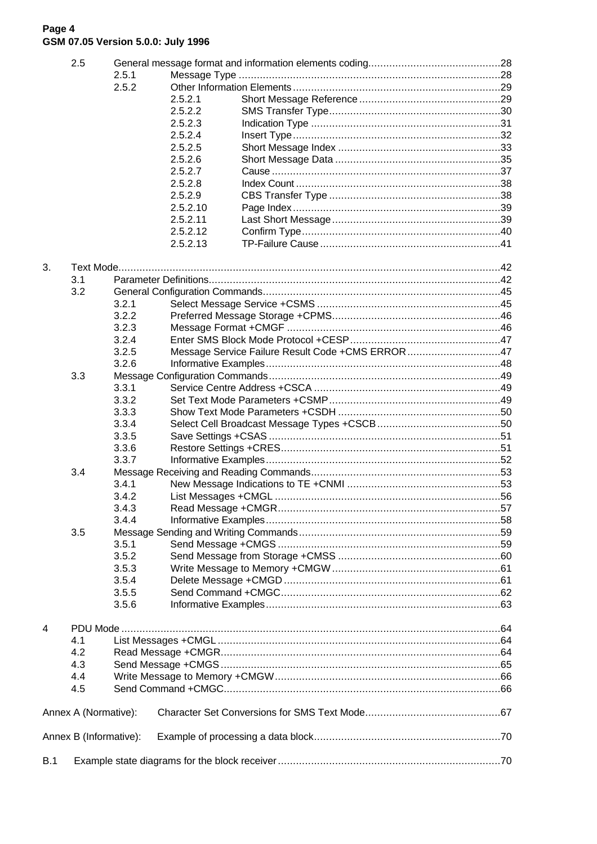## Page 4 GSM 07.05 Version 5.0.0: July 1996

|     | 2.5                    |       |          |                                                  |  |  |
|-----|------------------------|-------|----------|--------------------------------------------------|--|--|
|     |                        | 2.5.1 |          |                                                  |  |  |
|     |                        | 2.5.2 |          |                                                  |  |  |
|     |                        |       | 2.5.2.1  |                                                  |  |  |
|     |                        |       | 2.5.2.2  |                                                  |  |  |
|     |                        |       | 2.5.2.3  |                                                  |  |  |
|     |                        |       | 2.5.2.4  |                                                  |  |  |
|     |                        |       | 2.5.2.5  |                                                  |  |  |
|     |                        |       | 2.5.2.6  |                                                  |  |  |
|     |                        |       | 2.5.2.7  |                                                  |  |  |
|     |                        |       | 2.5.2.8  |                                                  |  |  |
|     |                        |       | 2.5.2.9  |                                                  |  |  |
|     |                        |       |          |                                                  |  |  |
|     |                        |       | 2.5.2.10 |                                                  |  |  |
|     |                        |       | 2.5.2.11 |                                                  |  |  |
|     |                        |       | 2.5.2.12 |                                                  |  |  |
|     |                        |       | 2.5.2.13 |                                                  |  |  |
| 3.  |                        |       |          |                                                  |  |  |
|     | 3.1                    |       |          |                                                  |  |  |
|     |                        |       |          |                                                  |  |  |
|     | 3.2                    |       |          |                                                  |  |  |
|     |                        | 3.2.1 |          |                                                  |  |  |
|     |                        | 3.2.2 |          |                                                  |  |  |
|     |                        | 3.2.3 |          |                                                  |  |  |
|     |                        | 3.2.4 |          |                                                  |  |  |
|     |                        | 3.2.5 |          | Message Service Failure Result Code +CMS ERROR47 |  |  |
|     |                        | 3.2.6 |          |                                                  |  |  |
|     | 3.3                    |       |          |                                                  |  |  |
|     |                        | 3.3.1 |          |                                                  |  |  |
|     |                        | 3.3.2 |          |                                                  |  |  |
|     |                        | 3.3.3 |          |                                                  |  |  |
|     |                        | 3.3.4 |          |                                                  |  |  |
|     |                        | 3.3.5 |          |                                                  |  |  |
|     |                        | 3.3.6 |          |                                                  |  |  |
|     |                        |       |          |                                                  |  |  |
|     |                        | 3.3.7 |          |                                                  |  |  |
|     | 3.4                    |       |          |                                                  |  |  |
|     |                        | 3.4.1 |          |                                                  |  |  |
|     |                        | 3.4.2 |          |                                                  |  |  |
|     |                        | 3.4.3 |          |                                                  |  |  |
|     |                        | 3.4.4 |          |                                                  |  |  |
|     | 3.5                    |       |          |                                                  |  |  |
|     |                        | 3.5.1 |          |                                                  |  |  |
|     |                        | 3.5.2 |          |                                                  |  |  |
|     |                        | 3.5.3 |          |                                                  |  |  |
|     |                        | 3.5.4 |          |                                                  |  |  |
|     |                        | 3.5.5 |          |                                                  |  |  |
|     |                        | 3.5.6 |          |                                                  |  |  |
|     |                        |       |          |                                                  |  |  |
| 4   |                        |       |          |                                                  |  |  |
|     | 4.1                    |       |          |                                                  |  |  |
|     | 4.2                    |       |          |                                                  |  |  |
|     | 4.3                    |       |          |                                                  |  |  |
|     | 4.4                    |       |          |                                                  |  |  |
|     | 4.5                    |       |          |                                                  |  |  |
|     |                        |       |          |                                                  |  |  |
|     | Annex A (Normative):   |       |          |                                                  |  |  |
|     | Annex B (Informative): |       |          |                                                  |  |  |
| B.1 |                        |       |          |                                                  |  |  |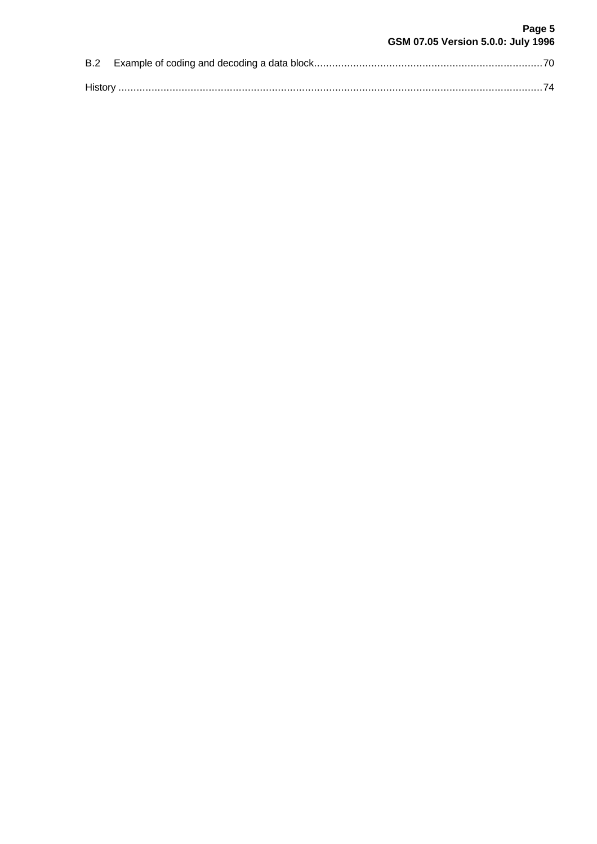## Page 5 GSM 07.05 Version 5.0.0: July 1996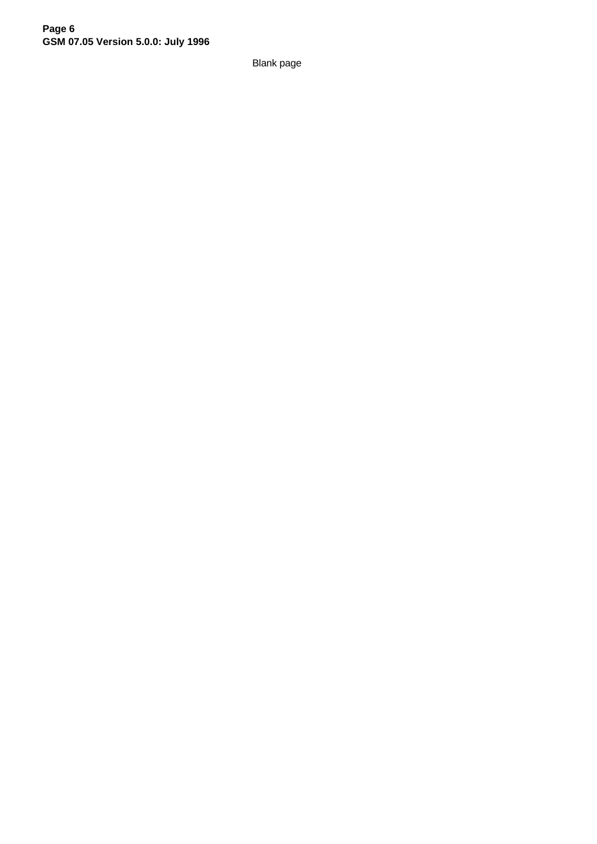Blank page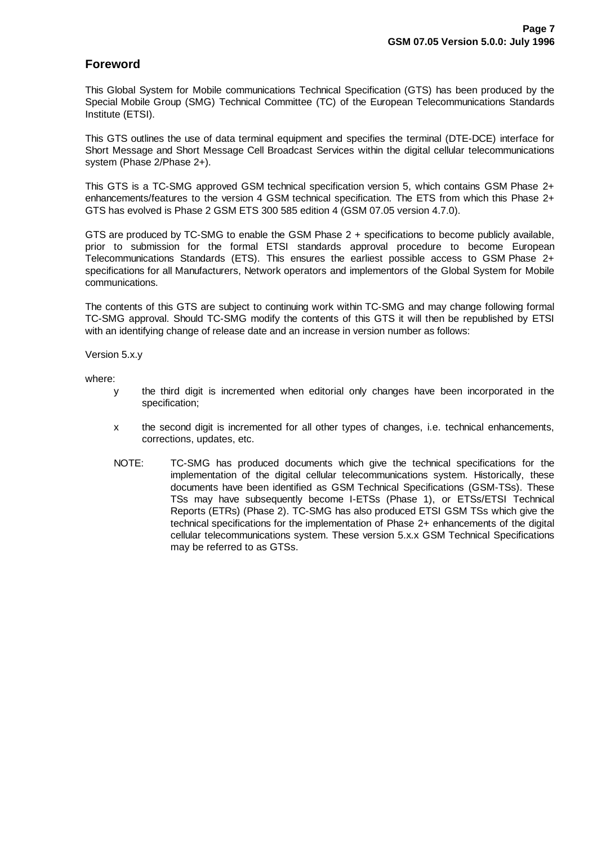## **Foreword**

This Global System for Mobile communications Technical Specification (GTS) has been produced by the Special Mobile Group (SMG) Technical Committee (TC) of the European Telecommunications Standards Institute (ETSI).

This GTS outlines the use of data terminal equipment and specifies the terminal (DTE-DCE) interface for Short Message and Short Message Cell Broadcast Services within the digital cellular telecommunications system (Phase 2/Phase 2+).

This GTS is a TC-SMG approved GSM technical specification version 5, which contains GSM Phase 2+ enhancements/features to the version 4 GSM technical specification. The ETS from which this Phase 2+ GTS has evolved is Phase 2 GSM ETS 300 585 edition 4 (GSM 07.05 version 4.7.0).

GTS are produced by TC-SMG to enable the GSM Phase 2 + specifications to become publicly available, prior to submission for the formal ETSI standards approval procedure to become European Telecommunications Standards (ETS). This ensures the earliest possible access to GSM Phase 2+ specifications for all Manufacturers, Network operators and implementors of the Global System for Mobile communications.

The contents of this GTS are subject to continuing work within TC-SMG and may change following formal TC-SMG approval. Should TC-SMG modify the contents of this GTS it will then be republished by ETSI with an identifying change of release date and an increase in version number as follows:

Version 5.x.y

where:

- y the third digit is incremented when editorial only changes have been incorporated in the specification;
- x the second digit is incremented for all other types of changes, i.e. technical enhancements, corrections, updates, etc.
- NOTE: TC-SMG has produced documents which give the technical specifications for the implementation of the digital cellular telecommunications system. Historically, these documents have been identified as GSM Technical Specifications (GSM-TSs). These TSs may have subsequently become I-ETSs (Phase 1), or ETSs/ETSI Technical Reports (ETRs) (Phase 2). TC-SMG has also produced ETSI GSM TSs which give the technical specifications for the implementation of Phase 2+ enhancements of the digital cellular telecommunications system. These version 5.x.x GSM Technical Specifications may be referred to as GTSs.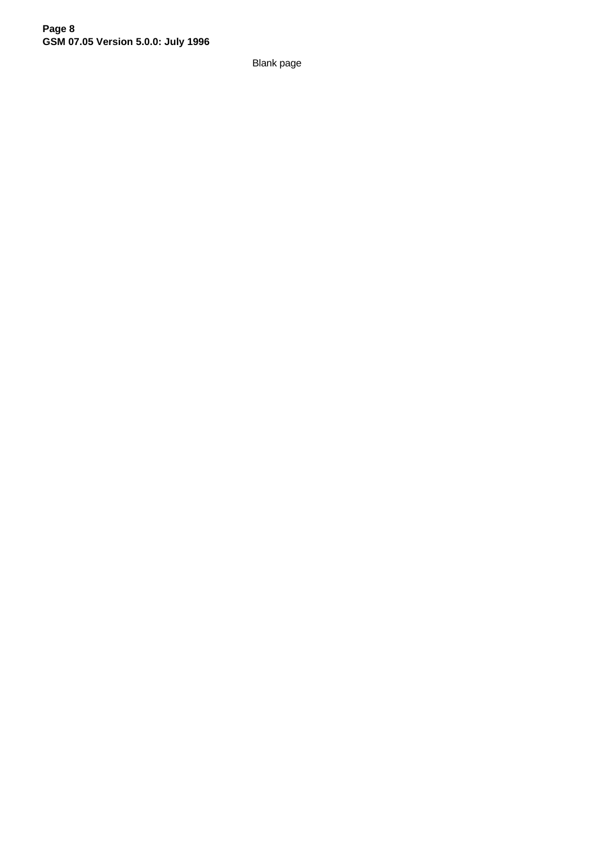Blank page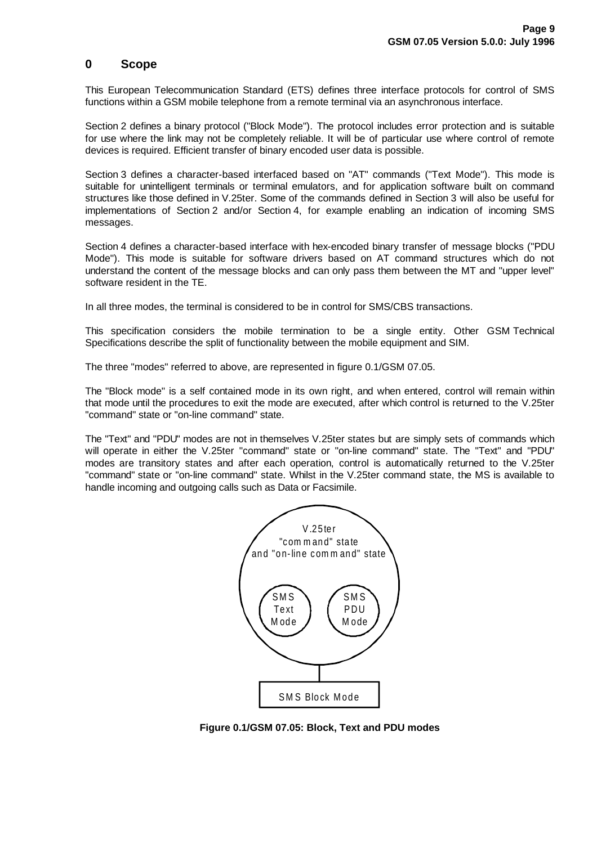## **0 Scope**

This European Telecommunication Standard (ETS) defines three interface protocols for control of SMS functions within a GSM mobile telephone from a remote terminal via an asynchronous interface.

Section 2 defines a binary protocol ("Block Mode"). The protocol includes error protection and is suitable for use where the link may not be completely reliable. It will be of particular use where control of remote devices is required. Efficient transfer of binary encoded user data is possible.

Section 3 defines a character-based interfaced based on "AT" commands ("Text Mode"). This mode is suitable for unintelligent terminals or terminal emulators, and for application software built on command structures like those defined in V.25ter. Some of the commands defined in Section 3 will also be useful for implementations of Section 2 and/or Section 4, for example enabling an indication of incoming SMS messages.

Section 4 defines a character-based interface with hex-encoded binary transfer of message blocks ("PDU Mode"). This mode is suitable for software drivers based on AT command structures which do not understand the content of the message blocks and can only pass them between the MT and "upper level" software resident in the TE.

In all three modes, the terminal is considered to be in control for SMS/CBS transactions.

This specification considers the mobile termination to be a single entity. Other GSM Technical Specifications describe the split of functionality between the mobile equipment and SIM.

The three "modes" referred to above, are represented in figure 0.1/GSM 07.05.

The "Block mode" is a self contained mode in its own right, and when entered, control will remain within that mode until the procedures to exit the mode are executed, after which control is returned to the V.25ter "command" state or "on-line command" state.

The "Text" and "PDU" modes are not in themselves V.25ter states but are simply sets of commands which will operate in either the V.25ter "command" state or "on-line command" state. The "Text" and "PDU" modes are transitory states and after each operation, control is automatically returned to the V.25ter "command" state or "on-line command" state. Whilst in the V.25ter command state, the MS is available to handle incoming and outgoing calls such as Data or Facsimile.



**Figure 0.1/GSM 07.05: Block, Text and PDU modes**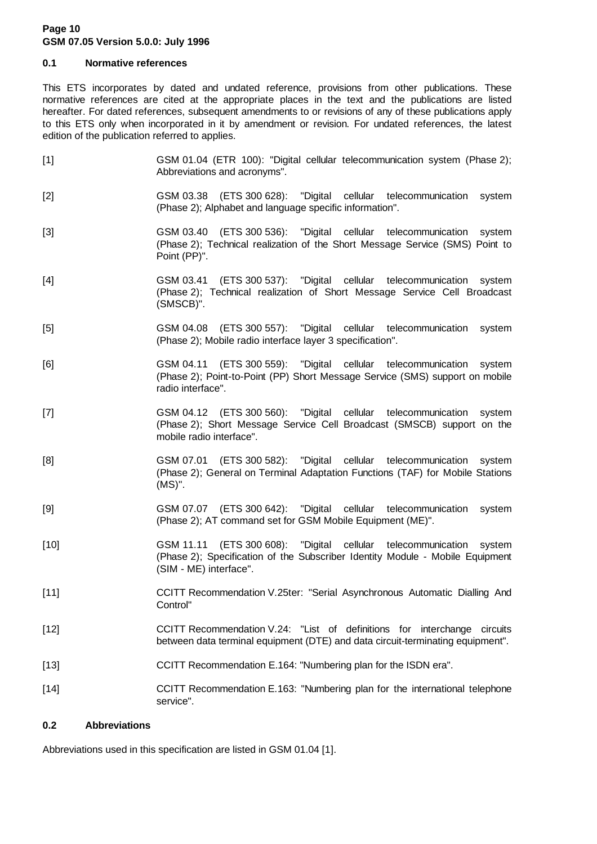## **Page 10 GSM 07.05 Version 5.0.0: July 1996**

#### **0.1 Normative references**

This ETS incorporates by dated and undated reference, provisions from other publications. These normative references are cited at the appropriate places in the text and the publications are listed hereafter. For dated references, subsequent amendments to or revisions of any of these publications apply to this ETS only when incorporated in it by amendment or revision. For undated references, the latest edition of the publication referred to applies.

- [1] GSM 01.04 (ETR 100): "Digital cellular telecommunication system (Phase 2); Abbreviations and acronyms".
- [2] GSM 03.38 (ETS 300 628): "Digital cellular telecommunication system (Phase 2); Alphabet and language specific information".
- [3] GSM 03.40 (ETS 300 536): "Digital cellular telecommunication system (Phase 2); Technical realization of the Short Message Service (SMS) Point to Point (PP)".
- [4] GSM 03.41 (ETS 300 537): "Digital cellular telecommunication system (Phase 2); Technical realization of Short Message Service Cell Broadcast (SMSCB)".
- [5] GSM 04.08 (ETS 300 557): "Digital cellular telecommunication system (Phase 2); Mobile radio interface layer 3 specification".
- [6] GSM 04.11 (ETS 300 559): "Digital cellular telecommunication system (Phase 2); Point-to-Point (PP) Short Message Service (SMS) support on mobile radio interface".
- [7] GSM 04.12 (ETS 300 560): "Digital cellular telecommunication system (Phase 2); Short Message Service Cell Broadcast (SMSCB) support on the mobile radio interface".
- [8] GSM 07.01 (ETS 300 582): "Digital cellular telecommunication system (Phase 2); General on Terminal Adaptation Functions (TAF) for Mobile Stations (MS)".
- [9] GSM 07.07 (ETS 300 642): "Digital cellular telecommunication system (Phase 2); AT command set for GSM Mobile Equipment (ME)".
- [10] GSM 11.11 (ETS 300 608): "Digital cellular telecommunication system (Phase 2); Specification of the Subscriber Identity Module - Mobile Equipment (SIM - ME) interface".
- [11] CCITT Recommendation V.25ter: "Serial Asynchronous Automatic Dialling And Control"
- [12] CCITT Recommendation V.24: "List of definitions for interchange circuits between data terminal equipment (DTE) and data circuit-terminating equipment".
- [13] CCITT Recommendation E.164: "Numbering plan for the ISDN era".
- [14] CCITT Recommendation E.163: "Numbering plan for the international telephone service".

### **0.2 Abbreviations**

Abbreviations used in this specification are listed in GSM 01.04 [1].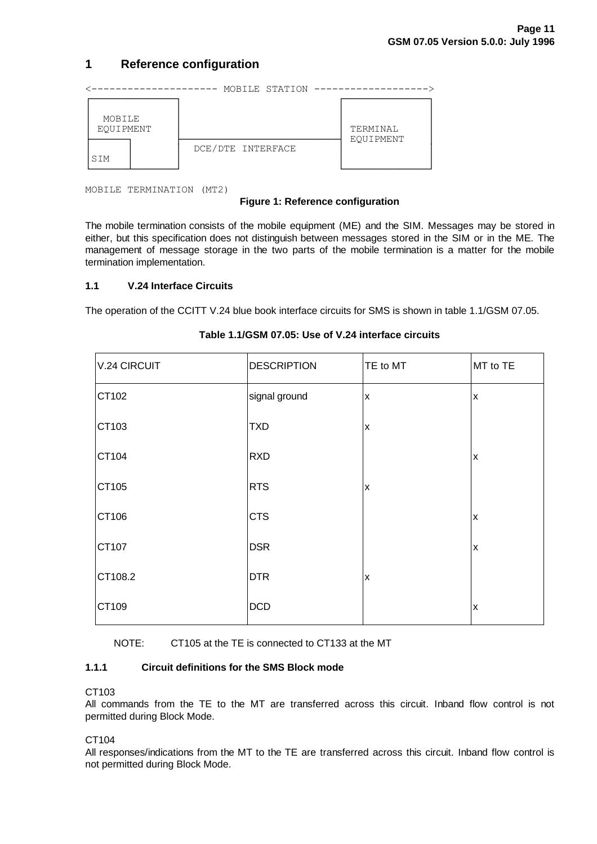## **1 Reference configuration**

| ----------------- | MC.<br>ـ∟ ۱<br>___ | .<br>١N٠<br>$\sim$ | ----------------- |  |
|-------------------|--------------------|--------------------|-------------------|--|
|-------------------|--------------------|--------------------|-------------------|--|

| MOBILE<br>EQUIPMENT |                   | TERMINAL<br>EQUIPMENT |
|---------------------|-------------------|-----------------------|
| SIM                 | DCE/DTE INTERFACE |                       |

#### MOBILE TERMINATION (MT2)

## **Figure 1: Reference configuration**

The mobile termination consists of the mobile equipment (ME) and the SIM. Messages may be stored in either, but this specification does not distinguish between messages stored in the SIM or in the ME. The management of message storage in the two parts of the mobile termination is a matter for the mobile termination implementation.

#### **1.1 V.24 Interface Circuits**

The operation of the CCITT V.24 blue book interface circuits for SMS is shown in table 1.1/GSM 07.05.

| V.24 CIRCUIT | <b>DESCRIPTION</b> | TE to MT | MT to TE |
|--------------|--------------------|----------|----------|
| CT102        | signal ground      | x        | X        |
| CT103        | <b>TXD</b>         | X        |          |
| CT104        | <b>RXD</b>         |          | X        |
| CT105        | <b>RTS</b>         | ΙX       |          |
| CT106        | <b>CTS</b>         |          | X        |
| CT107        | <b>DSR</b>         |          | X        |
| CT108.2      | <b>DTR</b>         | X        |          |
| CT109        | <b>DCD</b>         |          | Ιx       |

### **Table 1.1/GSM 07.05: Use of V.24 interface circuits**

NOTE: CT105 at the TE is connected to CT133 at the MT

## **1.1.1 Circuit definitions for the SMS Block mode**

#### CT103

All commands from the TE to the MT are transferred across this circuit. Inband flow control is not permitted during Block Mode.

## CT104

All responses/indications from the MT to the TE are transferred across this circuit. Inband flow control is not permitted during Block Mode.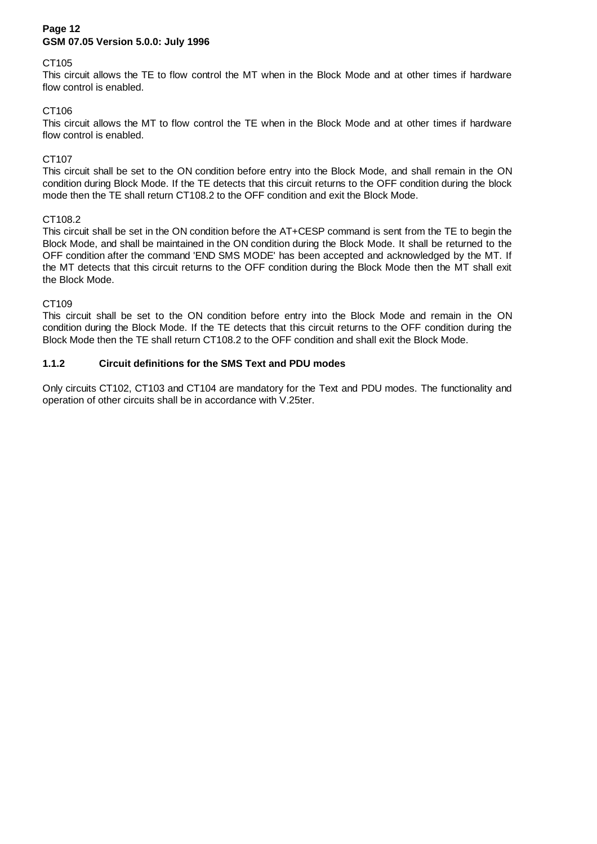## **Page 12 GSM 07.05 Version 5.0.0: July 1996**

#### CT105

This circuit allows the TE to flow control the MT when in the Block Mode and at other times if hardware flow control is enabled.

### CT106

This circuit allows the MT to flow control the TE when in the Block Mode and at other times if hardware flow control is enabled.

## CT107

This circuit shall be set to the ON condition before entry into the Block Mode, and shall remain in the ON condition during Block Mode. If the TE detects that this circuit returns to the OFF condition during the block mode then the TE shall return CT108.2 to the OFF condition and exit the Block Mode.

## CT108.2

This circuit shall be set in the ON condition before the AT+CESP command is sent from the TE to begin the Block Mode, and shall be maintained in the ON condition during the Block Mode. It shall be returned to the OFF condition after the command 'END SMS MODE' has been accepted and acknowledged by the MT. If the MT detects that this circuit returns to the OFF condition during the Block Mode then the MT shall exit the Block Mode.

### CT<sub>109</sub>

This circuit shall be set to the ON condition before entry into the Block Mode and remain in the ON condition during the Block Mode. If the TE detects that this circuit returns to the OFF condition during the Block Mode then the TE shall return CT108.2 to the OFF condition and shall exit the Block Mode.

### **1.1.2 Circuit definitions for the SMS Text and PDU modes**

Only circuits CT102, CT103 and CT104 are mandatory for the Text and PDU modes. The functionality and operation of other circuits shall be in accordance with V.25ter.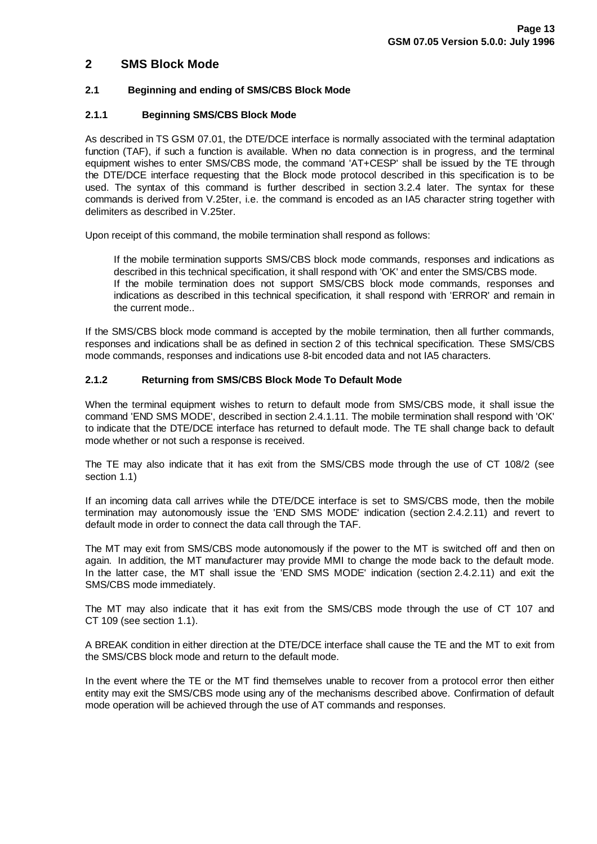## **2 SMS Block Mode**

### **2.1 Beginning and ending of SMS/CBS Block Mode**

#### **2.1.1 Beginning SMS/CBS Block Mode**

As described in TS GSM 07.01, the DTE/DCE interface is normally associated with the terminal adaptation function (TAF), if such a function is available. When no data connection is in progress, and the terminal equipment wishes to enter SMS/CBS mode, the command 'AT+CESP' shall be issued by the TE through the DTE/DCE interface requesting that the Block mode protocol described in this specification is to be used. The syntax of this command is further described in section 3.2.4 later. The syntax for these commands is derived from V.25ter, i.e. the command is encoded as an IA5 character string together with delimiters as described in V.25ter.

Upon receipt of this command, the mobile termination shall respond as follows:

If the mobile termination supports SMS/CBS block mode commands, responses and indications as described in this technical specification, it shall respond with 'OK' and enter the SMS/CBS mode. If the mobile termination does not support SMS/CBS block mode commands, responses and indications as described in this technical specification, it shall respond with 'ERROR' and remain in the current mode..

If the SMS/CBS block mode command is accepted by the mobile termination, then all further commands, responses and indications shall be as defined in section 2 of this technical specification. These SMS/CBS mode commands, responses and indications use 8-bit encoded data and not IA5 characters.

#### **2.1.2 Returning from SMS/CBS Block Mode To Default Mode**

When the terminal equipment wishes to return to default mode from SMS/CBS mode, it shall issue the command 'END SMS MODE', described in section 2.4.1.11. The mobile termination shall respond with 'OK' to indicate that the DTE/DCE interface has returned to default mode. The TE shall change back to default mode whether or not such a response is received.

The TE may also indicate that it has exit from the SMS/CBS mode through the use of CT 108/2 (see section 1.1)

If an incoming data call arrives while the DTE/DCE interface is set to SMS/CBS mode, then the mobile termination may autonomously issue the 'END SMS MODE' indication (section 2.4.2.11) and revert to default mode in order to connect the data call through the TAF.

The MT may exit from SMS/CBS mode autonomously if the power to the MT is switched off and then on again. In addition, the MT manufacturer may provide MMI to change the mode back to the default mode. In the latter case, the MT shall issue the 'END SMS MODE' indication (section 2.4.2.11) and exit the SMS/CBS mode immediately.

The MT may also indicate that it has exit from the SMS/CBS mode through the use of CT 107 and CT 109 (see section 1.1).

A BREAK condition in either direction at the DTE/DCE interface shall cause the TE and the MT to exit from the SMS/CBS block mode and return to the default mode.

In the event where the TE or the MT find themselves unable to recover from a protocol error then either entity may exit the SMS/CBS mode using any of the mechanisms described above. Confirmation of default mode operation will be achieved through the use of AT commands and responses.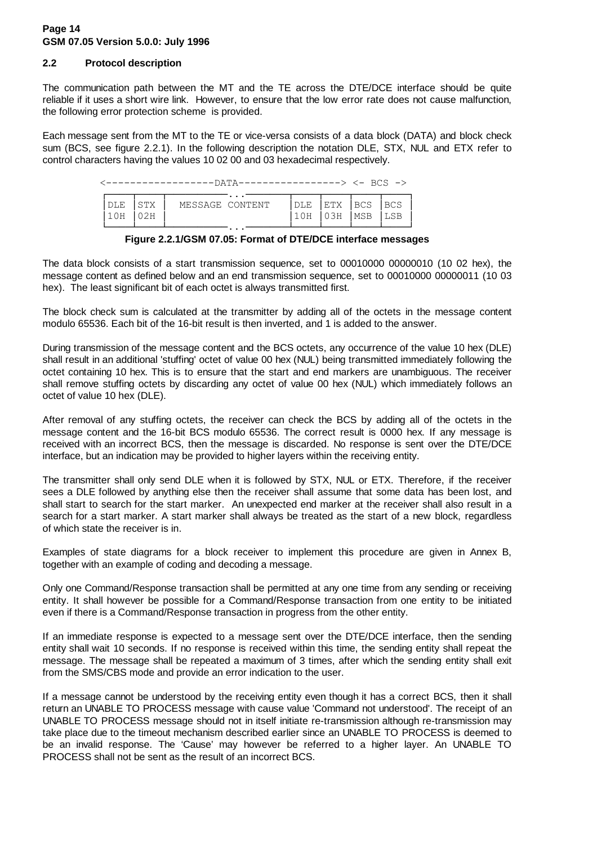## **Page 14 GSM 07.05 Version 5.0.0: July 1996**

### **2.2 Protocol description**

The communication path between the MT and the TE across the DTE/DCE interface should be quite reliable if it uses a short wire link. However, to ensure that the low error rate does not cause malfunction, the following error protection scheme is provided.

Each message sent from the MT to the TE or vice-versa consists of a data block (DATA) and block check sum (BCS, see figure 2.2.1). In the following description the notation DLE, STX, NUL and ETX refer to control characters having the values 10 02 00 and 03 hexadecimal respectively.

| DLE STX<br>MESSAGE CONTENT | DLE   ETX   BCS   BCS       |  |  |
|----------------------------|-----------------------------|--|--|
| 10H   02H                  | $10H$ $03H$ $MSB$ $LSB$ $I$ |  |  |

## **Figure 2.2.1/GSM 07.05: Format of DTE/DCE interface messages**

The data block consists of a start transmission sequence, set to 00010000 00000010 (10 02 hex), the message content as defined below and an end transmission sequence, set to 00010000 00000011 (10 03 hex). The least significant bit of each octet is always transmitted first.

The block check sum is calculated at the transmitter by adding all of the octets in the message content modulo 65536. Each bit of the 16-bit result is then inverted, and 1 is added to the answer.

During transmission of the message content and the BCS octets, any occurrence of the value 10 hex (DLE) shall result in an additional 'stuffing' octet of value 00 hex (NUL) being transmitted immediately following the octet containing 10 hex. This is to ensure that the start and end markers are unambiguous. The receiver shall remove stuffing octets by discarding any octet of value 00 hex (NUL) which immediately follows an octet of value 10 hex (DLE).

After removal of any stuffing octets, the receiver can check the BCS by adding all of the octets in the message content and the 16-bit BCS modulo 65536. The correct result is 0000 hex. If any message is received with an incorrect BCS, then the message is discarded. No response is sent over the DTE/DCE interface, but an indication may be provided to higher layers within the receiving entity.

The transmitter shall only send DLE when it is followed by STX, NUL or ETX. Therefore, if the receiver sees a DLE followed by anything else then the receiver shall assume that some data has been lost, and shall start to search for the start marker. An unexpected end marker at the receiver shall also result in a search for a start marker. A start marker shall always be treated as the start of a new block, regardless of which state the receiver is in.

Examples of state diagrams for a block receiver to implement this procedure are given in Annex B, together with an example of coding and decoding a message.

Only one Command/Response transaction shall be permitted at any one time from any sending or receiving entity. It shall however be possible for a Command/Response transaction from one entity to be initiated even if there is a Command/Response transaction in progress from the other entity.

If an immediate response is expected to a message sent over the DTE/DCE interface, then the sending entity shall wait 10 seconds. If no response is received within this time, the sending entity shall repeat the message. The message shall be repeated a maximum of 3 times, after which the sending entity shall exit from the SMS/CBS mode and provide an error indication to the user.

If a message cannot be understood by the receiving entity even though it has a correct BCS, then it shall return an UNABLE TO PROCESS message with cause value 'Command not understood'. The receipt of an UNABLE TO PROCESS message should not in itself initiate re-transmission although re-transmission may take place due to the timeout mechanism described earlier since an UNABLE TO PROCESS is deemed to be an invalid response. The 'Cause' may however be referred to a higher layer. An UNABLE TO PROCESS shall not be sent as the result of an incorrect BCS.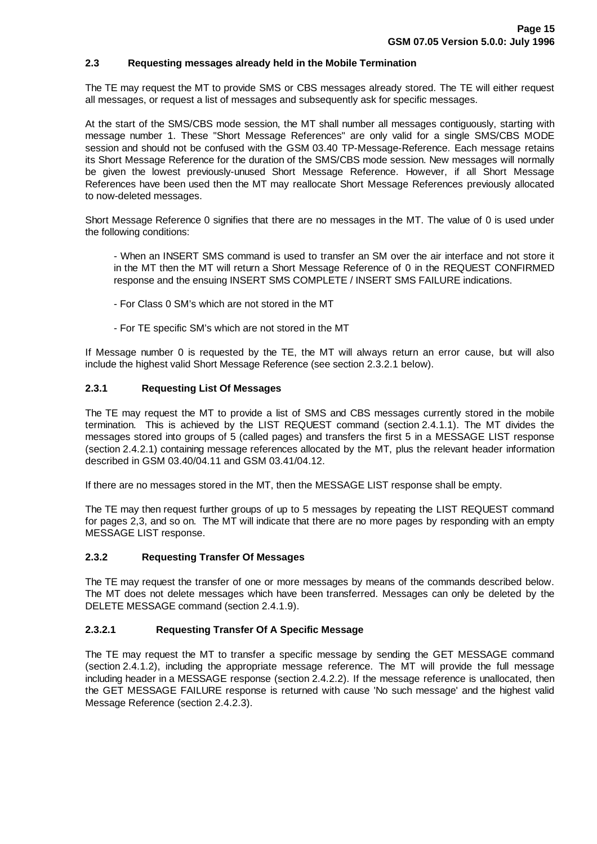#### **2.3 Requesting messages already held in the Mobile Termination**

The TE may request the MT to provide SMS or CBS messages already stored. The TE will either request all messages, or request a list of messages and subsequently ask for specific messages.

At the start of the SMS/CBS mode session, the MT shall number all messages contiguously, starting with message number 1. These "Short Message References" are only valid for a single SMS/CBS MODE session and should not be confused with the GSM 03.40 TP-Message-Reference. Each message retains its Short Message Reference for the duration of the SMS/CBS mode session. New messages will normally be given the lowest previously-unused Short Message Reference. However, if all Short Message References have been used then the MT may reallocate Short Message References previously allocated to now-deleted messages.

Short Message Reference 0 signifies that there are no messages in the MT. The value of 0 is used under the following conditions:

- When an INSERT SMS command is used to transfer an SM over the air interface and not store it in the MT then the MT will return a Short Message Reference of 0 in the REQUEST CONFIRMED response and the ensuing INSERT SMS COMPLETE / INSERT SMS FAILURE indications.

- For Class 0 SM's which are not stored in the MT
- For TE specific SM's which are not stored in the MT

If Message number 0 is requested by the TE, the MT will always return an error cause, but will also include the highest valid Short Message Reference (see section 2.3.2.1 below).

#### **2.3.1 Requesting List Of Messages**

The TE may request the MT to provide a list of SMS and CBS messages currently stored in the mobile termination. This is achieved by the LIST REQUEST command (section 2.4.1.1). The MT divides the messages stored into groups of 5 (called pages) and transfers the first 5 in a MESSAGE LIST response (section 2.4.2.1) containing message references allocated by the MT, plus the relevant header information described in GSM 03.40/04.11 and GSM 03.41/04.12.

If there are no messages stored in the MT, then the MESSAGE LIST response shall be empty.

The TE may then request further groups of up to 5 messages by repeating the LIST REQUEST command for pages 2,3, and so on. The MT will indicate that there are no more pages by responding with an empty MESSAGE LIST response.

#### **2.3.2 Requesting Transfer Of Messages**

The TE may request the transfer of one or more messages by means of the commands described below. The MT does not delete messages which have been transferred. Messages can only be deleted by the DELETE MESSAGE command (section 2.4.1.9).

### **2.3.2.1 Requesting Transfer Of A Specific Message**

The TE may request the MT to transfer a specific message by sending the GET MESSAGE command (section 2.4.1.2), including the appropriate message reference. The MT will provide the full message including header in a MESSAGE response (section 2.4.2.2). If the message reference is unallocated, then the GET MESSAGE FAILURE response is returned with cause 'No such message' and the highest valid Message Reference (section 2.4.2.3).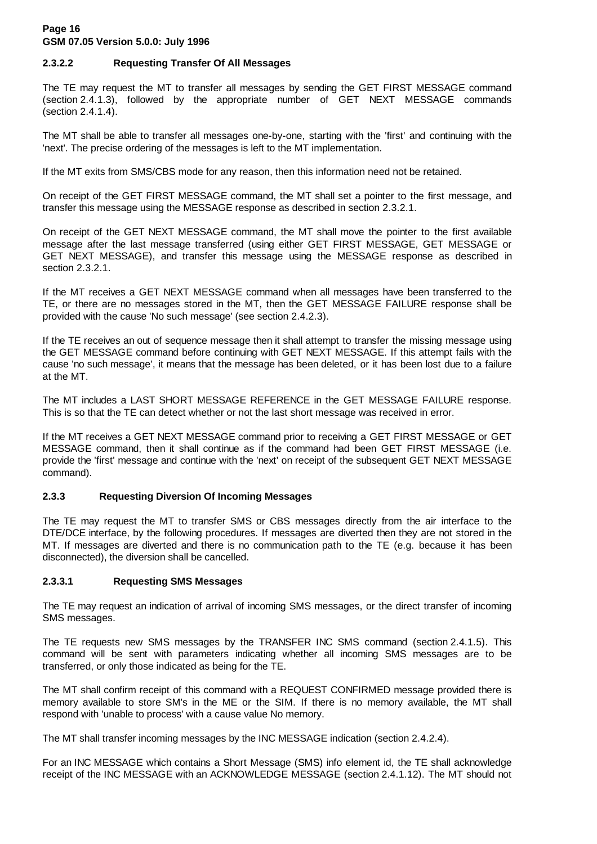## **Page 16 GSM 07.05 Version 5.0.0: July 1996**

### **2.3.2.2 Requesting Transfer Of All Messages**

The TE may request the MT to transfer all messages by sending the GET FIRST MESSAGE command (section 2.4.1.3), followed by the appropriate number of GET NEXT MESSAGE commands (section 2.4.1.4).

The MT shall be able to transfer all messages one-by-one, starting with the 'first' and continuing with the 'next'. The precise ordering of the messages is left to the MT implementation.

If the MT exits from SMS/CBS mode for any reason, then this information need not be retained.

On receipt of the GET FIRST MESSAGE command, the MT shall set a pointer to the first message, and transfer this message using the MESSAGE response as described in section 2.3.2.1.

On receipt of the GET NEXT MESSAGE command, the MT shall move the pointer to the first available message after the last message transferred (using either GET FIRST MESSAGE, GET MESSAGE or GET NEXT MESSAGE), and transfer this message using the MESSAGE response as described in section 2.3.2.1.

If the MT receives a GET NEXT MESSAGE command when all messages have been transferred to the TE, or there are no messages stored in the MT, then the GET MESSAGE FAILURE response shall be provided with the cause 'No such message' (see section 2.4.2.3).

If the TE receives an out of sequence message then it shall attempt to transfer the missing message using the GET MESSAGE command before continuing with GET NEXT MESSAGE. If this attempt fails with the cause 'no such message', it means that the message has been deleted, or it has been lost due to a failure at the MT.

The MT includes a LAST SHORT MESSAGE REFERENCE in the GET MESSAGE FAILURE response. This is so that the TE can detect whether or not the last short message was received in error.

If the MT receives a GET NEXT MESSAGE command prior to receiving a GET FIRST MESSAGE or GET MESSAGE command, then it shall continue as if the command had been GET FIRST MESSAGE (i.e. provide the 'first' message and continue with the 'next' on receipt of the subsequent GET NEXT MESSAGE command).

### **2.3.3 Requesting Diversion Of Incoming Messages**

The TE may request the MT to transfer SMS or CBS messages directly from the air interface to the DTE/DCE interface, by the following procedures. If messages are diverted then they are not stored in the MT. If messages are diverted and there is no communication path to the TE (e.g. because it has been disconnected), the diversion shall be cancelled.

## **2.3.3.1 Requesting SMS Messages**

The TE may request an indication of arrival of incoming SMS messages, or the direct transfer of incoming SMS messages.

The TE requests new SMS messages by the TRANSFER INC SMS command (section 2.4.1.5). This command will be sent with parameters indicating whether all incoming SMS messages are to be transferred, or only those indicated as being for the TE.

The MT shall confirm receipt of this command with a REQUEST CONFIRMED message provided there is memory available to store SM's in the ME or the SIM. If there is no memory available, the MT shall respond with 'unable to process' with a cause value No memory.

The MT shall transfer incoming messages by the INC MESSAGE indication (section 2.4.2.4).

For an INC MESSAGE which contains a Short Message (SMS) info element id, the TE shall acknowledge receipt of the INC MESSAGE with an ACKNOWLEDGE MESSAGE (section 2.4.1.12). The MT should not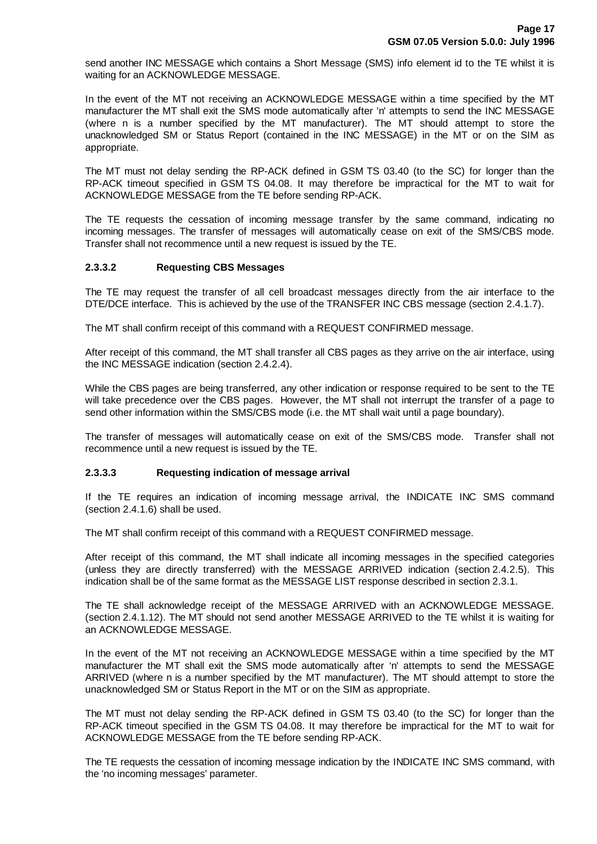send another INC MESSAGE which contains a Short Message (SMS) info element id to the TE whilst it is waiting for an ACKNOWLEDGE MESSAGE.

In the event of the MT not receiving an ACKNOWLEDGE MESSAGE within a time specified by the MT manufacturer the MT shall exit the SMS mode automatically after 'n' attempts to send the INC MESSAGE (where n is a number specified by the MT manufacturer). The MT should attempt to store the unacknowledged SM or Status Report (contained in the INC MESSAGE) in the MT or on the SIM as appropriate.

The MT must not delay sending the RP-ACK defined in GSM TS 03.40 (to the SC) for longer than the RP-ACK timeout specified in GSM TS 04.08. It may therefore be impractical for the MT to wait for ACKNOWLEDGE MESSAGE from the TE before sending RP-ACK.

The TE requests the cessation of incoming message transfer by the same command, indicating no incoming messages. The transfer of messages will automatically cease on exit of the SMS/CBS mode. Transfer shall not recommence until a new request is issued by the TE.

### **2.3.3.2 Requesting CBS Messages**

The TE may request the transfer of all cell broadcast messages directly from the air interface to the DTE/DCE interface. This is achieved by the use of the TRANSFER INC CBS message (section 2.4.1.7).

The MT shall confirm receipt of this command with a REQUEST CONFIRMED message.

After receipt of this command, the MT shall transfer all CBS pages as they arrive on the air interface, using the INC MESSAGE indication (section 2.4.2.4).

While the CBS pages are being transferred, any other indication or response required to be sent to the TE will take precedence over the CBS pages. However, the MT shall not interrupt the transfer of a page to send other information within the SMS/CBS mode (i.e. the MT shall wait until a page boundary).

The transfer of messages will automatically cease on exit of the SMS/CBS mode. Transfer shall not recommence until a new request is issued by the TE.

### **2.3.3.3 Requesting indication of message arrival**

If the TE requires an indication of incoming message arrival, the INDICATE INC SMS command (section 2.4.1.6) shall be used.

The MT shall confirm receipt of this command with a REQUEST CONFIRMED message.

After receipt of this command, the MT shall indicate all incoming messages in the specified categories (unless they are directly transferred) with the MESSAGE ARRIVED indication (section 2.4.2.5). This indication shall be of the same format as the MESSAGE LIST response described in section 2.3.1.

The TE shall acknowledge receipt of the MESSAGE ARRIVED with an ACKNOWLEDGE MESSAGE. (section 2.4.1.12). The MT should not send another MESSAGE ARRIVED to the TE whilst it is waiting for an ACKNOWLEDGE MESSAGE.

In the event of the MT not receiving an ACKNOWLEDGE MESSAGE within a time specified by the MT manufacturer the MT shall exit the SMS mode automatically after 'n' attempts to send the MESSAGE ARRIVED (where n is a number specified by the MT manufacturer). The MT should attempt to store the unacknowledged SM or Status Report in the MT or on the SIM as appropriate.

The MT must not delay sending the RP-ACK defined in GSM TS 03.40 (to the SC) for longer than the RP-ACK timeout specified in the GSM TS 04.08. It may therefore be impractical for the MT to wait for ACKNOWLEDGE MESSAGE from the TE before sending RP-ACK.

The TE requests the cessation of incoming message indication by the INDICATE INC SMS command, with the 'no incoming messages' parameter.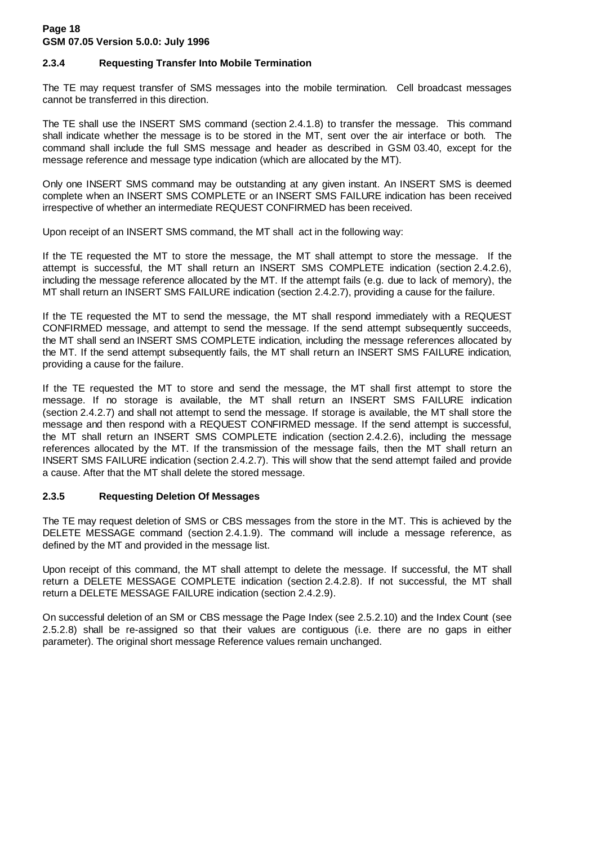## **Page 18 GSM 07.05 Version 5.0.0: July 1996**

## **2.3.4 Requesting Transfer Into Mobile Termination**

The TE may request transfer of SMS messages into the mobile termination. Cell broadcast messages cannot be transferred in this direction.

The TE shall use the INSERT SMS command (section 2.4.1.8) to transfer the message. This command shall indicate whether the message is to be stored in the MT, sent over the air interface or both. The command shall include the full SMS message and header as described in GSM 03.40, except for the message reference and message type indication (which are allocated by the MT).

Only one INSERT SMS command may be outstanding at any given instant. An INSERT SMS is deemed complete when an INSERT SMS COMPLETE or an INSERT SMS FAILURE indication has been received irrespective of whether an intermediate REQUEST CONFIRMED has been received.

Upon receipt of an INSERT SMS command, the MT shall act in the following way:

If the TE requested the MT to store the message, the MT shall attempt to store the message. If the attempt is successful, the MT shall return an INSERT SMS COMPLETE indication (section 2.4.2.6), including the message reference allocated by the MT. If the attempt fails (e.g. due to lack of memory), the MT shall return an INSERT SMS FAILURE indication (section 2.4.2.7), providing a cause for the failure.

If the TE requested the MT to send the message, the MT shall respond immediately with a REQUEST CONFIRMED message, and attempt to send the message. If the send attempt subsequently succeeds, the MT shall send an INSERT SMS COMPLETE indication, including the message references allocated by the MT. If the send attempt subsequently fails, the MT shall return an INSERT SMS FAILURE indication, providing a cause for the failure.

If the TE requested the MT to store and send the message, the MT shall first attempt to store the message. If no storage is available, the MT shall return an INSERT SMS FAILURE indication (section 2.4.2.7) and shall not attempt to send the message. If storage is available, the MT shall store the message and then respond with a REQUEST CONFIRMED message. If the send attempt is successful, the MT shall return an INSERT SMS COMPLETE indication (section 2.4.2.6), including the message references allocated by the MT. If the transmission of the message fails, then the MT shall return an INSERT SMS FAILURE indication (section 2.4.2.7). This will show that the send attempt failed and provide a cause. After that the MT shall delete the stored message.

### **2.3.5 Requesting Deletion Of Messages**

The TE may request deletion of SMS or CBS messages from the store in the MT. This is achieved by the DELETE MESSAGE command (section 2.4.1.9). The command will include a message reference, as defined by the MT and provided in the message list.

Upon receipt of this command, the MT shall attempt to delete the message. If successful, the MT shall return a DELETE MESSAGE COMPLETE indication (section 2.4.2.8). If not successful, the MT shall return a DELETE MESSAGE FAILURE indication (section 2.4.2.9).

On successful deletion of an SM or CBS message the Page Index (see 2.5.2.10) and the Index Count (see 2.5.2.8) shall be re-assigned so that their values are contiguous (i.e. there are no gaps in either parameter). The original short message Reference values remain unchanged.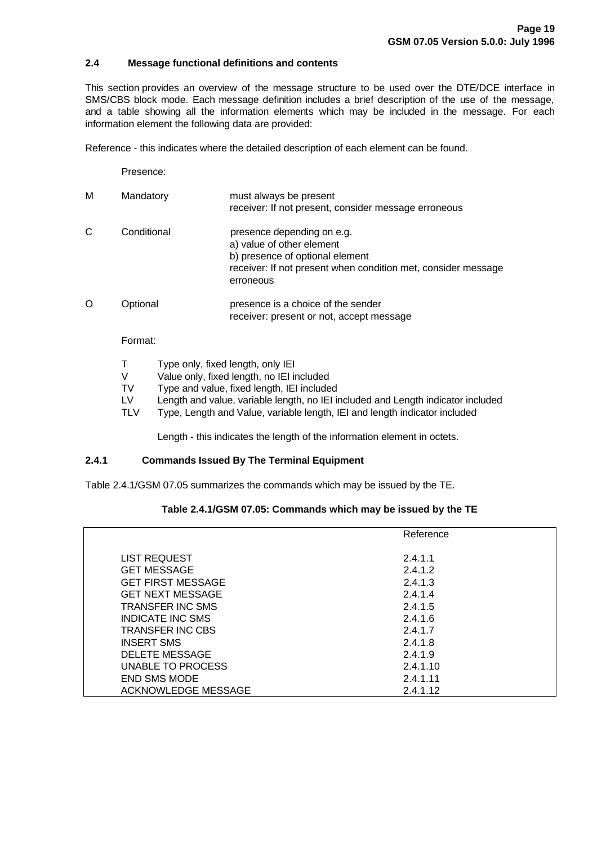#### **2.4 Message functional definitions and contents**

This section provides an overview of the message structure to be used over the DTE/DCE interface in SMS/CBS block mode. Each message definition includes a brief description of the use of the message, and a table showing all the information elements which may be included in the message. For each information element the following data are provided:

Reference - this indicates where the detailed description of each element can be found.

Presence:

| м | Mandatory   | must always be present<br>receiver: If not present, consider message erroneous                                                                                           |
|---|-------------|--------------------------------------------------------------------------------------------------------------------------------------------------------------------------|
| C | Conditional | presence depending on e.g.<br>a) value of other element<br>b) presence of optional element<br>receiver: If not present when condition met, consider message<br>erroneous |
| ∩ | Optional    | presence is a choice of the sender<br>receiver: present or not, accept message                                                                                           |

Format:

|  | Type only, fixed length, only IEI |  |
|--|-----------------------------------|--|
|  |                                   |  |
|  |                                   |  |

- V Value only, fixed length, no IEI included
- TV Type and value, fixed length, IEI included
- LV Length and value, variable length, no IEI included and Length indicator included<br>TLV Type. Length and Value. variable length. IEI and length indicator included
- Type, Length and Value, variable length, IEI and length indicator included

Length - this indicates the length of the information element in octets.

## **2.4.1 Commands Issued By The Terminal Equipment**

Table 2.4.1/GSM 07.05 summarizes the commands which may be issued by the TE.

#### **Table 2.4.1/GSM 07.05: Commands which may be issued by the TE**

|                          | Reference |  |
|--------------------------|-----------|--|
|                          |           |  |
| <b>LIST REQUEST</b>      | 2.4.1.1   |  |
| <b>GET MESSAGE</b>       | 2.4.1.2   |  |
| <b>GET FIRST MESSAGE</b> | 2.4.1.3   |  |
| <b>GET NEXT MESSAGE</b>  | 2.4.1.4   |  |
| <b>TRANSFER INC SMS</b>  | 2.4.1.5   |  |
| <b>INDICATE INC SMS</b>  | 2.4.1.6   |  |
| <b>TRANSFER INC CBS</b>  | 2.4.1.7   |  |
| <b>INSERT SMS</b>        | 2.4.1.8   |  |
| <b>DELETE MESSAGE</b>    | 2.4.1.9   |  |
| UNABLE TO PROCESS        | 2.4.1.10  |  |
| <b>END SMS MODE</b>      | 2.4.1.11  |  |
| ACKNOWLEDGE MESSAGE      | 2.4.1.12  |  |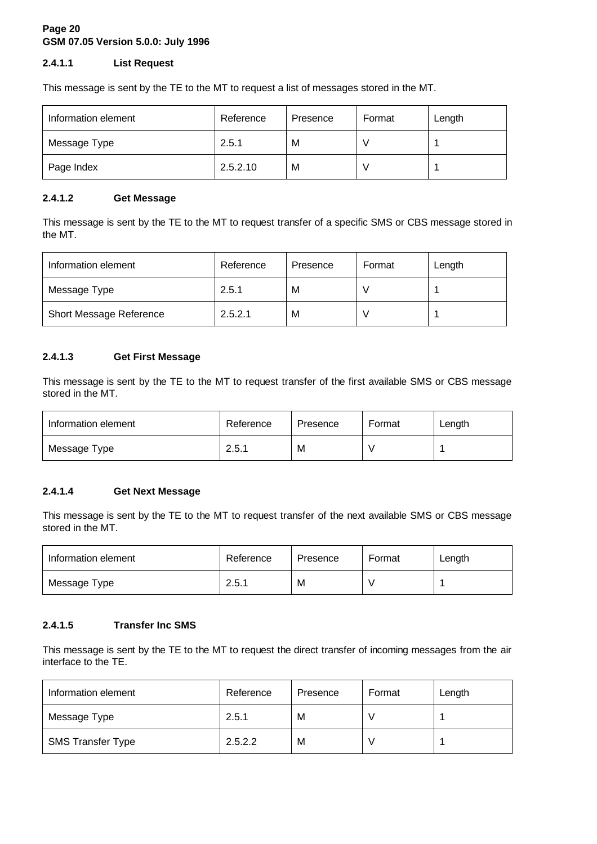## **Page 20 GSM 07.05 Version 5.0.0: July 1996**

## **2.4.1.1 List Request**

This message is sent by the TE to the MT to request a list of messages stored in the MT.

| Information element | Reference | Presence | Format | Length |
|---------------------|-----------|----------|--------|--------|
| Message Type        | 2.5.1     | M        |        |        |
| Page Index          | 2.5.2.10  | M        |        |        |

## **2.4.1.2 Get Message**

This message is sent by the TE to the MT to request transfer of a specific SMS or CBS message stored in the MT.

| Information element     | Reference | Presence | Format | Length |
|-------------------------|-----------|----------|--------|--------|
| Message Type            | 2.5.1     | M        |        |        |
| Short Message Reference | 2.5.2.1   | M        |        |        |

## **2.4.1.3 Get First Message**

This message is sent by the TE to the MT to request transfer of the first available SMS or CBS message stored in the MT.

| Information element | Reference | Presence | Format | Length |
|---------------------|-----------|----------|--------|--------|
| Message Type        | 2.5.1     | М        |        |        |

## **2.4.1.4 Get Next Message**

This message is sent by the TE to the MT to request transfer of the next available SMS or CBS message stored in the MT.

| Information element | Reference | Presence | Format | Length |
|---------------------|-----------|----------|--------|--------|
| Message Type        | 2.5.1     | M        |        |        |

## **2.4.1.5 Transfer Inc SMS**

This message is sent by the TE to the MT to request the direct transfer of incoming messages from the air interface to the TE.

| Information element      | Reference | Presence | Format | Length |
|--------------------------|-----------|----------|--------|--------|
| Message Type             | 2.5.1     | M        |        |        |
| <b>SMS Transfer Type</b> | 2.5.2.2   | M        |        |        |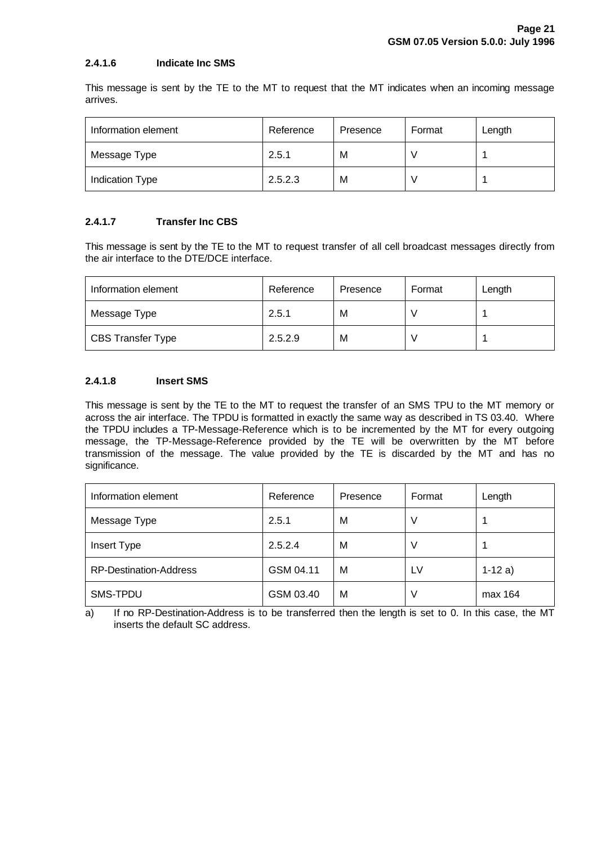#### **2.4.1.6 Indicate Inc SMS**

This message is sent by the TE to the MT to request that the MT indicates when an incoming message arrives.

| Information element | Reference | Presence | Format | Length |
|---------------------|-----------|----------|--------|--------|
| Message Type        | 2.5.1     | M        |        |        |
| Indication Type     | 2.5.2.3   | M        |        |        |

### **2.4.1.7 Transfer Inc CBS**

This message is sent by the TE to the MT to request transfer of all cell broadcast messages directly from the air interface to the DTE/DCE interface.

| Information element      | Reference | Presence | Format | Length |
|--------------------------|-----------|----------|--------|--------|
| Message Type             | 2.5.1     | М        |        |        |
| <b>CBS Transfer Type</b> | 2.5.2.9   | M        |        |        |

## **2.4.1.8 Insert SMS**

This message is sent by the TE to the MT to request the transfer of an SMS TPU to the MT memory or across the air interface. The TPDU is formatted in exactly the same way as described in TS 03.40. Where the TPDU includes a TP-Message-Reference which is to be incremented by the MT for every outgoing message, the TP-Message-Reference provided by the TE will be overwritten by the MT before transmission of the message. The value provided by the TE is discarded by the MT and has no significance.

| Information element           | Reference | Presence | Format | Length   |
|-------------------------------|-----------|----------|--------|----------|
| Message Type                  | 2.5.1     | М        | V      |          |
| Insert Type                   | 2.5.2.4   | М        | V      |          |
| <b>RP-Destination-Address</b> | GSM 04.11 | М        | LV     | $1-12a)$ |
| SMS-TPDU                      | GSM 03.40 | M        | ν      | max 164  |

a) If no RP-Destination-Address is to be transferred then the length is set to 0. In this case, the MT inserts the default SC address.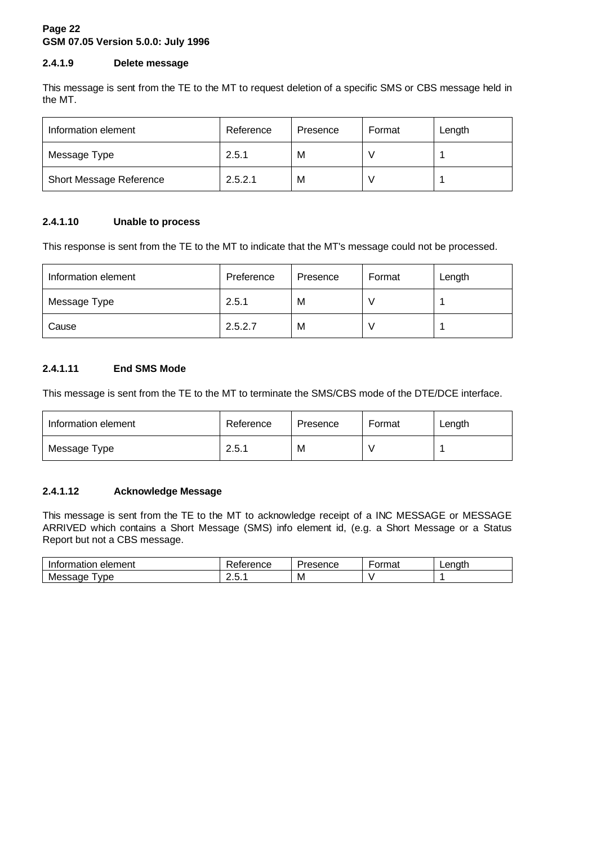## **Page 22 GSM 07.05 Version 5.0.0: July 1996**

## **2.4.1.9 Delete message**

This message is sent from the TE to the MT to request deletion of a specific SMS or CBS message held in the MT.

| Information element     | Reference | Presence | Format | Length |
|-------------------------|-----------|----------|--------|--------|
| Message Type            | 2.5.1     | М        |        |        |
| Short Message Reference | 2.5.2.1   | М        |        |        |

## **2.4.1.10 Unable to process**

This response is sent from the TE to the MT to indicate that the MT's message could not be processed.

| Information element | Preference | Presence | Format | Length |
|---------------------|------------|----------|--------|--------|
| Message Type        | 2.5.1      | М        |        |        |
| Cause               | 2.5.2.7    | М        |        |        |

## **2.4.1.11 End SMS Mode**

This message is sent from the TE to the MT to terminate the SMS/CBS mode of the DTE/DCE interface.

| Information element | Reference | Presence | Format | Length |
|---------------------|-----------|----------|--------|--------|
| Message Type        | 2.5.1     | М        |        |        |

## **2.4.1.12 Acknowledge Message**

This message is sent from the TE to the MT to acknowledge receipt of a INC MESSAGE or MESSAGE ARRIVED which contains a Short Message (SMS) info element id, (e.g. a Short Message or a Status Report but not a CBS message.

| element<br>$\sim$<br>In:<br>Tidliui | nnc<br>10t<br>ີ | . .<br>$\sim$<br>. .<br>סטווסר | –<br>$\sim$ $\sim$ $\sim$<br>Dľ<br>ша | ∟enqt′<br>. |
|-------------------------------------|-----------------|--------------------------------|---------------------------------------|-------------|
| Me<br>vne                           | ـٽ،             | M                              |                                       |             |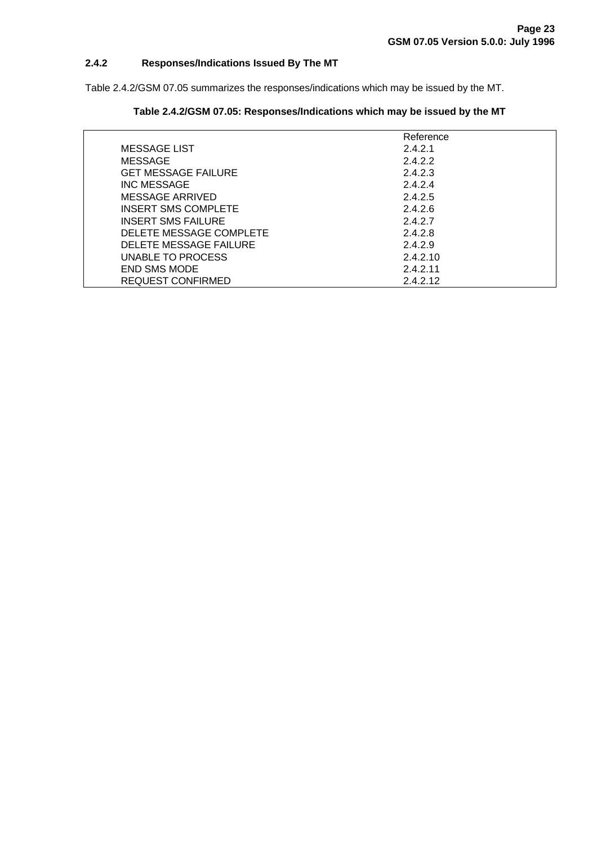## **2.4.2 Responses/Indications Issued By The MT**

Table 2.4.2/GSM 07.05 summarizes the responses/indications which may be issued by the MT.

| Table 2.4.2/GSM 07.05: Responses/Indications which may be issued by the MT |  |
|----------------------------------------------------------------------------|--|
|                                                                            |  |

|                            | Reference |
|----------------------------|-----------|
| <b>MESSAGE LIST</b>        | 2.4.2.1   |
| MESSAGE                    | 2422      |
| <b>GET MESSAGE FAILURE</b> | 2.4.2.3   |
| <b>INC MESSAGE</b>         | 2.4.2.4   |
| MESSAGE ARRIVED            | 2.4.2.5   |
| <b>INSERT SMS COMPLETE</b> | 2426      |
| <b>INSERT SMS FAILURE</b>  | 2.4.2.7   |
| DELETE MESSAGE COMPLETE    | 2.4.2.8   |
| DELETE MESSAGE FAILURE     | 2429      |
| UNABLE TO PROCESS          | 2.4.2.10  |
| <b>END SMS MODE</b>        | 2.4.2.11  |
| <b>REQUEST CONFIRMED</b>   | 2.4.2.12  |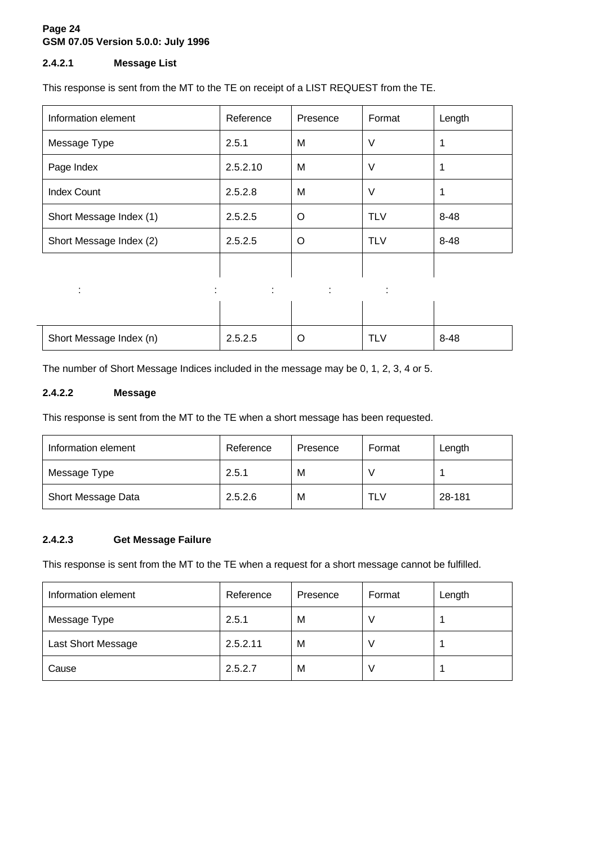## **Page 24 GSM 07.05 Version 5.0.0: July 1996**

## **2.4.2.1 Message List**

This response is sent from the MT to the TE on receipt of a LIST REQUEST from the TE.

| Information element     | Reference | Presence                     | Format     | Length   |
|-------------------------|-----------|------------------------------|------------|----------|
| Message Type            | 2.5.1     | M                            | $\vee$     | 1        |
| Page Index              | 2.5.2.10  | M                            | $\vee$     | 1        |
| <b>Index Count</b>      | 2.5.2.8   | M                            | V          | 1        |
| Short Message Index (1) | 2.5.2.5   | O                            | <b>TLV</b> | $8 - 48$ |
| Short Message Index (2) | 2.5.2.5   | O                            | <b>TLV</b> | $8 - 48$ |
|                         |           |                              |            |          |
| t                       | $\sim$    | $\mathcal{L}_{\mathrm{eff}}$ | ÷          |          |
|                         |           |                              |            |          |
| Short Message Index (n) | 2.5.2.5   | O                            | <b>TLV</b> | $8 - 48$ |

The number of Short Message Indices included in the message may be 0, 1, 2, 3, 4 or 5.

## **2.4.2.2 Message**

This response is sent from the MT to the TE when a short message has been requested.

| Information element | Reference | Presence | Format | Length |
|---------------------|-----------|----------|--------|--------|
| Message Type        | 2.5.1     | M        |        |        |
| Short Message Data  | 2.5.2.6   | M        | TLV    | 28-181 |

## **2.4.2.3 Get Message Failure**

This response is sent from the MT to the TE when a request for a short message cannot be fulfilled.

| Information element | Reference | Presence | Format | Length |
|---------------------|-----------|----------|--------|--------|
| Message Type        | 2.5.1     | м        | v      |        |
| Last Short Message  | 2.5.2.11  | M        | v      |        |
| Cause               | 2.5.2.7   | М        | v      |        |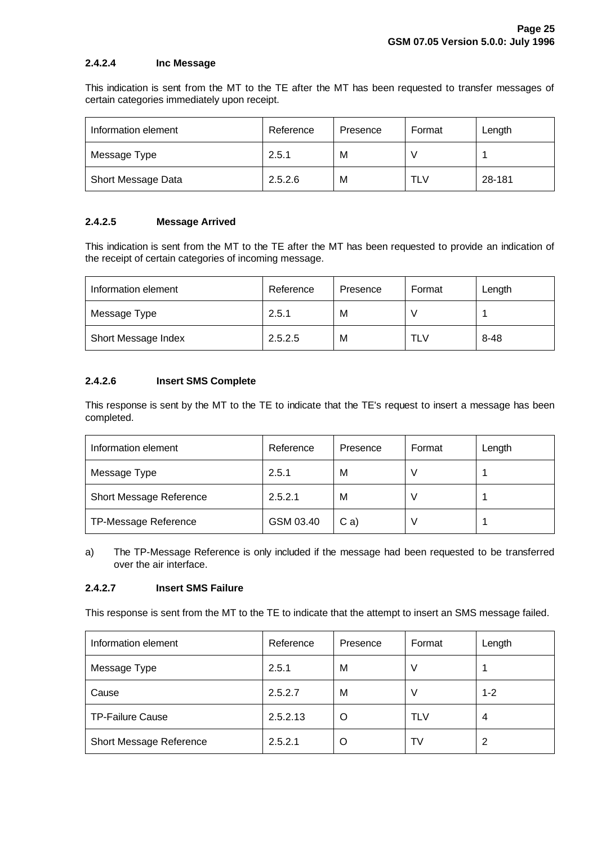## **2.4.2.4 Inc Message**

This indication is sent from the MT to the TE after the MT has been requested to transfer messages of certain categories immediately upon receipt.

| Information element | Reference | Presence | Format | Length |
|---------------------|-----------|----------|--------|--------|
| Message Type        | 2.5.1     | М        |        |        |
| Short Message Data  | 2.5.2.6   | М        | TLV    | 28-181 |

### **2.4.2.5 Message Arrived**

This indication is sent from the MT to the TE after the MT has been requested to provide an indication of the receipt of certain categories of incoming message.

| Information element | Reference | Presence | Format | Length   |
|---------------------|-----------|----------|--------|----------|
| Message Type        | 2.5.1     | M        |        |          |
| Short Message Index | 2.5.2.5   | M        | TLV    | $8 - 48$ |

### **2.4.2.6 Insert SMS Complete**

This response is sent by the MT to the TE to indicate that the TE's request to insert a message has been completed.

| Information element     | Reference | Presence | Format | Length |
|-------------------------|-----------|----------|--------|--------|
| Message Type            | 2.5.1     | м        |        |        |
| Short Message Reference | 2.5.2.1   | М        | ν      |        |
| TP-Message Reference    | GSM 03.40 | $C$ a)   |        |        |

a) The TP-Message Reference is only included if the message had been requested to be transferred over the air interface.

#### **2.4.2.7 Insert SMS Failure**

This response is sent from the MT to the TE to indicate that the attempt to insert an SMS message failed.

| Information element     | Reference | Presence | Format     | Length  |
|-------------------------|-----------|----------|------------|---------|
| Message Type            | 2.5.1     | М        | V          |         |
| Cause                   | 2.5.2.7   | М        | ν          | $1 - 2$ |
| <b>TP-Failure Cause</b> | 2.5.2.13  | Ő        | <b>TLV</b> | 4       |
| Short Message Reference | 2.5.2.1   | Ő        | T٧         | 2       |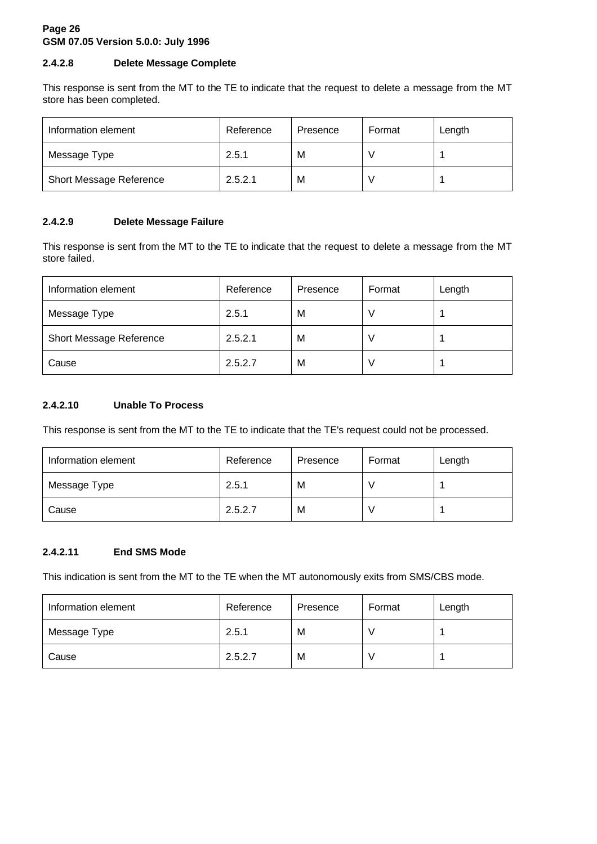## **2.4.2.8 Delete Message Complete**

This response is sent from the MT to the TE to indicate that the request to delete a message from the MT store has been completed.

| Information element            | Reference | Presence | Format | Length |
|--------------------------------|-----------|----------|--------|--------|
| Message Type                   | 2.5.1     | М        |        |        |
| <b>Short Message Reference</b> | 2.5.2.1   | М        |        |        |

## **2.4.2.9 Delete Message Failure**

This response is sent from the MT to the TE to indicate that the request to delete a message from the MT store failed.

| Information element     | Reference | Presence | Format | Length |
|-------------------------|-----------|----------|--------|--------|
| Message Type            | 2.5.1     | М        | ν      |        |
| Short Message Reference | 2.5.2.1   | M        | ν      |        |
| Cause                   | 2.5.2.7   | М        | ν      |        |

## **2.4.2.10 Unable To Process**

This response is sent from the MT to the TE to indicate that the TE's request could not be processed.

| Information element | Reference | Presence | Format | Length |
|---------------------|-----------|----------|--------|--------|
| Message Type        | 2.5.1     | M        |        |        |
| Cause               | 2.5.2.7   | M        |        |        |

## **2.4.2.11 End SMS Mode**

This indication is sent from the MT to the TE when the MT autonomously exits from SMS/CBS mode.

| Information element | Reference | Presence | Format | Length |
|---------------------|-----------|----------|--------|--------|
| Message Type        | 2.5.1     | М        |        |        |
| Cause               | 2.5.2.7   | М        |        |        |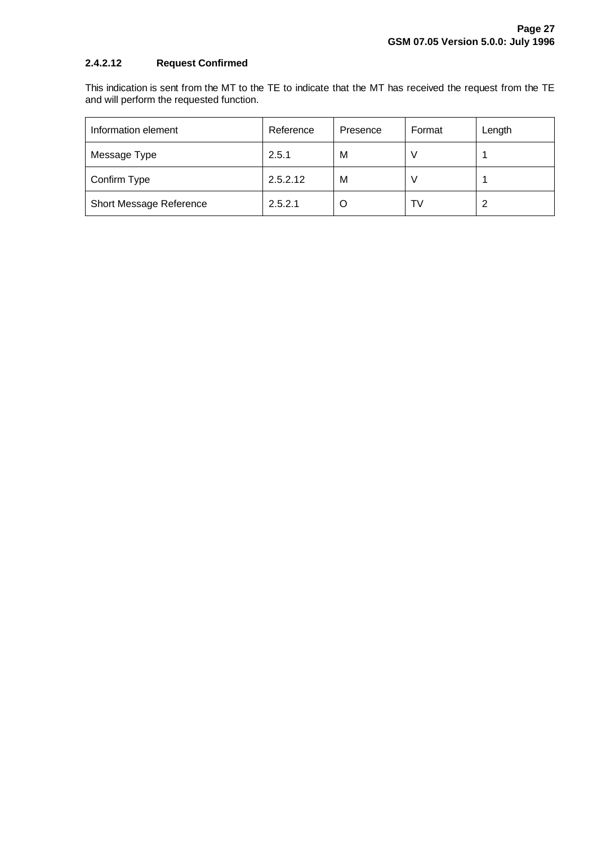## **2.4.2.12 Request Confirmed**

This indication is sent from the MT to the TE to indicate that the MT has received the request from the TE and will perform the requested function.

| Information element     | Reference | Presence | Format | Length |
|-------------------------|-----------|----------|--------|--------|
| Message Type            | 2.5.1     | M        |        |        |
| Confirm Type            | 2.5.2.12  | M        |        |        |
| Short Message Reference | 2.5.2.1   |          | TV     | 2      |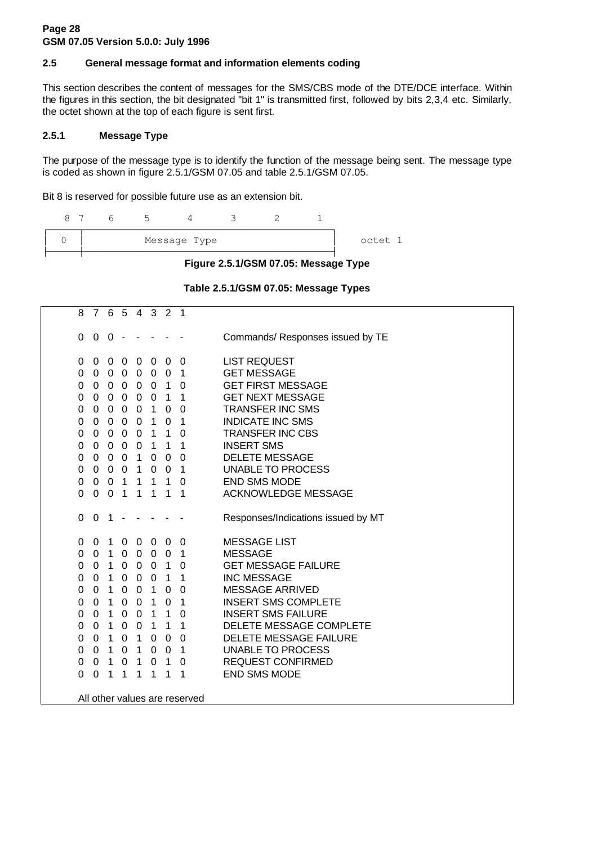## **Page 28 GSM 07.05 Version 5.0.0: July 1996**

#### **2.5 General message format and information elements coding**

This section describes the content of messages for the SMS/CBS mode of the DTE/DCE interface. Within the figures in this section, the bit designated "bit 1" is transmitted first, followed by bits 2,3,4 etc. Similarly, the octet shown at the top of each figure is sent first.

#### **2.5.1 Message Type**

The purpose of the message type is to identify the function of the message being sent. The message type is coded as shown in figure 2.5.1/GSM 07.05 and table 2.5.1/GSM 07.05.

Bit 8 is reserved for possible future use as an extension bit.

8 7 6 5 4 3 2 1 ¸¶¶¶¶¶¾¶¶¶¶¶¶¶¶¶¶¶¶¶¶¶¶¶¶¶¶¶¶¶¶¶¶¶¶¶¶¶¶¶¶¶¶¶¶¶¶¶¹ 0 | Message Type | octet 1 ¼¶¶¶¶¶À¶¶¶¶¶¶¶¶¶¶¶¶¶¶¶¶¶¶¶¶¶¶¶¶¶¶¶¶¶¶¶¶¶¶¶¶¶¶¶¶¶½



#### **Table 2.5.1/GSM 07.05: Message Types**

| 8        | $\overline{7}$             |                |                   |                |                | 6 5 4 3 2 1                    |                  |                                          |
|----------|----------------------------|----------------|-------------------|----------------|----------------|--------------------------------|------------------|------------------------------------------|
| 0        | $\mathbf 0$                | $\overline{0}$ | $\blacksquare$    |                |                |                                |                  | Commands/ Responses issued by TE         |
| 0        | 0                          | $\mathbf 0$    | $\mathbf 0$       | $\overline{0}$ | 0              | $\overline{0}$                 | 0                | <b>LIST REQUEST</b>                      |
| 0        | $\mathbf 0$                |                | $0\quad 0\quad 0$ |                | $0\quad 0$     |                                | 1                | <b>GET MESSAGE</b>                       |
| 0        | $\mathbf 0$                | $\mathbf 0$    | $\overline{0}$    | $\overline{0}$ | 0 <sub>1</sub> |                                | $\mathbf 0$      | <b>GET FIRST MESSAGE</b>                 |
| 0        | $\mathbf 0$                | $\mathsf 0$    | $0\quad 0$        |                | 0 <sub>1</sub> |                                | $\mathbf{1}$     | <b>GET NEXT MESSAGE</b>                  |
| 0        | $\mathbf 0$                | $\mathbf 0$    | $\mathbf 0$       | $\overline{0}$ | $1\quad 0$     |                                | $\mathbf 0$      | <b>TRANSFER INC SMS</b>                  |
| 0        | $\mathbf 0$                | $\mathbf 0$    | $\overline{0}$    | $\overline{0}$ | $1\quad 0$     |                                | $\mathbf 1$      | <b>INDICATE INC SMS</b>                  |
| 0        | $\mathbf 0$                | $\mathsf 0$    | $\mathbf 0$       | $\overline{0}$ |                | $1\quad1$                      | $\boldsymbol{0}$ | <b>TRANSFER INC CBS</b>                  |
| 0        | $\mathbf 0$                | $\mathsf 0$    | $\mathbf 0$       | $\overline{0}$ | $1 \quad 1$    |                                | $\mathbf{1}$     | <b>INSERT SMS</b>                        |
| 0        | $\mathbf 0$                | 0              | $\mathbf 0$       | $\mathbf{1}$   |                | $0\quad 0$                     | $\boldsymbol{0}$ | <b>DELETE MESSAGE</b>                    |
| 0        | $\mathbf 0$                | $\mathbf 0$    |                   |                | 0 1 0 0        |                                | $\mathbf{1}$     | <b>UNABLE TO PROCESS</b>                 |
| 0        | $\mathbf 0$                |                |                   |                |                | 0 1 1 1 1                      | $\mathbf 0$      | <b>END SMS MODE</b>                      |
| 0        | 0                          | 0              | $\overline{1}$    | $\mathbf{1}$   |                | $1 \quad 1$                    | $\mathbf{1}$     | <b>ACKNOWLEDGE MESSAGE</b>               |
| $\Omega$ | $\mathbf 0$                | 1              | -                 |                |                |                                |                  | Responses/Indications issued by MT       |
| 0        | 0                          | 1              | $\mathbf 0$       | $\mathbf 0$    | $\mathbf 0$    | $\mathbf 0$                    | $\mathbf 0$      | <b>MESSAGE LIST</b>                      |
| 0        | $\mathbf 0$                | $\mathbf{1}$   |                   | $0\quad 0$     | $0\quad 0$     |                                | $\mathbf{1}$     | <b>MESSAGE</b>                           |
| 0        | $\mathbf 0$                | $\mathbf{1}$   | $\mathbf 0$       | $\overline{0}$ | 0 <sub>1</sub> |                                | $\mathbf 0$      | <b>GET MESSAGE FAILURE</b>               |
| 0        | $\mathbf 0$                | $\mathbf{1}$   | $\overline{0}$    | $\overline{0}$ | 0 <sub>1</sub> |                                | $\mathbf{1}$     | <b>INC MESSAGE</b>                       |
| 0        | $\mathbf 0$                | $\mathbf{1}$   | $\mathbf 0$       | $\overline{0}$ | $1\quad 0$     |                                | $\mathbf 0$      | <b>MESSAGE ARRIVED</b>                   |
| 0        | $\mathbf 0$                | $\mathbf{1}$   | $\mathbf 0$       | $\overline{0}$ | $1\quad 0$     |                                | 1                | <b>INSERT SMS COMPLETE</b>               |
| 0        | $\boldsymbol{0}$           | $\mathbf{1}$   | $\mathbf 0$       | $\overline{0}$ |                | $1\quad1$                      | $\mathbf 0$      | <b>INSERT SMS FAILURE</b>                |
|          | 0                          | $\mathbf{1}$   | $\mathbf 0$       | 0              | $1 \quad 1$    |                                | 1                | DELETE MESSAGE COMPLETE                  |
| 0        | $\mathbf 0$                | 1              | $\mathbf 0$       | $\mathbf{1}$   |                | $0\quad 0$                     | $\mathbf 0$      | DELETE MESSAGE FAILURE                   |
| 0        |                            |                |                   | $\overline{1}$ |                | $0\quad 0$                     | $\mathbf{1}$     | UNABLE TO PROCESS                        |
| 0        | $\boldsymbol{0}$           | 1              | $\mathbf 0$       |                |                |                                |                  |                                          |
| 0        | $\mathbf 0$<br>$\mathbf 0$ | 1              | $\mathbf 0$       | $\overline{1}$ |                | 0 <sub>1</sub><br>$\mathbf{1}$ | $\mathbf 0$      | REQUEST CONFIRMED<br><b>END SMS MODE</b> |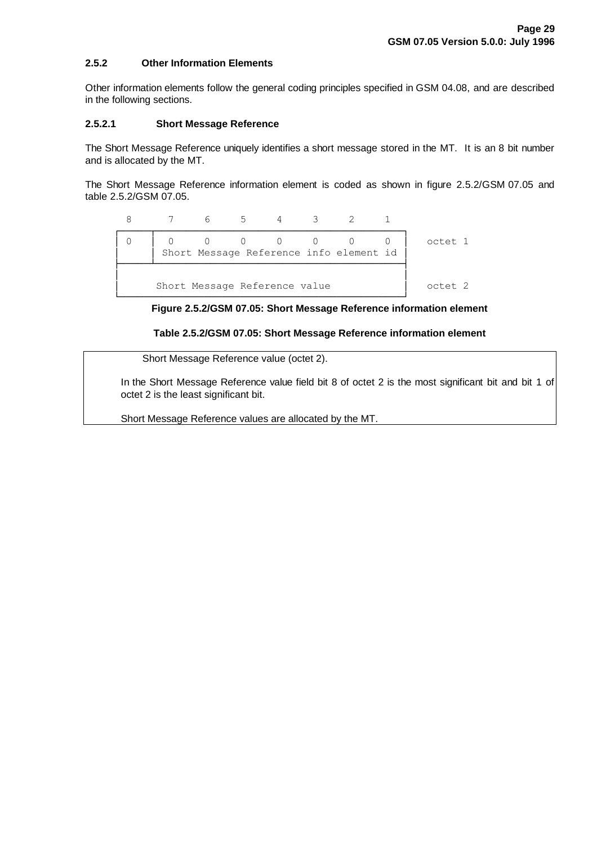### **2.5.2 Other Information Elements**

Other information elements follow the general coding principles specified in GSM 04.08, and are described in the following sections.

#### **2.5.2.1 Short Message Reference**

The Short Message Reference uniquely identifies a short message stored in the MT. It is an 8 bit number and is allocated by the MT.

The Short Message Reference information element is coded as shown in figure 2.5.2/GSM 07.05 and table 2.5.2/GSM 07.05.



**Figure 2.5.2/GSM 07.05: Short Message Reference information element**

#### **Table 2.5.2/GSM 07.05: Short Message Reference information element**

Short Message Reference value (octet 2).

In the Short Message Reference value field bit 8 of octet 2 is the most significant bit and bit 1 of octet 2 is the least significant bit.

Short Message Reference values are allocated by the MT.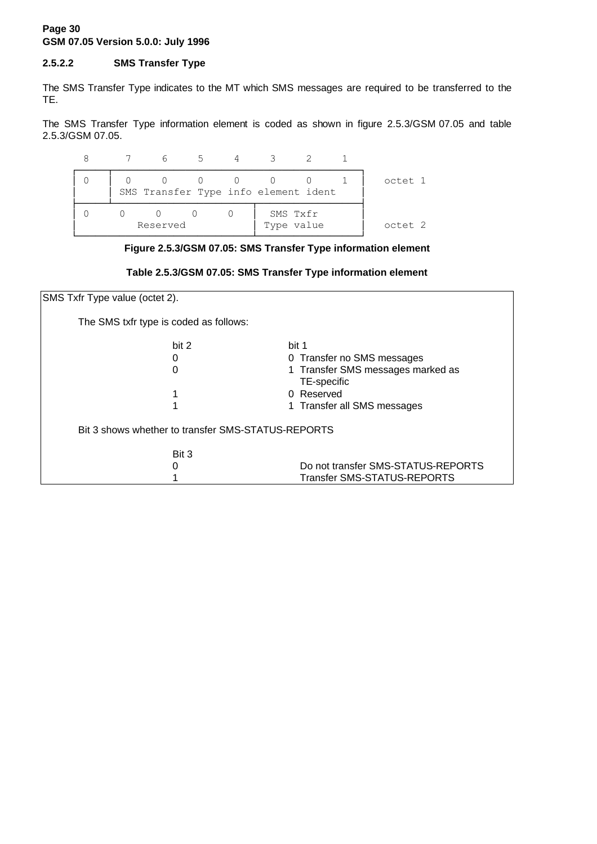## **Page 30 GSM 07.05 Version 5.0.0: July 1996**

## **2.5.2.2 SMS Transfer Type**

The SMS Transfer Type indicates to the MT which SMS messages are required to be transferred to the TE.

The SMS Transfer Type information element is coded as shown in figure 2.5.3/GSM 07.05 and table 2.5.3/GSM 07.05.





|  |  | Table 2.5.3/GSM 07.05: SMS Transfer Type information element |  |
|--|--|--------------------------------------------------------------|--|
|  |  |                                                              |  |

SMS Txfr Type value (octet 2). The SMS txfr type is coded as follows: bit 2 bit 1 0 0 Transfer no SMS messages 0 1 Transfer SMS messages marked as TE-specific 1 0 Reserved 1 1 1 1 Transfer all SMS messages Bit 3 shows whether to transfer SMS-STATUS-REPORTS Bit 3 0 Do not transfer SMS-STATUS-REPORTS 1 Transfer SMS-STATUS-REPORTS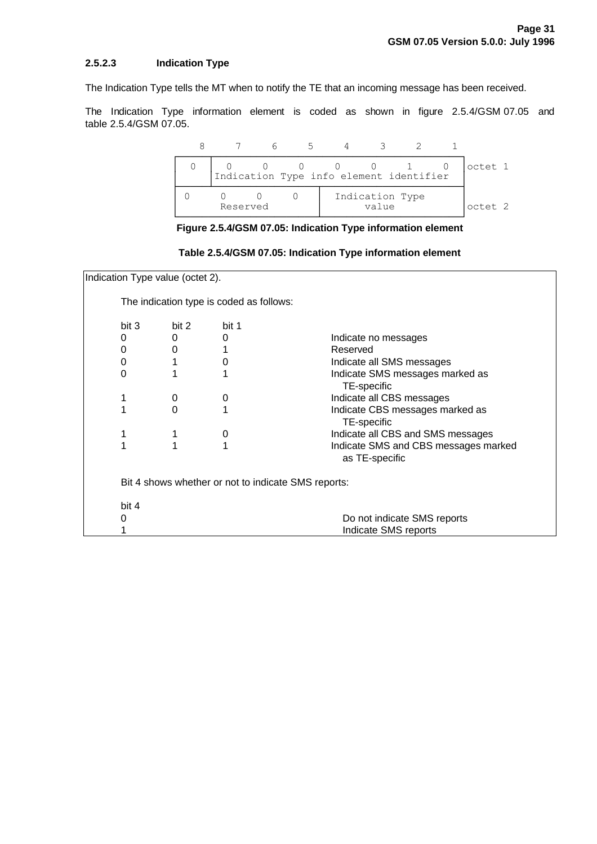#### **2.5.2.3 Indication Type**

The Indication Type tells the MT when to notify the TE that an incoming message has been received.

The Indication Type information element is coded as shown in figure 2.5.4/GSM 07.05 and table 2.5.4/GSM 07.05.



**Figure 2.5.4/GSM 07.05: Indication Type information element**



| Indication Type value (octet 2). |       |                                                     |                                                        |
|----------------------------------|-------|-----------------------------------------------------|--------------------------------------------------------|
|                                  |       | The indication type is coded as follows:            |                                                        |
| bit 3                            | bit 2 | bit 1                                               |                                                        |
| 0                                | 0     | 0                                                   | Indicate no messages                                   |
| 0                                | 0     |                                                     | Reserved                                               |
| 0                                |       | 0                                                   | Indicate all SMS messages                              |
| $\Omega$                         |       |                                                     | Indicate SMS messages marked as<br>TE-specific         |
|                                  | 0     | 0                                                   | Indicate all CBS messages                              |
|                                  | 0     |                                                     | Indicate CBS messages marked as<br>TE-specific         |
|                                  |       | 0                                                   | Indicate all CBS and SMS messages                      |
|                                  |       |                                                     | Indicate SMS and CBS messages marked<br>as TE-specific |
|                                  |       | Bit 4 shows whether or not to indicate SMS reports: |                                                        |
| bit 4                            |       |                                                     |                                                        |
| 0                                |       |                                                     | Do not indicate SMS reports                            |
|                                  |       |                                                     | Indicate SMS reports                                   |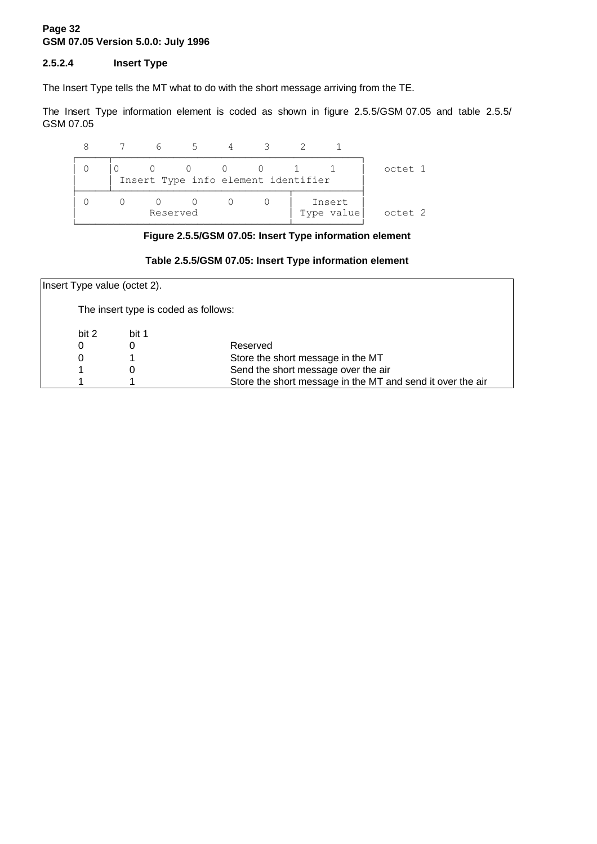## **Page 32 GSM 07.05 Version 5.0.0: July 1996**

## **2.5.2.4 Insert Type**

The Insert Type tells the MT what to do with the short message arriving from the TE.

The Insert Type information element is coded as shown in figure 2.5.5/GSM 07.05 and table 2.5.5/ GSM 07.05

|  |          |                                     |  |                      | octet 1 |
|--|----------|-------------------------------------|--|----------------------|---------|
|  |          | Insert Type info element identifier |  |                      |         |
|  | Reserved |                                     |  | Insert<br>Type value | octet 2 |

## **Figure 2.5.5/GSM 07.05: Insert Type information element**

## **Table 2.5.5/GSM 07.05: Insert Type information element**

| Insert Type value (octet 2). |       |                                                            |
|------------------------------|-------|------------------------------------------------------------|
|                              |       | The insert type is coded as follows:                       |
| bit 2                        | bit 1 |                                                            |
| 0                            | 0     | Reserved                                                   |
| 0                            |       | Store the short message in the MT                          |
|                              | O     | Send the short message over the air                        |
|                              |       | Store the short message in the MT and send it over the air |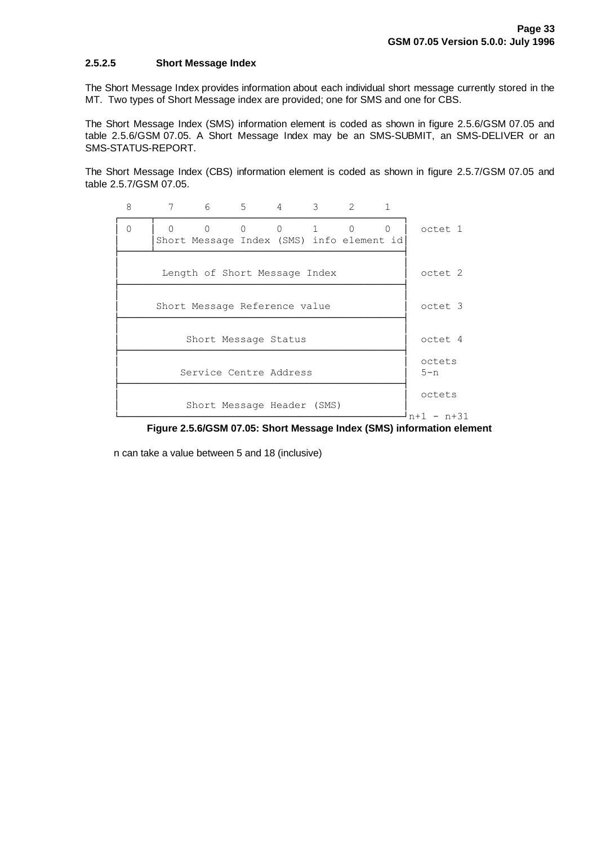#### **2.5.2.5 Short Message Index**

The Short Message Index provides information about each individual short message currently stored in the MT. Two types of Short Message index are provided; one for SMS and one for CBS.

The Short Message Index (SMS) information element is coded as shown in figure 2.5.6/GSM 07.05 and table 2.5.6/GSM 07.05. A Short Message Index may be an SMS-SUBMIT, an SMS-DELIVER or an SMS-STATUS-REPORT.

The Short Message Index (CBS) information element is coded as shown in figure 2.5.7/GSM 07.05 and table 2.5.7/GSM 07.05.





n can take a value between 5 and 18 (inclusive)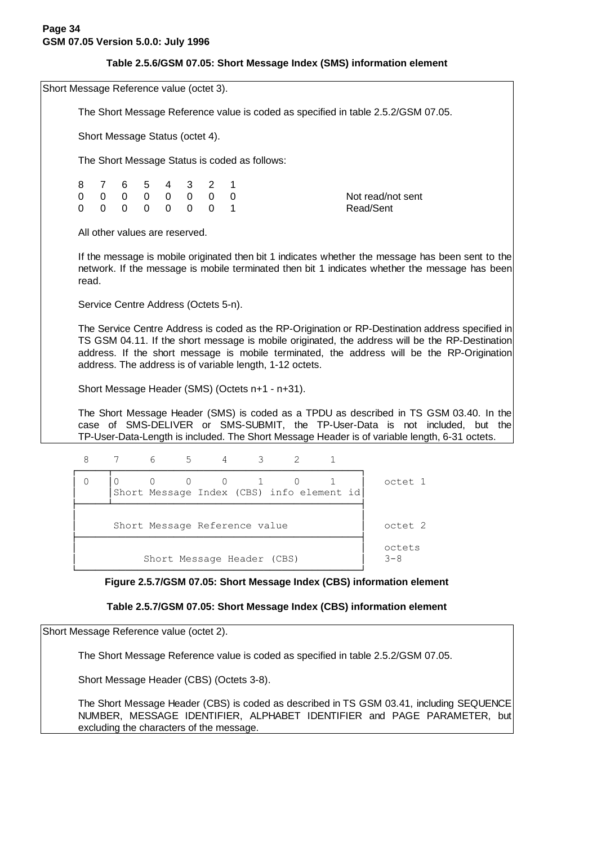## **Page 34 GSM 07.05 Version 5.0.0: July 1996**

## **Table 2.5.6/GSM 07.05: Short Message Index (SMS) information element**

Short Message Reference value (octet 3). The Short Message Reference value is coded as specified in table 2.5.2/GSM 07.05. Short Message Status (octet 4). The Short Message Status is coded as follows: 87654321 0 0 0 0 0 0 0 0 0 0 Not read/not sent 0 0 0 0 0 0 1 Read/Sent All other values are reserved. If the message is mobile originated then bit 1 indicates whether the message has been sent to the network. If the message is mobile terminated then bit 1 indicates whether the message has been read. Service Centre Address (Octets 5-n). The Service Centre Address is coded as the RP-Origination or RP-Destination address specified in TS GSM 04.11. If the short message is mobile originated, the address will be the RP-Destination address. If the short message is mobile terminated, the address will be the RP-Origination address. The address is of variable length, 1-12 octets. Short Message Header (SMS) (Octets n+1 - n+31). The Short Message Header (SMS) is coded as a TPDU as described in TS GSM 03.40. In the case of SMS-DELIVER or SMS-SUBMIT, the TP-User-Data is not included, but the TP-User-Data-Length is included. The Short Message Header is of variable length, 6-31 octets. 8 7 6 5 4 3 2 1 ¸¶¶¶¶¶¾¶¶¶¶¶¶¶¶¶¶¶¶¶¶¶¶¶¶¶¶¶¶¶¶¶¶¶¶¶¶¶¶¶¶¶¶¶¶¶¶¶¹ ···RFWHW Short Message Index (CBS) info element id ¼¶¶¶¶¶¿¶¶¶¶¶¶¶¶¶¶¶¶¶¶¶¶¶¶¶¶¶¶¶¶¶¶¶¶¶¶¶¶¶¶¶¶¶¶¶¶¶½ ·· Short Message Reference value | octet 2

º¶¶¶¶¶¶¶¶¶¶¶¶¶¶¶¶¶¶¶¶¶¶¶¶¶¶¶¶¶¶¶¶¶¶¶¶¶¶¶¶¶¶¶¶¶¶¶»

and the contract of the contract of the contract of the contract of the contract of the contract of the contract of the contract of the contract of the contract of the contract of the contract of the contract of the contra

¼¶¶¶¶¶¶¶¶¶¶¶¶¶¶¶¶¶¶¶¶¶¶¶¶¶¶¶¶¶¶¶¶¶¶¶¶¶¶¶¶¶¶¶¶¶¶¶½

### **Figure 2.5.7/GSM 07.05: Short Message Index (CBS) information element**

Short Message Header (CBS) | 3-8

### **Table 2.5.7/GSM 07.05: Short Message Index (CBS) information element**

Short Message Reference value (octet 2).

The Short Message Reference value is coded as specified in table 2.5.2/GSM 07.05.

Short Message Header (CBS) (Octets 3-8).

The Short Message Header (CBS) is coded as described in TS GSM 03.41, including SEQUENCE NUMBER, MESSAGE IDENTIFIER, ALPHABET IDENTIFIER and PAGE PARAMETER, but excluding the characters of the message.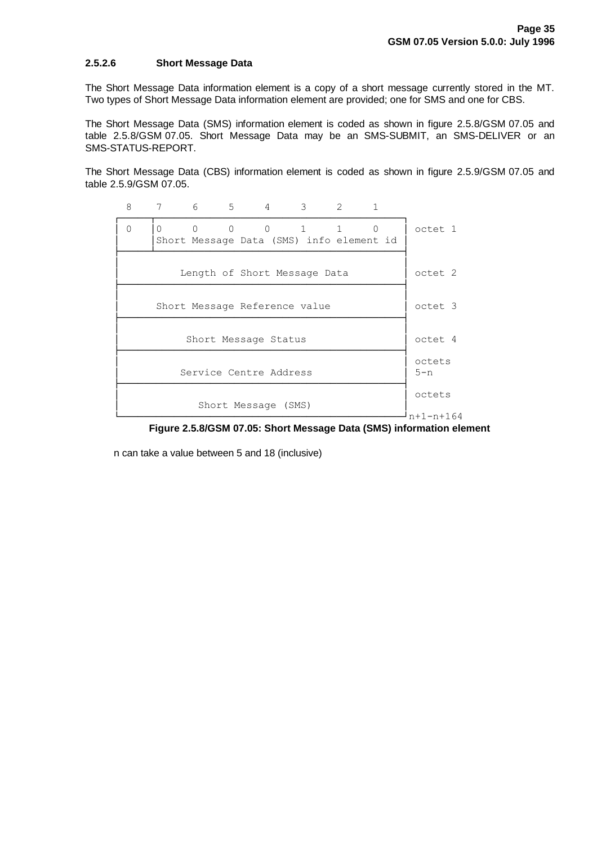#### **2.5.2.6 Short Message Data**

The Short Message Data information element is a copy of a short message currently stored in the MT. Two types of Short Message Data information element are provided; one for SMS and one for CBS.

The Short Message Data (SMS) information element is coded as shown in figure 2.5.8/GSM 07.05 and table 2.5.8/GSM 07.05. Short Message Data may be an SMS-SUBMIT, an SMS-DELIVER or an SMS-STATUS-REPORT.

The Short Message Data (CBS) information element is coded as shown in figure 2.5.9/GSM 07.05 and table 2.5.9/GSM 07.05.





n can take a value between 5 and 18 (inclusive)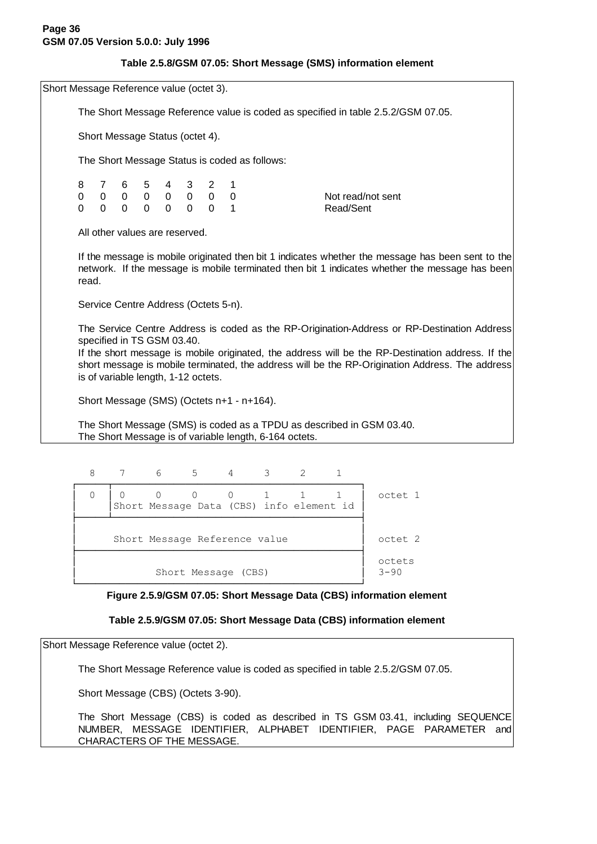## **Page 36 GSM 07.05 Version 5.0.0: July 1996**

## **Table 2.5.8/GSM 07.05: Short Message (SMS) information element**

Short Message Reference value (octet 3). The Short Message Reference value is coded as specified in table 2.5.2/GSM 07.05. Short Message Status (octet 4). The Short Message Status is coded as follows: 87654321 0 0 0 0 0 0 0 0 0 0 Not read/not sent 0 0 0 0 0 0 1 Read/Sent All other values are reserved. If the message is mobile originated then bit 1 indicates whether the message has been sent to the network. If the message is mobile terminated then bit 1 indicates whether the message has been read. Service Centre Address (Octets 5-n). The Service Centre Address is coded as the RP-Origination-Address or RP-Destination Address specified in TS GSM 03.40. If the short message is mobile originated, the address will be the RP-Destination address. If the short message is mobile terminated, the address will be the RP-Origination Address. The address is of variable length, 1-12 octets. Short Message (SMS) (Octets n+1 - n+164). The Short Message (SMS) is coded as a TPDU as described in GSM 03.40. The Short Message is of variable length, 6-164 octets. 8 7 6 5 4 3 2 1 ¸¶¶¶¶¶¾¶¶¶¶¶¶¶¶¶¶¶¶¶¶¶¶¶¶¶¶¶¶¶¶¶¶¶¶¶¶¶¶¶¶¶¶¶¶¶¶¶¹  $0 \t 0 \t 0 \t 0 \t 1 \t 1 \t 1 \t 1$   $0 \t 1 \t 1$ Short Message Data (CBS) info element id

¼¶¶¶¶¶¿¶¶¶¶¶¶¶¶¶¶¶¶¶¶¶¶¶¶¶¶¶¶¶¶¶¶¶¶¶¶¶¶¶¶¶¶¶¶¶¶¶½ ·· Short Message Reference value | octet 2 ¼¶¶¶¶¶¶¶¶¶¶¶¶¶¶¶¶¶¶¶¶¶¶¶¶¶¶¶¶¶¶¶¶¶¶¶¶¶¶¶¶¶¶¶¶¶¶¶½ and the contract of the contract of the contract of the contract of the contract of the contract of the contract of the contract of the contract of the contract of the contract of the contract of the contract of the contra Short Message (CBS) | 3-90 º¶¶¶¶¶¶¶¶¶¶¶¶¶¶¶¶¶¶¶¶¶¶¶¶¶¶¶¶¶¶¶¶¶¶¶¶¶¶¶¶¶¶¶¶¶¶¶»

#### **Figure 2.5.9/GSM 07.05: Short Message Data (CBS) information element**

### **Table 2.5.9/GSM 07.05: Short Message Data (CBS) information element**

Short Message Reference value (octet 2).

The Short Message Reference value is coded as specified in table 2.5.2/GSM 07.05.

Short Message (CBS) (Octets 3-90).

The Short Message (CBS) is coded as described in TS GSM 03.41, including SEQUENCE NUMBER, MESSAGE IDENTIFIER, ALPHABET IDENTIFIER, PAGE PARAMETER and CHARACTERS OF THE MESSAGE.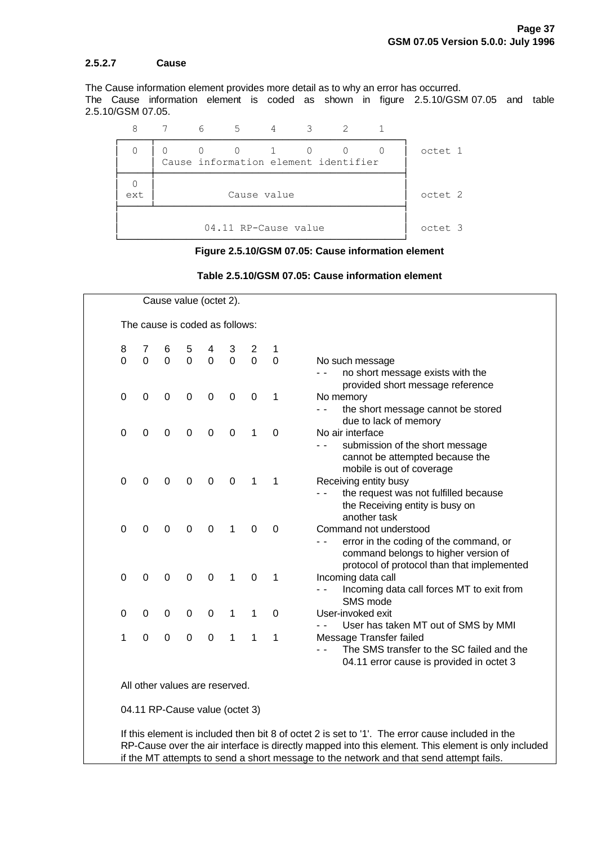# **2.5.2.7 Cause**

The Cause information element provides more detail as to why an error has occurred. The Cause information element is coded as shown in figure 2.5.10/GSM 07.05 and table 2.5.10/GSM 07.05.





| Table 2.5.10/GSM 07.05: Cause information element |  |  |  |  |  |  |  |
|---------------------------------------------------|--|--|--|--|--|--|--|
|---------------------------------------------------|--|--|--|--|--|--|--|

| 8              | 7              | 6                |                     | 4                              |                     | 2              | $\mathbf 1$    |                                                 |
|----------------|----------------|------------------|---------------------|--------------------------------|---------------------|----------------|----------------|-------------------------------------------------|
| $\overline{0}$ | $\overline{0}$ | $\overline{0}$   | 5<br>$\overline{0}$ | $\overline{0}$                 | 3<br>$\overline{0}$ | $\overline{0}$ | $\overline{0}$ | No such message                                 |
|                |                |                  |                     |                                |                     |                |                | no short message exists with the                |
|                |                |                  |                     |                                |                     |                |                | provided short message reference                |
| $\mathbf 0$    | $\overline{0}$ | $\mathbf 0$      | $\mathbf 0$         | $\mathbf 0$                    | 0                   | $\overline{0}$ | 1              | No memory                                       |
|                |                |                  |                     |                                |                     |                |                | the short message cannot be stored              |
|                |                |                  |                     |                                |                     |                |                | due to lack of memory                           |
| $\mathbf 0$    | $\mathbf 0$    | $\mathbf 0$      | $\pmb{0}$           | $\boldsymbol{0}$               | $\mathbf 0$         | 1              | $\mathbf 0$    | No air interface                                |
|                |                |                  |                     |                                |                     |                |                | submission of the short message                 |
|                |                |                  |                     |                                |                     |                |                | cannot be attempted because the                 |
|                |                |                  |                     |                                |                     |                |                | mobile is out of coverage                       |
| $\mathbf 0$    | $\mathbf 0$    | $\mathbf 0$      | $\mathbf 0$         | $\mathbf 0$                    | 0                   | 1              | 1              | Receiving entity busy                           |
|                |                |                  |                     |                                |                     |                |                | the request was not fulfilled because           |
|                |                |                  |                     |                                |                     |                |                | the Receiving entity is busy on<br>another task |
| $\mathbf 0$    | $\mathbf 0$    | $\mathbf 0$      | $\mathbf 0$         | $\mathbf 0$                    | 1                   | $\overline{0}$ | $\overline{0}$ | Command not understood                          |
|                |                |                  |                     |                                |                     |                |                | error in the coding of the command, or          |
|                |                |                  |                     |                                |                     |                |                | command belongs to higher version of            |
|                |                |                  |                     |                                |                     |                |                | protocol of protocol than that implemented      |
| $\mathbf 0$    | $\mathbf 0$    | $\mathbf 0$      | $\mathbf 0$         | $\mathbf 0$                    | 1                   | $\overline{0}$ | 1              | Incoming data call                              |
|                |                |                  |                     |                                |                     |                |                | Incoming data call forces MT to exit from       |
|                |                |                  |                     |                                |                     |                |                | SMS mode                                        |
| $\mathbf 0$    | $\pmb{0}$      | $\boldsymbol{0}$ | $\pmb{0}$           | $\boldsymbol{0}$               | 1                   | 1              | $\mathbf 0$    | User-invoked exit                               |
|                |                |                  |                     |                                |                     |                |                | User has taken MT out of SMS by MMI<br>$\sim$   |
| 1              | $\mathbf 0$    | $\mathbf 0$      | $\pmb{0}$           | $\mathbf 0$                    | $\mathbf 1$         | $\mathbf{1}$   | $\mathbf{1}$   | Message Transfer failed                         |
|                |                |                  |                     |                                |                     |                |                | The SMS transfer to the SC failed and the       |
|                |                |                  |                     |                                |                     |                |                | 04.11 error cause is provided in octet 3        |
|                |                |                  |                     | All other values are reserved. |                     |                |                |                                                 |
|                |                |                  |                     | 04.11 RP-Cause value (octet 3) |                     |                |                |                                                 |

if the MT attempts to send a short message to the network and that send attempt fails.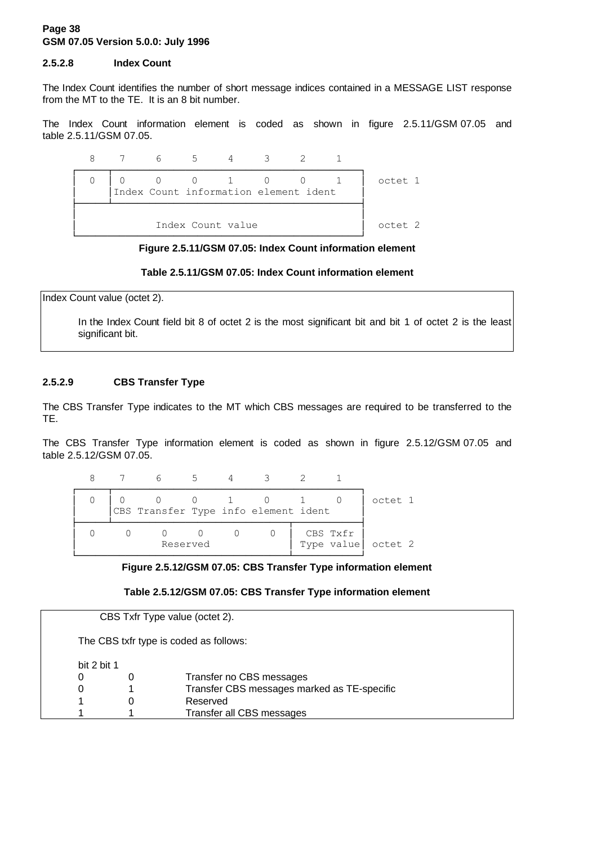# **Page 38 GSM 07.05 Version 5.0.0: July 1996**

# **2.5.2.8 Index Count**

The Index Count identifies the number of short message indices contained in a MESSAGE LIST response from the MT to the TE. It is an 8 bit number.

The Index Count information element is coded as shown in figure 2.5.11/GSM 07.05 and table 2.5.11/GSM 07.05.



**Figure 2.5.11/GSM 07.05: Index Count information element**

### **Table 2.5.11/GSM 07.05: Index Count information element**

Index Count value (octet 2).

In the Index Count field bit 8 of octet 2 is the most significant bit and bit 1 of octet 2 is the least significant bit.

# **2.5.2.9 CBS Transfer Type**

The CBS Transfer Type indicates to the MT which CBS messages are required to be transferred to the TE.

The CBS Transfer Type information element is coded as shown in figure 2.5.12/GSM 07.05 and table 2.5.12/GSM 07.05.

|  | CBS Transfer Type info element ident |  |  |                        | octet 1 |  |
|--|--------------------------------------|--|--|------------------------|---------|--|
|  | Reserved                             |  |  | CBS Txfr<br>Type value | octet 2 |  |

# **Figure 2.5.12/GSM 07.05: CBS Transfer Type information element**

### **Table 2.5.12/GSM 07.05: CBS Transfer Type information element**

CBS Txfr Type value (octet 2). The CBS txfr type is coded as follows: bit 2 bit 1 0 0 Transfer no CBS messages 0 1 1 Transfer CBS messages marked as TE-specific 1 0 Reserved 1 1 1 Transfer all CBS messages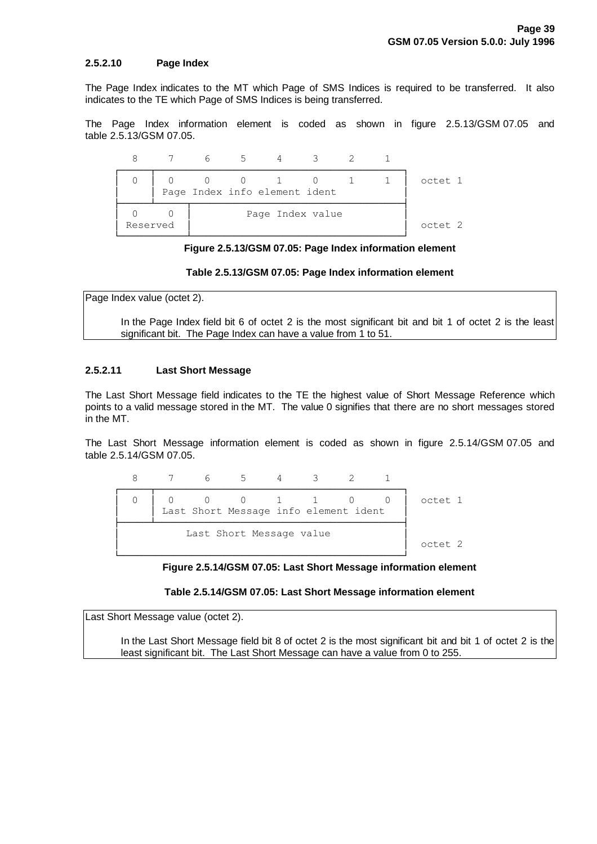### **2.5.2.10 Page Index**

The Page Index indicates to the MT which Page of SMS Indices is required to be transferred. It also indicates to the TE which Page of SMS Indices is being transferred.

The Page Index information element is coded as shown in figure 2.5.13/GSM 07.05 and table 2.5.13/GSM 07.05.



**Figure 2.5.13/GSM 07.05: Page Index information element**

|  |  |  |  |  | Table 2.5.13/GSM 07.05: Page Index information element |  |
|--|--|--|--|--|--------------------------------------------------------|--|
|--|--|--|--|--|--------------------------------------------------------|--|

Page Index value (octet 2).

In the Page Index field bit 6 of octet 2 is the most significant bit and bit 1 of octet 2 is the least significant bit. The Page Index can have a value from 1 to 51.

### **2.5.2.11 Last Short Message**

The Last Short Message field indicates to the TE the highest value of Short Message Reference which points to a valid message stored in the MT. The value 0 signifies that there are no short messages stored in the MT.

The Last Short Message information element is coded as shown in figure 2.5.14/GSM 07.05 and table 2.5.14/GSM 07.05.





#### **Table 2.5.14/GSM 07.05: Last Short Message information element**

Last Short Message value (octet 2).

In the Last Short Message field bit 8 of octet 2 is the most significant bit and bit 1 of octet 2 is the least significant bit. The Last Short Message can have a value from 0 to 255.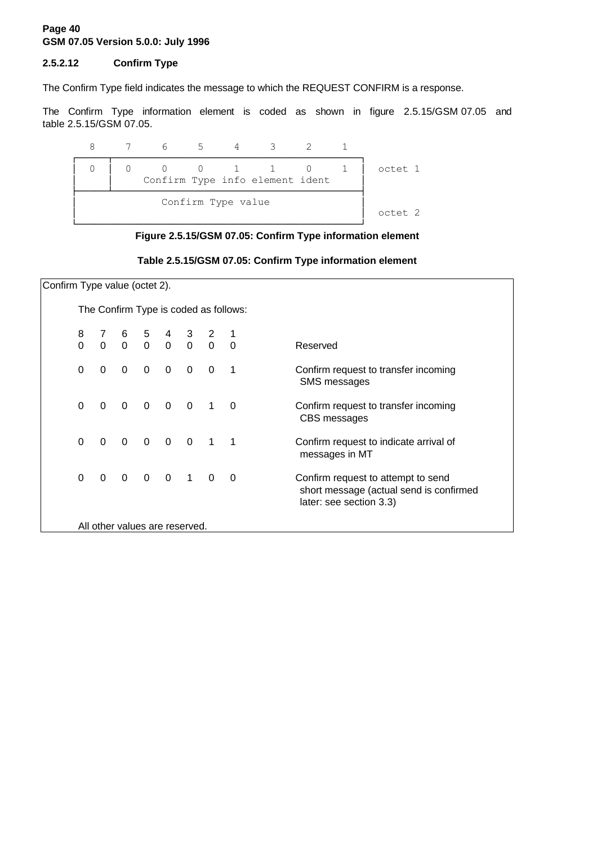# **Page 40 GSM 07.05 Version 5.0.0: July 1996**

# **2.5.2.12 Confirm Type**

The Confirm Type field indicates the message to which the REQUEST CONFIRM is a response.

The Confirm Type information element is coded as shown in figure 2.5.15/GSM 07.05 and table 2.5.15/GSM 07.05.





| Confirm Type value (octet 2). |              |                         |                                                                                              |            |  |             |                                       |                                                                                                          |
|-------------------------------|--------------|-------------------------|----------------------------------------------------------------------------------------------|------------|--|-------------|---------------------------------------|----------------------------------------------------------------------------------------------------------|
|                               |              |                         |                                                                                              |            |  |             | The Confirm Type is coded as follows: |                                                                                                          |
| 8<br>$\overline{0}$           |              |                         | $\begin{array}{cccccccc} 7 & 6 & 5 & 4 & 3 & 2 & 1 \\ 0 & 0 & 0 & 0 & 0 & 0 & 0 \end{array}$ |            |  |             |                                       | Reserved                                                                                                 |
| $\Omega$                      | $\mathbf{0}$ | $\overline{\mathbf{0}}$ | $\overline{\mathbf{0}}$                                                                      | $0\quad 0$ |  | $\mathbf 0$ | $\overline{\phantom{0}}$ 1            | Confirm request to transfer incoming<br>SMS messages                                                     |
| $\Omega$                      |              |                         | $0\quad 0\quad 0\quad 0\quad 0$                                                              |            |  | $1 \quad 0$ |                                       | Confirm request to transfer incoming<br>CBS messages                                                     |
| $\Omega$                      |              |                         | 0 0 0 0 0 1 1                                                                                |            |  |             |                                       | Confirm request to indicate arrival of<br>messages in MT                                                 |
| $\Omega$                      |              |                         | 0 0 0 0 1                                                                                    |            |  | $\Omega$    | $\overline{0}$                        | Confirm request to attempt to send<br>short message (actual send is confirmed<br>later: see section 3.3) |

**Table 2.5.15/GSM 07.05: Confirm Type information element**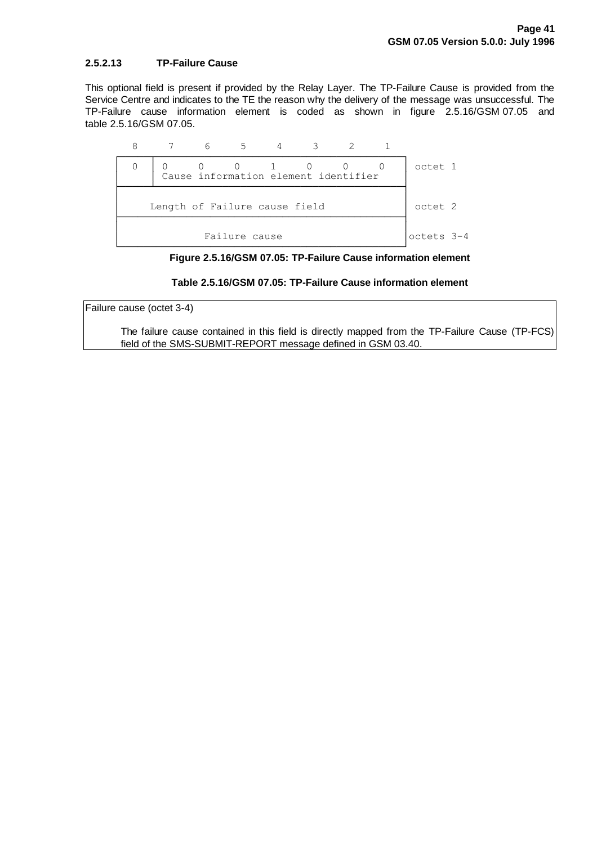### **2.5.2.13 TP-Failure Cause**

This optional field is present if provided by the Relay Layer. The TP-Failure Cause is provided from the Service Centre and indicates to the TE the reason why the delivery of the message was unsuccessful. The TP-Failure cause information element is coded as shown in figure 2.5.16/GSM 07.05 and table 2.5.16/GSM 07.05.



# **Figure 2.5.16/GSM 07.05: TP-Failure Cause information element**

# **Table 2.5.16/GSM 07.05: TP-Failure Cause information element**

| Failure cause (octet 3-4)                                                                       |  |
|-------------------------------------------------------------------------------------------------|--|
| The failure cause contained in this field is directly mapped from the TP-Failure Cause (TP-FCS) |  |
| field of the SMS-SUBMIT-REPORT message defined in GSM 03.40.                                    |  |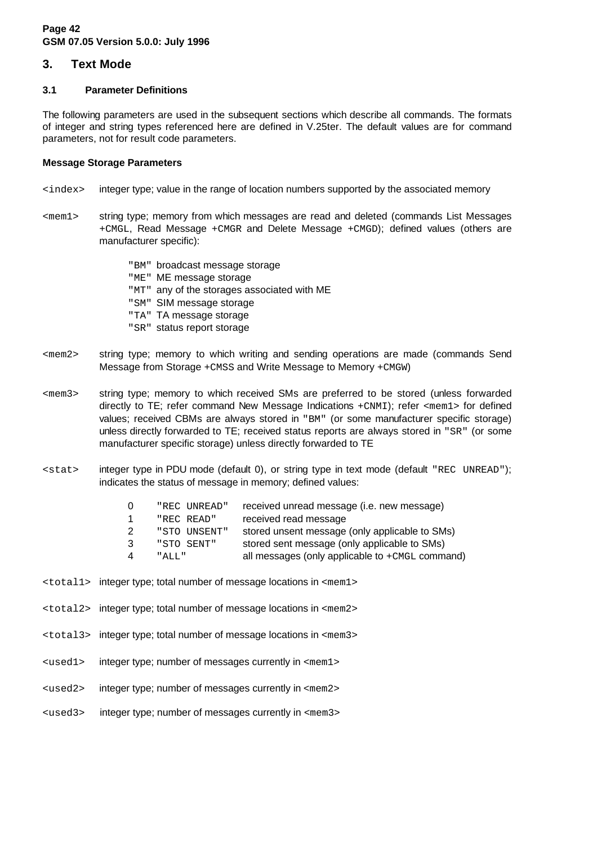# **3. Text Mode**

### **3.1 Parameter Definitions**

The following parameters are used in the subsequent sections which describe all commands. The formats of integer and string types referenced here are defined in V.25ter. The default values are for command parameters, not for result code parameters.

### **Message Storage Parameters**

- <index> integer type; value in the range of location numbers supported by the associated memory
- <mem1> string type; memory from which messages are read and deleted (commands List Messages +CMGL, Read Message +CMGR and Delete Message +CMGD); defined values (others are manufacturer specific):
	- "BM" broadcast message storage
	- "ME" ME message storage
	- "MT" any of the storages associated with ME
	- "SM" SIM message storage
	- "TA" TA message storage
	- "SR" status report storage
- <mem2> string type; memory to which writing and sending operations are made (commands Send Message from Storage +CMSS and Write Message to Memory +CMGW)
- <mem3> string type; memory to which received SMs are preferred to be stored (unless forwarded directly to TE; refer command New Message Indications +CNMI); refer <mem1> for defined values; received CBMs are always stored in "BM" (or some manufacturer specific storage) unless directly forwarded to TE; received status reports are always stored in "SR" (or some manufacturer specific storage) unless directly forwarded to TE
- <stat> integer type in PDU mode (default 0), or string type in text mode (default "REC UNREAD"); indicates the status of message in memory; defined values:

| 0  | "REC UNREAD" | received unread message (i.e. new message)      |
|----|--------------|-------------------------------------------------|
| 1. | "REC READ"   | received read message                           |
| 2. | "STO UNSENT" | stored unsent message (only applicable to SMs)  |
| 3. | "STO SENT"   | stored sent message (only applicable to SMs)    |
| 4  | "AT.T."      | all messages (only applicable to +CMGL command) |

- <total1> integer type; total number of message locations in <mem1>
- <total2> integer type; total number of message locations in <mem2>
- <total3> integer type; total number of message locations in <mem3>
- <used1> integer type; number of messages currently in <mem1>
- <used2> integer type; number of messages currently in <mem2>
- <used3> integer type; number of messages currently in <mem3>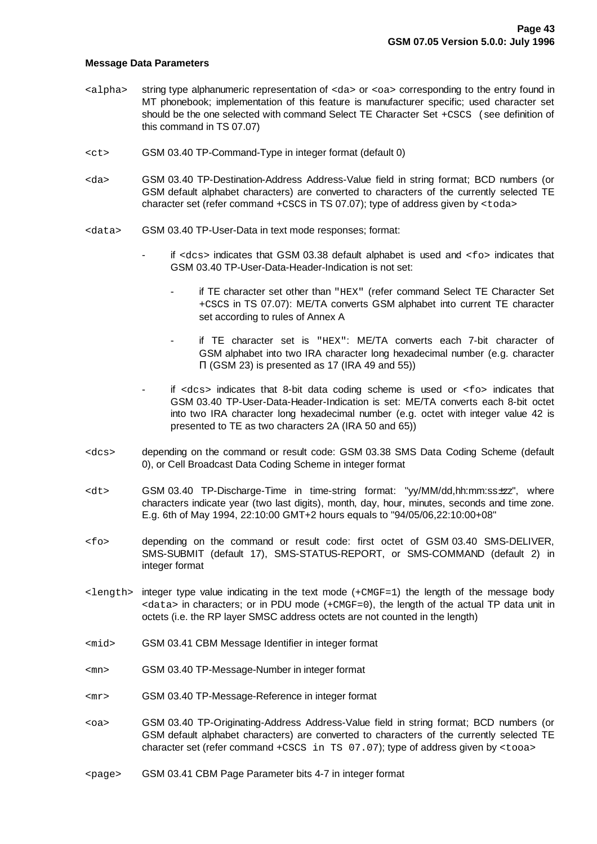#### **Message Data Parameters**

- <alpha> string type alphanumeric representation of <da> or <oa> corresponding to the entry found in MT phonebook; implementation of this feature is manufacturer specific; used character set should be the one selected with command Select TE Character Set +CSCS (see definition of this command in TS 07.07)
- <ct> GSM 03.40 TP-Command-Type in integer format (default 0)
- <da> GSM 03.40 TP-Destination-Address Address-Value field in string format; BCD numbers (or GSM default alphabet characters) are converted to characters of the currently selected TE character set (refer command +CSCS in TS 07.07); type of address given by <toda>
- <data> GSM 03.40 TP-User-Data in text mode responses; format:
	- if  $<$  dcs> indicates that GSM 03.38 default alphabet is used and  $<$  fo> indicates that GSM 03.40 TP-User-Data-Header-Indication is not set:
		- if TE character set other than "HEX" (refer command Select TE Character Set +CSCS in TS 07.07): ME/TA converts GSM alphabet into current TE character set according to rules of Annex A
		- if TE character set is "HEX": ME/TA converts each 7-bit character of GSM alphabet into two IRA character long hexadecimal number (e.g. character  $\Pi$  (GSM 23) is presented as 17 (IRA 49 and 55))
	- if  $<\text{dcs}>$  indicates that 8-bit data coding scheme is used or  $<\text{fc}>$  indicates that GSM 03.40 TP-User-Data-Header-Indication is set: ME/TA converts each 8-bit octet into two IRA character long hexadecimal number (e.g. octet with integer value 42 is presented to TE as two characters 2A (IRA 50 and 65))
- <dcs> depending on the command or result code: GSM 03.38 SMS Data Coding Scheme (default 0), or Cell Broadcast Data Coding Scheme in integer format
- <dt> GSM 03.40 TP-Discharge-Time in time-string format: "yy/MM/dd,hh:mm:ss±zz", where characters indicate year (two last digits), month, day, hour, minutes, seconds and time zone. E.g. 6th of May 1994, 22:10:00 GMT+2 hours equals to "94/05/06,22:10:00+08"
- <fo> depending on the command or result code: first octet of GSM 03.40 SMS-DELIVER, SMS-SUBMIT (default 17), SMS-STATUS-REPORT, or SMS-COMMAND (default 2) in integer format
- $\langle$ length> integer type value indicating in the text mode  $(+\text{CMGF}=1)$  the length of the message body  $\lambda$  <data> in characters; or in PDU mode  $(+\text{CMGF}=0)$ , the length of the actual TP data unit in octets (i.e. the RP layer SMSC address octets are not counted in the length)
- <mid> GSM 03.41 CBM Message Identifier in integer format
- <mn> GSM 03.40 TP-Message-Number in integer format
- <mr> GSM 03.40 TP-Message-Reference in integer format
- <oa> GSM 03.40 TP-Originating-Address Address-Value field in string format; BCD numbers (or GSM default alphabet characters) are converted to characters of the currently selected TE character set (refer command +CSCS in TS 07.07); type of address given by <tooa>
- <page> GSM 03.41 CBM Page Parameter bits 4-7 in integer format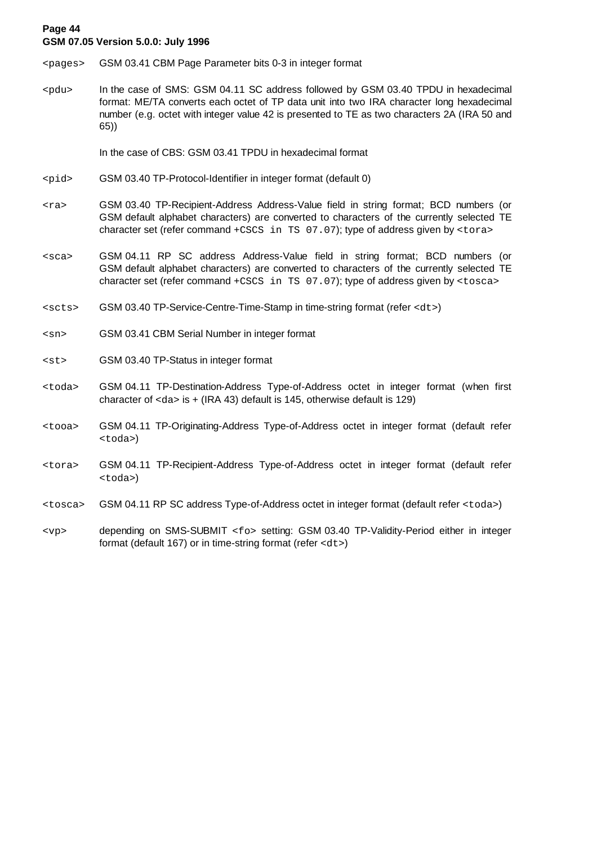# **Page 44 GSM 07.05 Version 5.0.0: July 1996**

- <pages> GSM 03.41 CBM Page Parameter bits 0-3 in integer format
- <pdu> In the case of SMS: GSM 04.11 SC address followed by GSM 03.40 TPDU in hexadecimal format: ME/TA converts each octet of TP data unit into two IRA character long hexadecimal number (e.g. octet with integer value 42 is presented to TE as two characters 2A (IRA 50 and 65))

In the case of CBS: GSM 03.41 TPDU in hexadecimal format

- <pid> GSM 03.40 TP-Protocol-Identifier in integer format (default 0)
- <ra> GSM 03.40 TP-Recipient-Address Address-Value field in string format; BCD numbers (or GSM default alphabet characters) are converted to characters of the currently selected TE character set (refer command +CSCS in TS 07.07); type of address given by <tora>
- <sca> GSM 04.11 RP SC address Address-Value field in string format; BCD numbers (or GSM default alphabet characters) are converted to characters of the currently selected TE character set (refer command +CSCS in TS 07.07); type of address given by <tosca>
- <scts> GSM 03.40 TP-Service-Centre-Time-Stamp in time-string format (refer <dt>)
- <sn> GSM 03.41 CBM Serial Number in integer format
- <st> GSM 03.40 TP-Status in integer format
- <toda> GSM 04.11 TP-Destination-Address Type-of-Address octet in integer format (when first character of  $<$ da> is + (IRA 43) default is 145, otherwise default is 129)
- <tooa> GSM 04.11 TP-Originating-Address Type-of-Address octet in integer format (default refer <toda>)
- <tora> GSM 04.11 TP-Recipient-Address Type-of-Address octet in integer format (default refer <toda>)
- <tosca> GSM 04.11 RP SC address Type-of-Address octet in integer format (default refer <toda>)
- <vp> depending on SMS-SUBMIT <fo> setting: GSM 03.40 TP-Validity-Period either in integer format (default 167) or in time-string format (refer <dt>)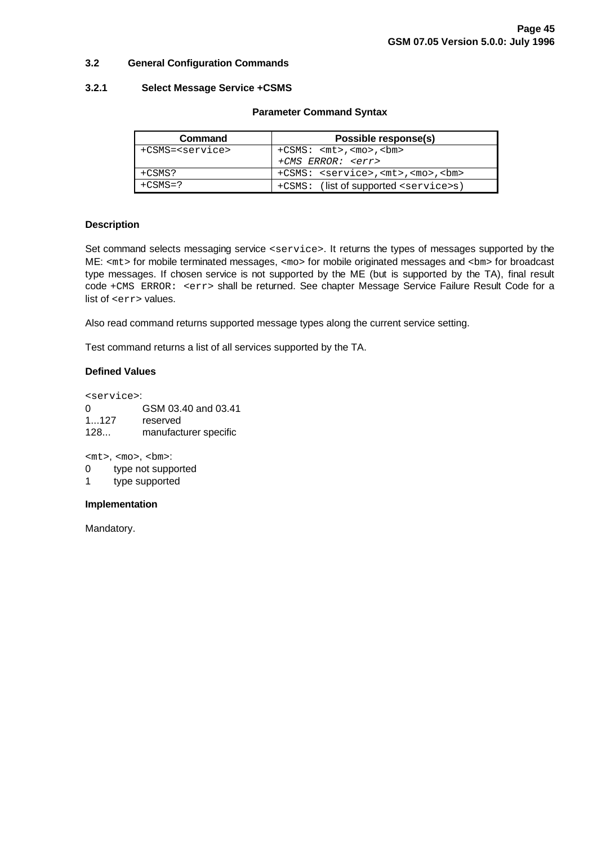### **3.2 General Configuration Commands**

### **3.2.1 Select Message Service +CSMS**

#### **Parameter Command Syntax**

| Command                    | Possible response(s)                                             |
|----------------------------|------------------------------------------------------------------|
| +CSMS= <service></service> | $+CSMS:$ <mt>, <mo>, <br/> <br/> <br/> -&gt;</mo></mt>           |
|                            | +CMS ERROR: <err></err>                                          |
| $+CSMS$ ?                  | +CSMS: <service>,<mt>,<mo>,<br/> <br/> <br/></mo></mt></service> |
| $+CSMS=?$                  | +CSMS: (list of supported <service>s)</service>                  |

### **Description**

Set command selects messaging service <service>. It returns the types of messages supported by the ME: <mt> for mobile terminated messages, <mo> for mobile originated messages and <bm> for broadcast type messages. If chosen service is not supported by the ME (but is supported by the TA), final result code +CMS ERROR: <err> shall be returned. See chapter Message Service Failure Result Code for a list of <err> values.

Also read command returns supported message types along the current service setting.

Test command returns a list of all services supported by the TA.

### **Defined Values**

<service>: 0 GSM 03.40 and 03.41 1...127 reserved 128... manufacturer specific

<mt>, <mo>, <br/> <br/> <br/> <br/> <br/> <br/> <br/> <br/> <br/> <br/> <br/> <br/> <br/> <br/> <br/> <br/> <br/> <br/> <br/> <br/> <br/> <br/> <br/> <br/> <br/> <br/> <br/> <br/> <br/> <br/> <br/> <br/> <br/> <br/> <br/>

- 0 type not supported
- 1 type supported

#### **Implementation**

Mandatory.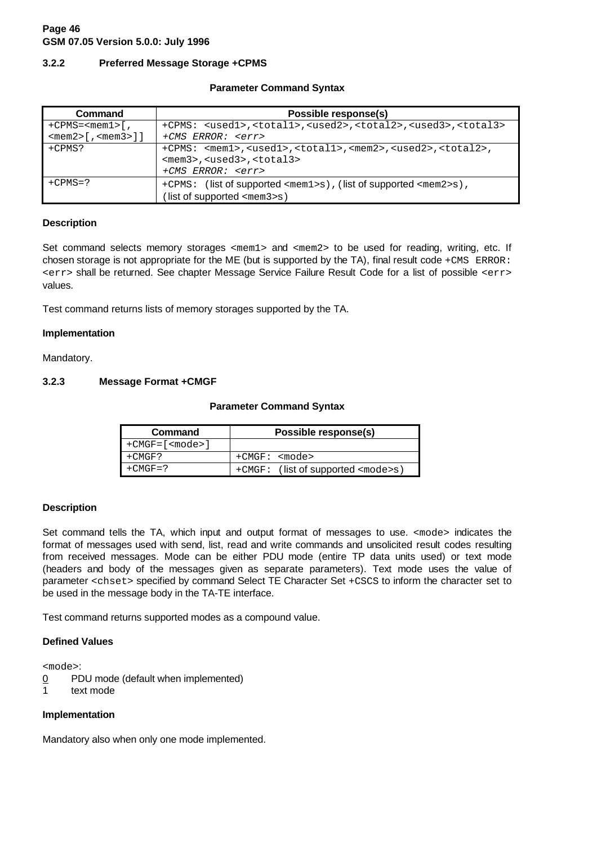# **3.2.2 Preferred Message Storage +CPMS**

|  |                                                 | Possible response(s) |  |
|--|-------------------------------------------------|----------------------|--|
|  | $100MC$ $21000d12 + 10t2112$ $2100d22 - 10t212$ |                      |  |

**Parameter Command Syntax**

| Command                 | Possible response(s)                                                                                           |
|-------------------------|----------------------------------------------------------------------------------------------------------------|
| $+CPMS = mem1 > [$      | +CPMS: <used1>,<total1>,<used2>,<total2>,<used3>,<total3></total3></used3></total2></used2></total1></used1>   |
| $<$ mem2>[, $<$ mem3>]] | +CMS ERROR: <err></err>                                                                                        |
| $+CPMS$ ?               | $+CPMS:$ <meml>, <usedl>, <totall>, <mem2>, <used2>, <total2>,</total2></used2></mem2></totall></usedl></meml> |
|                         | <mem3>, <used3>, <total3></total3></used3></mem3>                                                              |
|                         | +CMS ERROR: <err></err>                                                                                        |
| $+CPMS = ?$             | +CPMS: (list of supported <mem1>s), (list of supported <mem2>s),</mem2></mem1>                                 |
|                         | $ list of supported < \leq m = 3>s)$                                                                           |

# **Description**

Set command selects memory storages <mem1> and <mem2> to be used for reading, writing, etc. If chosen storage is not appropriate for the ME (but is supported by the TA), final result code +CMS ERROR: <err> shall be returned. See chapter Message Service Failure Result Code for a list of possible <err> values.

Test command returns lists of memory storages supported by the TA.

# **Implementation**

Mandatory.

# **3.2.3 Message Format +CMGF**

#### **Parameter Command Syntax**

| Command                | Possible response(s)                      |
|------------------------|-------------------------------------------|
| +CMGF=[ <mode>]</mode> |                                           |
| +CMGF?                 | $+CMGF: < model>$                         |
| +CMGF=?                | +CMGF: (list of supported <mode>s)</mode> |

# **Description**

Set command tells the TA, which input and output format of messages to use. <mode> indicates the format of messages used with send, list, read and write commands and unsolicited result codes resulting from received messages. Mode can be either PDU mode (entire TP data units used) or text mode (headers and body of the messages given as separate parameters). Text mode uses the value of parameter <chset> specified by command Select TE Character Set +CSCS to inform the character set to be used in the message body in the TA-TE interface.

Test command returns supported modes as a compound value.

# **Defined Values**

<mode>:

- 0 PDU mode (default when implemented)
- 1 text mode

# **Implementation**

Mandatory also when only one mode implemented.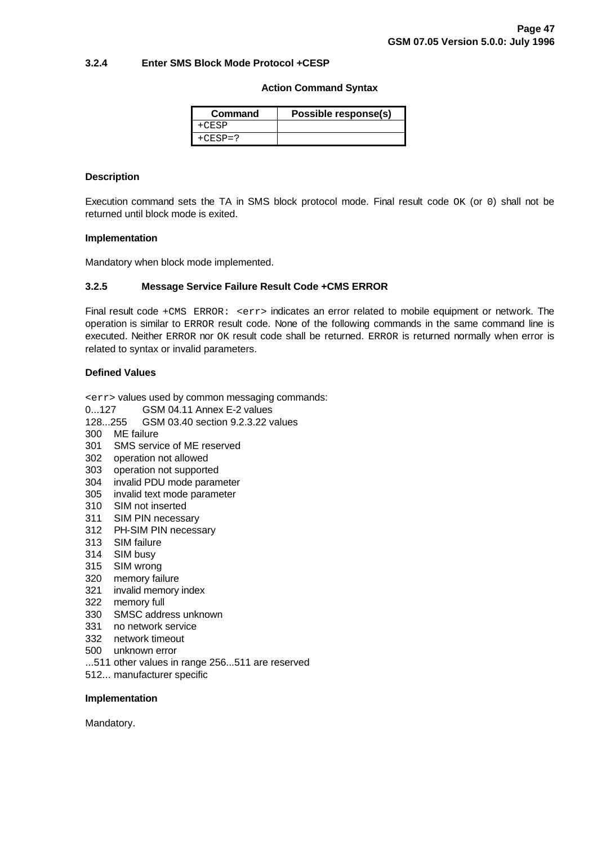### **3.2.4 Enter SMS Block Mode Protocol +CESP**

#### **Action Command Syntax**

| Command   | Possible response(s) |
|-----------|----------------------|
| $+CESP$   |                      |
| $+CRSP=?$ |                      |

#### **Description**

Execution command sets the TA in SMS block protocol mode. Final result code  $OK$  (or 0) shall not be returned until block mode is exited.

#### **Implementation**

Mandatory when block mode implemented.

### **3.2.5 Message Service Failure Result Code +CMS ERROR**

Final result code +CMS ERROR: <err> indicates an error related to mobile equipment or network. The operation is similar to ERROR result code. None of the following commands in the same command line is executed. Neither ERROR nor OK result code shall be returned. ERROR is returned normally when error is related to syntax or invalid parameters.

#### **Defined Values**

<err> values used by common messaging commands:

- 0...127 GSM 04.11 Annex E-2 values
- 128...255 GSM 03.40 section 9.2.3.22 values
- 300 ME failure
- 301 SMS service of ME reserved
- 302 operation not allowed
- 303 operation not supported
- 304 invalid PDU mode parameter
- 305 invalid text mode parameter
- 310 SIM not inserted
- 311 SIM PIN necessary
- 312 PH-SIM PIN necessary
- 313 SIM failure
- 314 SIM busy
- 315 SIM wrong
- 320 memory failure
- 321 invalid memory index
- 322 memory full
- 330 SMSC address unknown
- 331 no network service
- 332 network timeout
- 500 unknown error
- ...511 other values in range 256...511 are reserved
- 512... manufacturer specific

#### **Implementation**

Mandatory.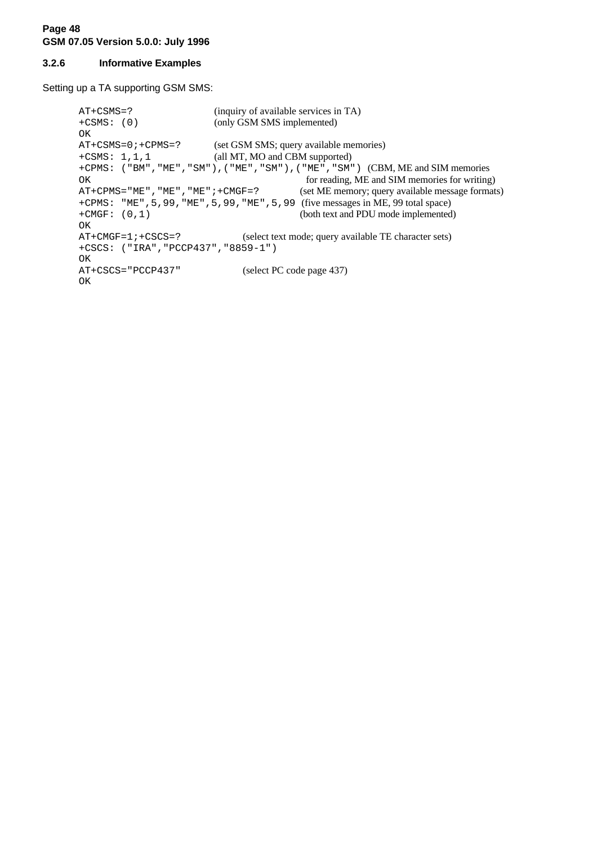# **Page 48 GSM 07.05 Version 5.0.0: July 1996**

# **3.2.6 Informative Examples**

Setting up a TA supporting GSM SMS:

```
AT+CSMS=? (inquiry of available services in TA)
+CSMS: (0) (only GSM SMS implemented)
OK
AT+CSMS=0;+CPMS=? (set GSM SMS; query available memories)
+CSMS: 1,1,1 (all MT, MO and CBM supported)
+CPMS: ("BM","ME","SM"),("ME","SM"),("ME","SM") (CBM, ME and SIM memories
OK for reading, ME and SIM memories for writing)
AT+CPMS="ME", "ME", "ME"; +CMGF=? (set ME memory; query available message formats)
+CPMS: "ME", 5,99, "ME", 5,99, "ME", 5,99 (five messages in ME, 99 total space)<br>+CMGF: (0, 1) (both text and PDU mode implemented
                                          (both text and PDU mode implemented)
OK<br>AT+CMGF=1;+CSCS=?
                               (select text mode; query available TE character sets)
+CSCS: ("IRA","PCCP437","8859-1")
OK
AT+CSCS="PCCP437" (select PC code page 437)
OK
```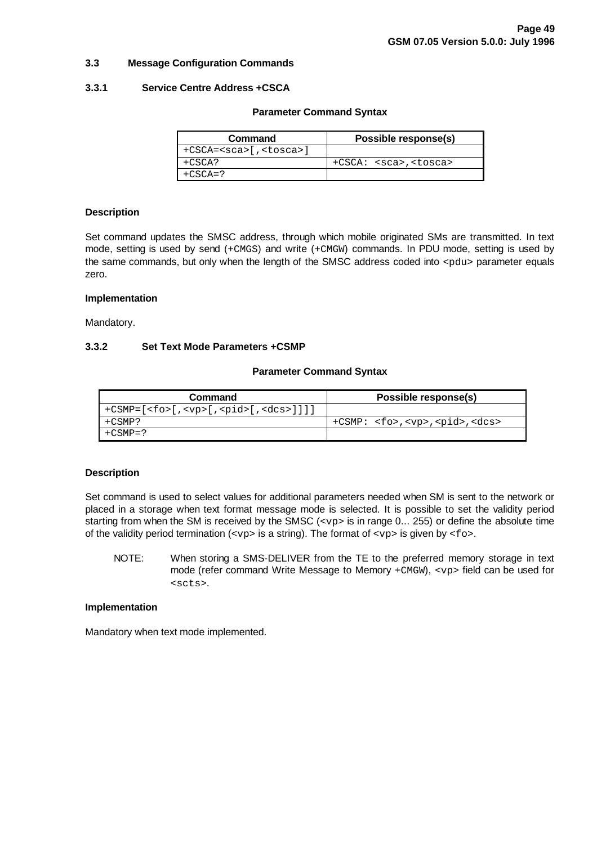### **3.3 Message Configuration Commands**

#### **3.3.1 Service Centre Address +CSCA**

#### **Parameter Command Syntax**

| Command                              | Possible response(s)               |
|--------------------------------------|------------------------------------|
| +CSCA= <sca>[,<tosca>]</tosca></sca> |                                    |
| +CSCA?                               | +CSCA: <sca>,<tosca></tosca></sca> |
| $+$ CSCA=?                           |                                    |

#### **Description**

Set command updates the SMSC address, through which mobile originated SMs are transmitted. In text mode, setting is used by send (+CMGS) and write (+CMGW) commands. In PDU mode, setting is used by the same commands, but only when the length of the SMSC address coded into <pdu> parameter equals zero.

### **Implementation**

Mandatory.

### **3.3.2 Set Text Mode Parameters +CSMP**

#### **Parameter Command Syntax**

| Command                                                   | Possible response(s)                              |
|-----------------------------------------------------------|---------------------------------------------------|
| +CSMP=[ <fo>[,<vp>[,<pid>[,<dcs>]]]</dcs></pid></vp></fo> |                                                   |
| +CSMP?                                                    | $+CSMP: 0>$ , <vp>, <pid>, <dcs></dcs></pid></vp> |
| $+CSMP=?$                                                 |                                                   |

#### **Description**

Set command is used to select values for additional parameters needed when SM is sent to the network or placed in a storage when text format message mode is selected. It is possible to set the validity period starting from when the SM is received by the SMSC (<vp> is in range 0... 255) or define the absolute time of the validity period termination ( $\langle v \rangle$  is a string). The format of  $\langle v \rangle$  is given by  $\langle f \rangle$ .

NOTE: When storing a SMS-DELIVER from the TE to the preferred memory storage in text mode (refer command Write Message to Memory +CMGW), <vp> field can be used for <scts>.

#### **Implementation**

Mandatory when text mode implemented.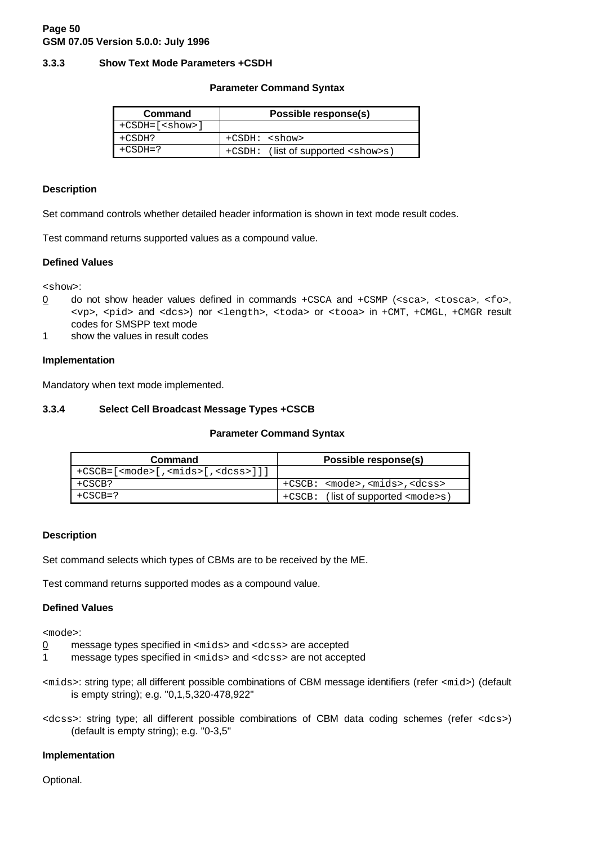# **3.3.3 Show Text Mode Parameters +CSDH**

#### **Parameter Command Syntax**

| Command                  | Possible response(s) |                                           |
|--------------------------|----------------------|-------------------------------------------|
| $+CSDH = [$ < show > $]$ |                      |                                           |
| +CSDH?                   |                      | $+CSDH: $                                 |
| $+CSDH=?$                |                      | +CSDH: (list of supported <show>s)</show> |

#### **Description**

Set command controls whether detailed header information is shown in text mode result codes.

Test command returns supported values as a compound value.

### **Defined Values**

<show>:

- 0 do not show header values defined in commands +CSCA and +CSMP (<sca>, <tosca>, <fo>, <vp>, <pid> and <dcs>) nor <length>, <toda> or <tooa> in +CMT, +CMGL, +CMGR result codes for SMSPP text mode
- 1 show the values in result codes

### **Implementation**

Mandatory when text mode implemented.

# **3.3.4 Select Cell Broadcast Message Types +CSCB**

### **Parameter Command Syntax**

| Command                                                | Possible response(s)                             |
|--------------------------------------------------------|--------------------------------------------------|
| +CSCB=[ <mode>[,<mids>[,<dcss>]]]</dcss></mids></mode> |                                                  |
| +CSCB?                                                 | +CSCB: <mode>,<mids>,<dcss></dcss></mids></mode> |
| +CSCB=?                                                | $+CSCB:$ (list of supported $<$ mode>s)          |

# **Description**

Set command selects which types of CBMs are to be received by the ME.

Test command returns supported modes as a compound value.

# **Defined Values**

<mode>:

- 0 message types specified in <mids> and <dcss> are accepted
- 1 message types specified in <mids> and <dcss> are not accepted
- <mids>: string type; all different possible combinations of CBM message identifiers (refer <mid>) (default is empty string); e.g. "0,1,5,320-478,922"
- <dcss>: string type; all different possible combinations of CBM data coding schemes (refer <dcs>) (default is empty string); e.g. "0-3,5"

#### **Implementation**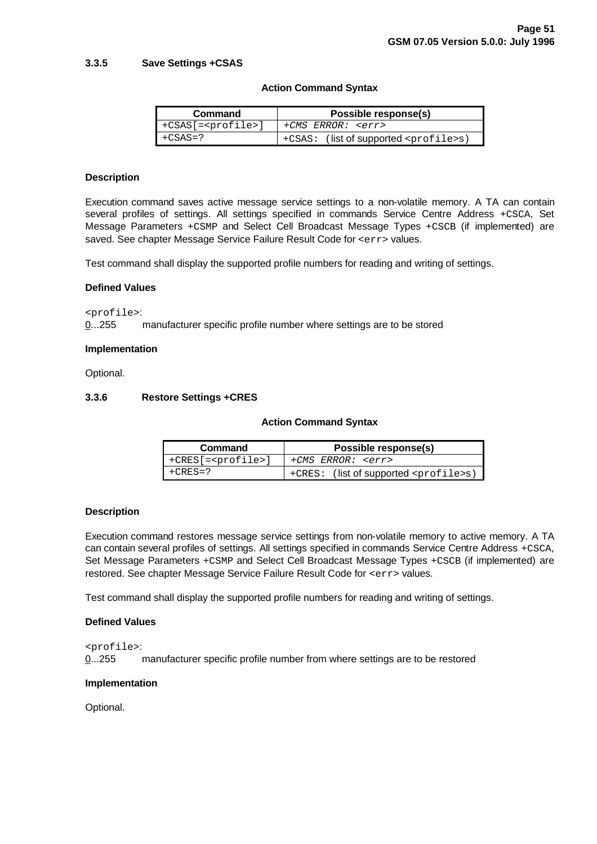### **3.3.5 Save Settings +CSAS**

#### **Action Command Syntax**

| Command       | Possible response(s)                            |  |
|---------------|-------------------------------------------------|--|
| $+CSAS[=$ $ $ | +CMS ERROR: <err></err>                         |  |
| $+CSAS = ?$   | +CSAS: (list of supported <profile>s)</profile> |  |

#### **Description**

Execution command saves active message service settings to a non-volatile memory. A TA can contain several profiles of settings. All settings specified in commands Service Centre Address +CSCA, Set Message Parameters +CSMP and Select Cell Broadcast Message Types +CSCB (if implemented) are saved. See chapter Message Service Failure Result Code for <err> values.

Test command shall display the supported profile numbers for reading and writing of settings.

#### **Defined Values**

<profile>: 0...255 manufacturer specific profile number where settings are to be stored

#### **Implementation**

Optional.

### **3.3.6 Restore Settings +CRES**

#### **Action Command Syntax**

| Command                              | Possible response(s)                            |  |
|--------------------------------------|-------------------------------------------------|--|
| $ \cdot$ CRES[= <profile>]</profile> | +CMS ERROR: <err></err>                         |  |
| +CRES=?                              | +CRES: (list of supported <profile>s)</profile> |  |

#### **Description**

Execution command restores message service settings from non-volatile memory to active memory. A TA can contain several profiles of settings. All settings specified in commands Service Centre Address +CSCA, Set Message Parameters +CSMP and Select Cell Broadcast Message Types +CSCB (if implemented) are restored. See chapter Message Service Failure Result Code for <err> values.

Test command shall display the supported profile numbers for reading and writing of settings.

#### **Defined Values**

<profile>:

0...255 manufacturer specific profile number from where settings are to be restored

#### **Implementation**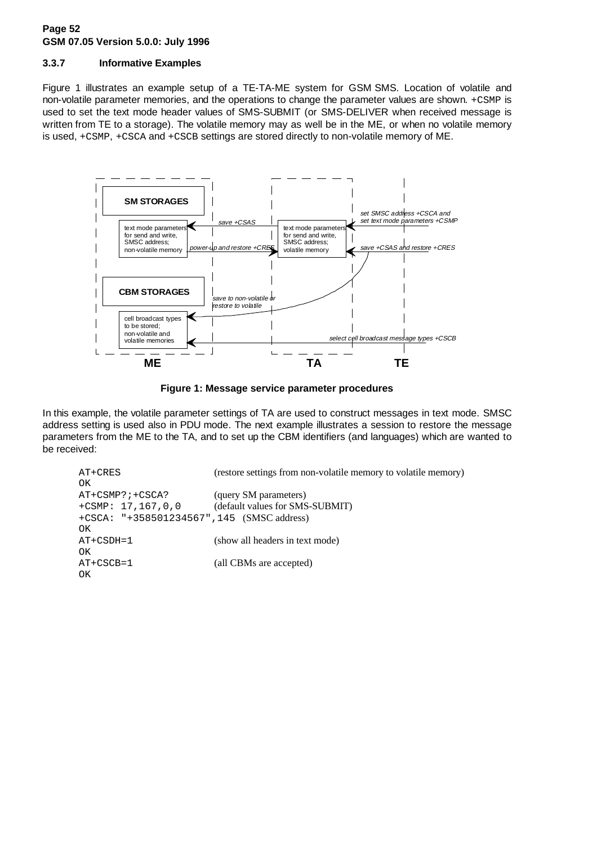# **Page 52 GSM 07.05 Version 5.0.0: July 1996**

# **3.3.7 Informative Examples**

Figure 1 illustrates an example setup of a TE-TA-ME system for GSM SMS. Location of volatile and non-volatile parameter memories, and the operations to change the parameter values are shown. +CSMP is used to set the text mode header values of SMS-SUBMIT (or SMS-DELIVER when received message is written from TE to a storage). The volatile memory may as well be in the ME, or when no volatile memory is used, +CSMP, +CSCA and +CSCB settings are stored directly to non-volatile memory of ME.



**Figure 1: Message service parameter procedures**

In this example, the volatile parameter settings of TA are used to construct messages in text mode. SMSC address setting is used also in PDU mode. The next example illustrates a session to restore the message parameters from the ME to the TA, and to set up the CBM identifiers (and languages) which are wanted to be received:

```
AT+CRES (restore settings from non-volatile memory to volatile memory)
OK
AT+CSMP?;+CSCA? (query SM parameters)
+CSMP: 17,167,0,0 (default values for SMS-SUBMIT)
+CSCA: "+358501234567",145 (SMSC address)
OK
AT+CSDH=1 (show all headers in text mode)
OK
AT+CSCB=1 (all CBMs are accepted)
OK
```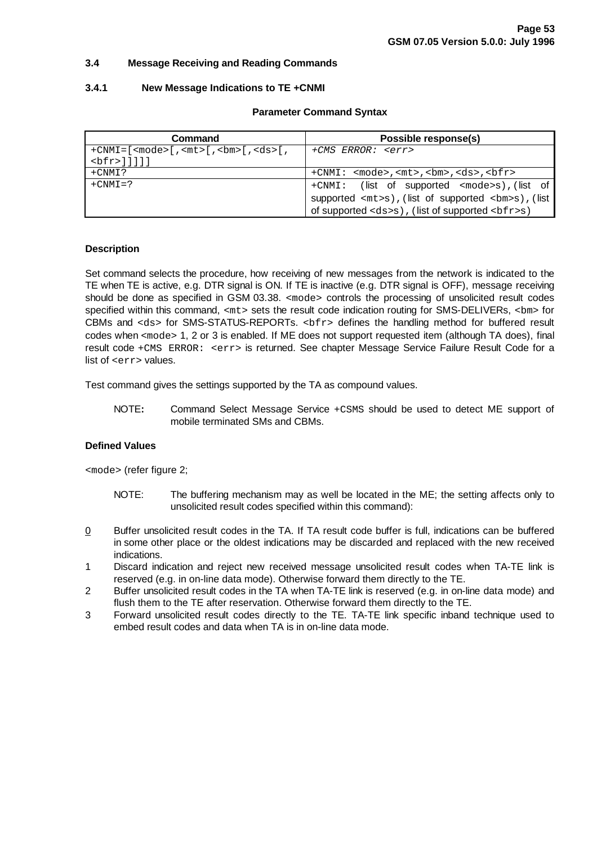# **3.4 Message Receiving and Reading Commands**

### **3.4.1 New Message Indications to TE +CNMI**

#### **Parameter Command Syntax**

| Command                                                               | Possible response(s)                                                 |  |
|-----------------------------------------------------------------------|----------------------------------------------------------------------|--|
| $+$ CNMI=[ <mode>[,<mt>[,<bm>[,<ds>[,</ds></bm></mt></mode>           | +CMS ERROR: <err></err>                                              |  |
| $<\text{bf}$ $\geq$ $\lfloor$ $\lfloor$ $\rfloor$ $\lfloor$ $\rfloor$ |                                                                      |  |
| +CNMI?                                                                | $+CNMI: mode > ,mt > ,dm > ,ds > ,bf >$                              |  |
| $+$ CNMI=?                                                            | $+$ CNMI: (list of supported $\leq$ mode>s), (list of                |  |
|                                                                       | supported $m$ $>$ s), (list of supported $pm$ s), (list              |  |
|                                                                       | of supported $<\text{ds}>s)$ , (list of supported $<\text{bfr}>s)$ ) |  |

### **Description**

Set command selects the procedure, how receiving of new messages from the network is indicated to the TE when TE is active, e.g. DTR signal is ON. If TE is inactive (e.g. DTR signal is OFF), message receiving should be done as specified in GSM 03.38. <mode> controls the processing of unsolicited result codes specified within this command, <mt> sets the result code indication routing for SMS-DELIVERs, <bm> for CBMs and <ds> for SMS-STATUS-REPORTs. <bfr> defines the handling method for buffered result codes when <mode> 1, 2 or 3 is enabled. If ME does not support requested item (although TA does), final result code +CMS ERROR: <err> is returned. See chapter Message Service Failure Result Code for a list of <err> values.

Test command gives the settings supported by the TA as compound values.

NOTE**:** Command Select Message Service +CSMS should be used to detect ME support of mobile terminated SMs and CBMs.

### **Defined Values**

<mode> (refer figure 2;

- NOTE: The buffering mechanism may as well be located in the ME; the setting affects only to unsolicited result codes specified within this command):
- 0 Buffer unsolicited result codes in the TA. If TA result code buffer is full, indications can be buffered in some other place or the oldest indications may be discarded and replaced with the new received indications.
- 1 Discard indication and reject new received message unsolicited result codes when TA-TE link is reserved (e.g. in on-line data mode). Otherwise forward them directly to the TE.
- 2 Buffer unsolicited result codes in the TA when TA-TE link is reserved (e.g. in on-line data mode) and flush them to the TE after reservation. Otherwise forward them directly to the TE.
- 3 Forward unsolicited result codes directly to the TE. TA-TE link specific inband technique used to embed result codes and data when TA is in on-line data mode.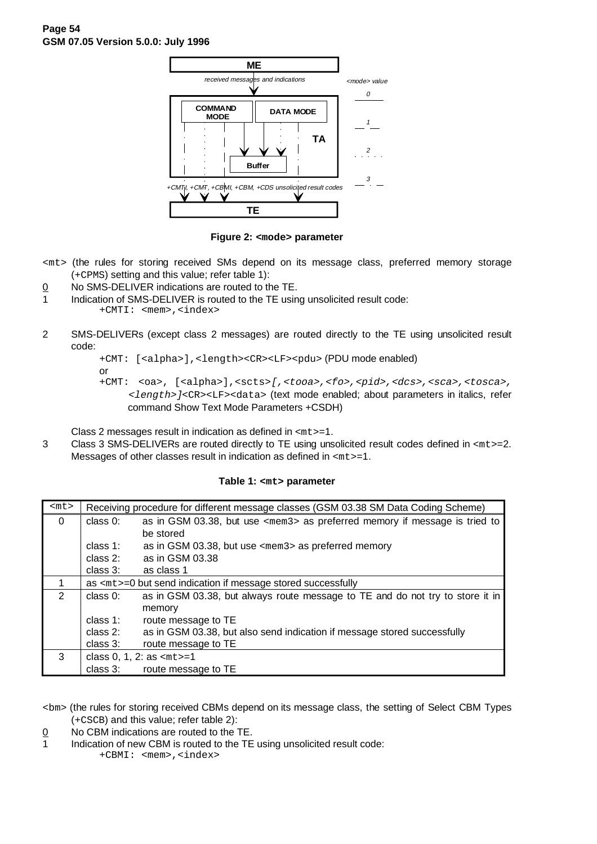# **Page 54 GSM 07.05 Version 5.0.0: July 1996**



**Figure 2: <mode> parameter**

- <mt> (the rules for storing received SMs depend on its message class, preferred memory storage (+CPMS) setting and this value; refer table 1):
- 0 No SMS-DELIVER indications are routed to the TE.
- 1 Indication of SMS-DELIVER is routed to the TE using unsolicited result code: +CMTI: <mem>,<index>
- 2 SMS-DELIVERs (except class 2 messages) are routed directly to the TE using unsolicited result code:

```
+CMT: [<alpha>],<length><CR><LF><pdu> (PDU mode enabled)
or
+CMT: <oa>, [<alpha>],<scts>[,<tooa>,<fo>,<pid>,<dcs>,<sca>,<tosca>,
     <length>]<CR><LF><data> (text mode enabled; about parameters in italics, refer
```
command Show Text Mode Parameters +CSDH)

Class 2 messages result in indication as defined in <mt>=1.

3 Class 3 SMS-DELIVERs are routed directly to TE using unsolicited result codes defined in <mt>=2. Messages of other classes result in indication as defined in  $\text{<}$ mt>=1.

#### **Table 1: <mt> parameter**

| $<$ mt $>$ |             | Receiving procedure for different message classes (GSM 03.38 SM Data Coding Scheme) |
|------------|-------------|-------------------------------------------------------------------------------------|
| 0          | class 0:    | as in GSM 03.38, but use <mem3> as preferred memory if message is tried to</mem3>   |
|            |             | be stored                                                                           |
|            | class $1$ : | as in GSM 03.38, but use $\leq m \leq m$ as preferred memory                        |
|            | $class 2$ : | as in GSM 03.38                                                                     |
|            | class 3:    | as class 1                                                                          |
|            |             | as <mt>=0 but send indication if message stored successfully</mt>                   |
| 2          | $class 0$ : | as in GSM 03.38, but always route message to TE and do not try to store it in       |
|            |             | memory                                                                              |
|            | class 1:    | route message to TE                                                                 |
|            | class 2:    | as in GSM 03.38, but also send indication if message stored successfully            |
|            | class 3:    | route message to TE                                                                 |
| 3          |             | class 0, 1, 2: as $\text{cm}z>=1$                                                   |
|            | class 3:    | route message to TE                                                                 |

<bm> (the rules for storing received CBMs depend on its message class, the setting of Select CBM Types (+CSCB) and this value; refer table 2):

- 0 No CBM indications are routed to the TE.
- 1 Indication of new CBM is routed to the TE using unsolicited result code: +CBMI: <mem>,<index>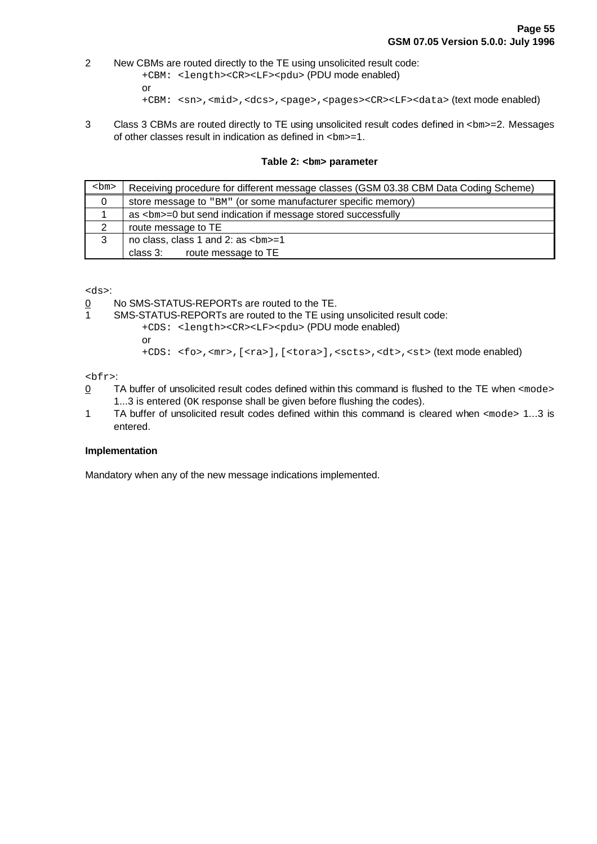2 New CBMs are routed directly to the TE using unsolicited result code: +CBM: <length><CR><LF><pdu> (PDU mode enabled) or +CBM: <sn>,<mid>,<dcs>,<page>,<pages><CR><LF><data>(text mode enabled)

3 Class 3 CBMs are routed directly to TE using unsolicited result codes defined in <bm> = 2. Messages of other classes result in indication as defined in <bm>=1.

### **Table 2: <bm> parameter**

| $$\rmmm$$ | Receiving procedure for different message classes (GSM 03.38 CBM Data Coding Scheme) |
|-----------|--------------------------------------------------------------------------------------|
| 0         | store message to "BM" (or some manufacturer specific memory)                         |
|           | as <bm>=0 but send indication if message stored successfully</bm>                    |
|           | route message to TE                                                                  |
| 3         | no class, class 1 and 2: as <bm>=1</bm>                                              |
|           | route message to TE<br>class 3:                                                      |

<ds>:

0 No SMS-STATUS-REPORTs are routed to the TE.

```
1 SMS-STATUS-REPORTs are routed to the TE using unsolicited result code:
          +CDS: <length><CR><LF><pdu> (PDU mode enabled)
```
or

+CDS: <fo>,<mr>,[<ra>],[<tora>],<scts>,<dt>,<st>(text mode enabled)

<bfr>:

- $\overline{0}$  TA buffer of unsolicited result codes defined within this command is flushed to the TE when  $\langle$ mode> 1...3 is entered (OK response shall be given before flushing the codes).
- 1 TA buffer of unsolicited result codes defined within this command is cleared when <mode> 1...3 is entered.

# **Implementation**

Mandatory when any of the new message indications implemented.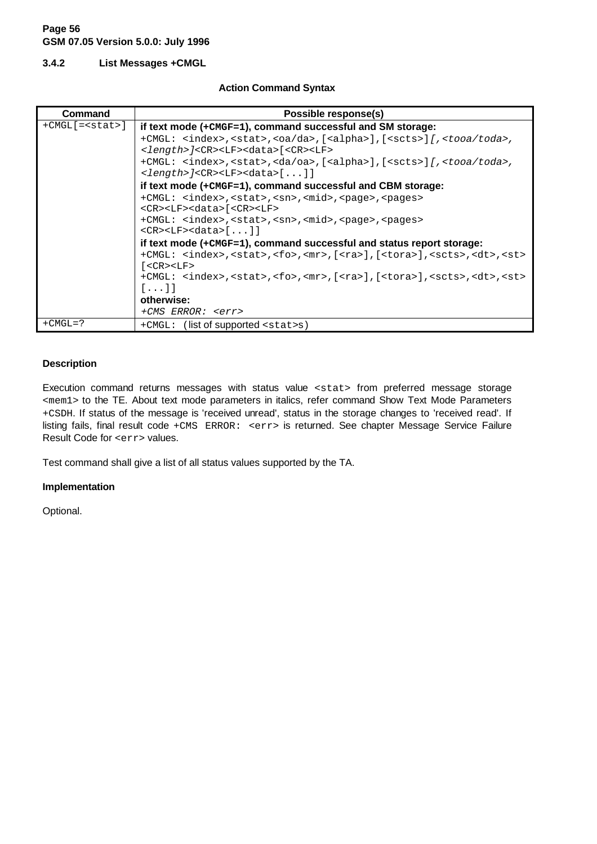# **3.4.2 List Messages +CMGL**

# **Action Command Syntax**

| Command               | Possible response(s)                                                                                                   |
|-----------------------|------------------------------------------------------------------------------------------------------------------------|
| $+CMGL$ = $<$ stat> ] | if text mode (+CMGF=1), command successful and SM storage:                                                             |
|                       | +CMGL: <index>, <stat>, <oa da="">, [<alpha>], [<scts>] [, <tooa toda="">,</tooa></scts></alpha></oa></stat></index>   |
|                       | <length>]<cr><lf><data>[<cr><lf></lf></cr></data></lf></cr></length>                                                   |
|                       | +CMGL: <index>,<stat>,<da oa="">,[<alpha>],[<scts>][,<tooa toda="">,</tooa></scts></alpha></da></stat></index>         |
|                       | $\langle length >   \langle CR \rangle \langle LF \rangle \langle data > []$                                           |
|                       | if text mode (+CMGF=1), command successful and CBM storage:                                                            |
|                       | +CMGL: <index>, <stat>, <sn>, <mid>, <page>, <pages></pages></page></mid></sn></stat></index>                          |
|                       | <cr><lf><data>[<cr><lf></lf></cr></data></lf></cr>                                                                     |
|                       | +CMGL: <index>, <stat>, <sn>, <mid>, <paqe>, <paqes></paqes></paqe></mid></sn></stat></index>                          |
|                       | $<$ CR> $<$ LF> $<$ data> $\lceil$ ]]                                                                                  |
|                       | if text mode (+CMGF=1), command successful and status report storage:                                                  |
|                       | +CMGL: <index>,<stat>,<fo>,<mr>,[<ra>],[<tora>],<scts>,<dt>,<st></st></dt></scts></tora></ra></mr></fo></stat></index> |
|                       | $\sqrt{\text{CR} > \text{L}}$ F>                                                                                       |
|                       | +CMGL: <index>,<stat>,<fo>,<mr>,[<ra>],[<tora>],<scts>,<dt>,<st></st></dt></scts></tora></ra></mr></fo></stat></index> |
|                       | []]                                                                                                                    |
|                       | otherwise:                                                                                                             |
|                       | +CMS ERROR: <err></err>                                                                                                |
| $+$ CMGL=?            | $+CMGL:$ (list of supported $\leq$ stat $>$ s)                                                                         |

# **Description**

Execution command returns messages with status value <stat> from preferred message storage <mem1> to the TE. About text mode parameters in italics, refer command Show Text Mode Parameters +CSDH. If status of the message is 'received unread', status in the storage changes to 'received read'. If listing fails, final result code +CMS ERROR: <err> is returned. See chapter Message Service Failure Result Code for <err> values.

Test command shall give a list of all status values supported by the TA.

# **Implementation**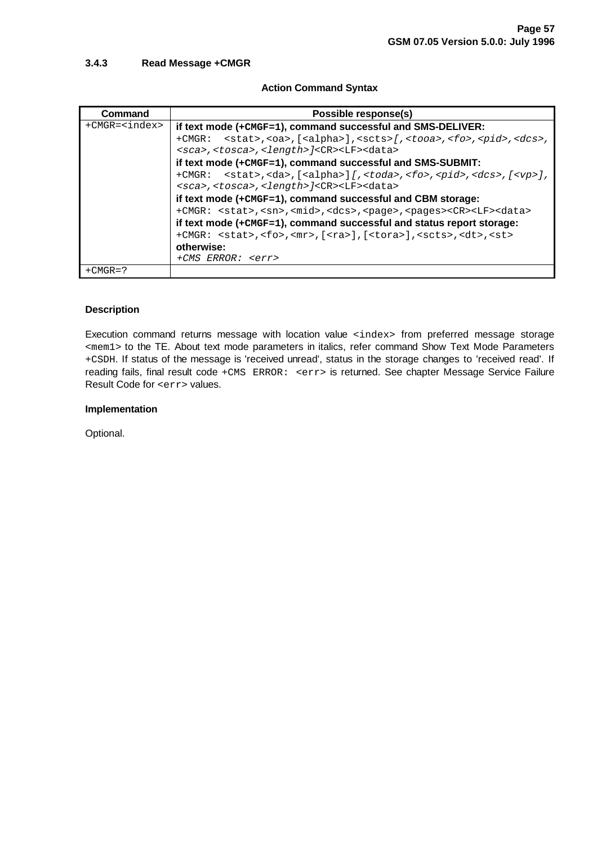# **3.4.3 Read Message +CMGR**

### **Action Command Syntax**

| Command                | Possible response(s)                                                                                                              |  |  |
|------------------------|-----------------------------------------------------------------------------------------------------------------------------------|--|--|
| +CMGR= <index></index> | if text mode (+CMGF=1), command successful and SMS-DELIVER:                                                                       |  |  |
|                        | <stat>,<oa>,[<alpha>],<scts>[,<tooa>,<fo>,<pid>,<dcs>,<br/><math>+</math>CMGR:</dcs></pid></fo></tooa></scts></alpha></oa></stat> |  |  |
|                        | <sca>, <tosca>, <length>]<cr><lf><data></data></lf></cr></length></tosca></sca>                                                   |  |  |
|                        | if text mode (+CMGF=1), command successful and SMS-SUBMIT:                                                                        |  |  |
|                        | <stat>,<da>,[<alpha>][,<toda>,<fo>,<pid>,<dcs>,[<vp>],<br/><math>+</math>CMGR:</vp></dcs></pid></fo></toda></alpha></da></stat>   |  |  |
|                        | <sca>,<tosca>,<length>]<cr><lf><data></data></lf></cr></length></tosca></sca>                                                     |  |  |
|                        | if text mode (+CMGF=1), command successful and CBM storage:                                                                       |  |  |
|                        | +CMGR: <stat>, <sn>, <mid>, <dcs>, <page>, <pages><cr><lf><data></data></lf></cr></pages></page></dcs></mid></sn></stat>          |  |  |
|                        | if text mode (+CMGF=1), command successful and status report storage:                                                             |  |  |
|                        | +CMGR: <stat>,<fo>,<mr>,[<ra>],[<tora>],<scts>,<dt>,<st></st></dt></scts></tora></ra></mr></fo></stat>                            |  |  |
|                        | otherwise:                                                                                                                        |  |  |
|                        | +CMS ERROR: <err></err>                                                                                                           |  |  |
| $+CMGR = ?$            |                                                                                                                                   |  |  |

### **Description**

Execution command returns message with location value <index> from preferred message storage <mem1> to the TE. About text mode parameters in italics, refer command Show Text Mode Parameters +CSDH. If status of the message is 'received unread', status in the storage changes to 'received read'. If reading fails, final result code +CMS ERROR: <err> is returned. See chapter Message Service Failure Result Code for <err> values.

#### **Implementation**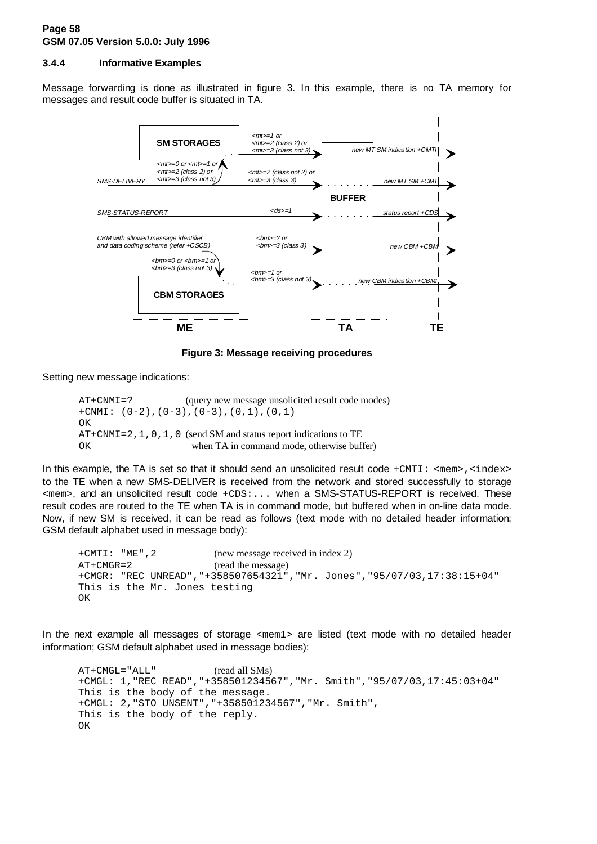# **3.4.4 Informative Examples**

Message forwarding is done as illustrated in figure 3. In this example, there is no TA memory for messages and result code buffer is situated in TA.



**Figure 3: Message receiving procedures**

Setting new message indications:

```
AT+CNMI=? (query new message unsolicited result code modes)
+CNMI: (0-2),(0-3),(0-3),(0,1),(0,1)OK
AT+CNMI=2,1,0,1,0 (send SM and status report indications to TE
OK when TA in command mode, otherwise buffer)
```
In this example, the TA is set so that it should send an unsolicited result code +CMTI: <mem>, <index> to the TE when a new SMS-DELIVER is received from the network and stored successfully to storage <mem>, and an unsolicited result code +CDS:... when a SMS-STATUS-REPORT is received. These result codes are routed to the TE when TA is in command mode, but buffered when in on-line data mode. Now, if new SM is received, it can be read as follows (text mode with no detailed header information; GSM default alphabet used in message body):

```
+CMTI: "ME",2 (new message received in index 2)
AT+CMGR=2 (read the message)
+CMGR: "REC UNREAD","+358507654321","Mr. Jones","95/07/03,17:38:15+04"
This is the Mr. Jones testing
OK
```
In the next example all messages of storage <mem1> are listed (text mode with no detailed header information; GSM default alphabet used in message bodies):

```
AT+CMGL="ALL" (read all SMs)
+CMGL: 1,"REC READ","+358501234567","Mr. Smith","95/07/03,17:45:03+04"
This is the body of the message.
+CMGL: 2,"STO UNSENT","+358501234567","Mr. Smith",
This is the body of the reply.
OK
```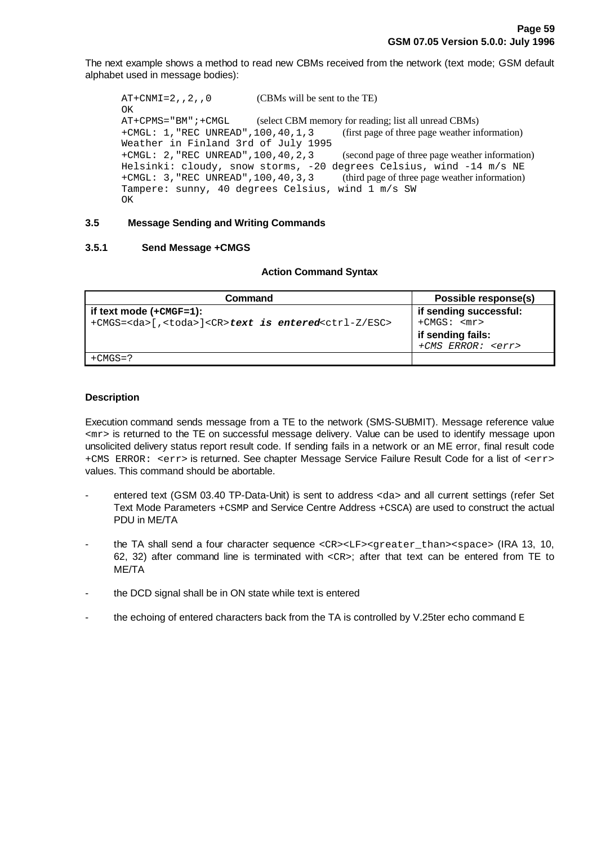The next example shows a method to read new CBMs received from the network (text mode; GSM default alphabet used in message bodies):

```
AT+CMMI = 2, 2, 0 (CBMs will be sent to the TE)
OK
AT+CPMS="BM";+CMGL (select CBM memory for reading; list all unread CBMs)
+CMGL: 1,"REC UNREAD",100,40,1,3 (first page of three page weather information)
Weather in Finland 3rd of July 1995
+CMGL: 2,"REC UNREAD",100,40,2,3 (second page of three page weather information)
Helsinki: cloudy, snow storms, -20 degrees Celsius, wind -14 m/s NE
+CMGL: 3,"REC UNREAD",100,40,3,3 (third page of three page weather information)
Tampere: sunny, 40 degrees Celsius, wind 1 m/s SW
OK
```
# **3.5 Message Sending and Writing Commands**

# **3.5.1 Send Message +CMGS**

# **Action Command Syntax**

| Command                                                                          | Possible response(s)    |
|----------------------------------------------------------------------------------|-------------------------|
| if text mode $(+CHGF=1)$ :                                                       | if sending successful:  |
| +CMGS= <da>[,<toda>]<cr>text is entered<ctrl-z esc=""></ctrl-z></cr></toda></da> | $+$ CMGS: $<$ mr>       |
|                                                                                  | if sending fails:       |
|                                                                                  | +CMS ERROR: <err></err> |
| $+CMGS = ?$                                                                      |                         |

# **Description**

Execution command sends message from a TE to the network (SMS-SUBMIT). Message reference value <mr> is returned to the TE on successful message delivery. Value can be used to identify message upon unsolicited delivery status report result code. If sending fails in a network or an ME error, final result code +CMS ERROR: <err> is returned. See chapter Message Service Failure Result Code for a list of <err> values. This command should be abortable.

- entered text (GSM 03.40 TP-Data-Unit) is sent to address <da> and all current settings (refer Set Text Mode Parameters +CSMP and Service Centre Address +CSCA) are used to construct the actual PDU in ME/TA
- the TA shall send a four character sequence <CR><LF><greater\_than><space> (IRA 13, 10, 62, 32) after command line is terminated with  $\langle CR \rangle$ ; after that text can be entered from TE to ME/TA
- the DCD signal shall be in ON state while text is entered
- the echoing of entered characters back from the TA is controlled by V.25ter echo command  $E$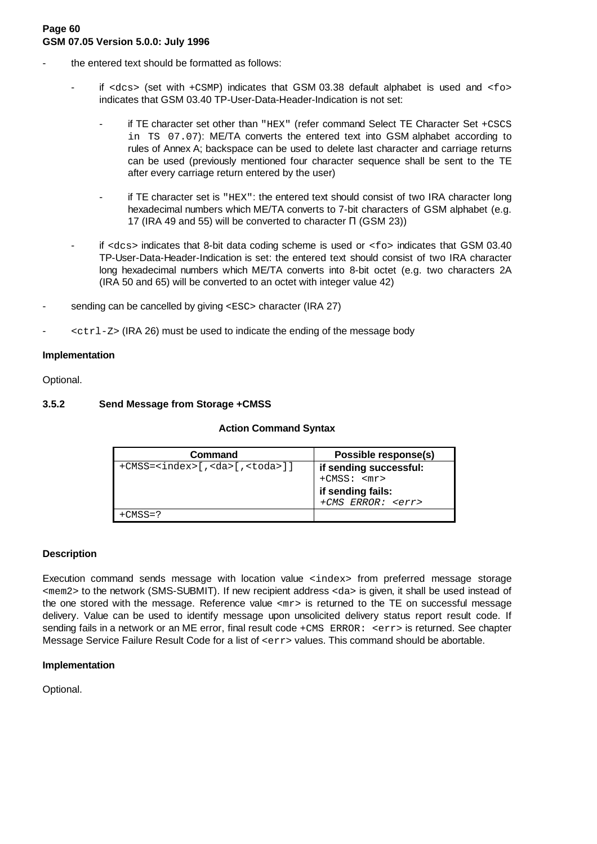- the entered text should be formatted as follows:
	- if  $<$  dcs> (set with  $+$ CSMP) indicates that GSM 03.38 default alphabet is used and  $<$  fo> indicates that GSM 03.40 TP-User-Data-Header-Indication is not set:
		- if TE character set other than "HEX" (refer command Select TE Character Set  $+CSCS$ in TS 07.07): ME/TA converts the entered text into GSM alphabet according to rules of Annex A; backspace can be used to delete last character and carriage returns can be used (previously mentioned four character sequence shall be sent to the TE after every carriage return entered by the user)
		- If TE character set is "HEX": the entered text should consist of two IRA character long hexadecimal numbers which ME/TA converts to 7-bit characters of GSM alphabet (e.g. 17 (IRA 49 and 55) will be converted to character Π (GSM 23))
	- if  $<\text{dcs}$  indicates that 8-bit data coding scheme is used or  $$  indicates that GSM 03.40 TP-User-Data-Header-Indication is set: the entered text should consist of two IRA character long hexadecimal numbers which ME/TA converts into 8-bit octet (e.g. two characters 2A (IRA 50 and 65) will be converted to an octet with integer value 42)
- sending can be cancelled by giving <ESC> character (IRA 27)
- $<$ ctrl-Z> (IRA 26) must be used to indicate the ending of the message body

### **Implementation**

Optional.

# **3.5.2 Send Message from Storage +CMSS**

#### **Action Command Syntax**

| Command            | Possible response(s)    |  |  |  |  |
|--------------------|-------------------------|--|--|--|--|
| $+CMSs = [ , [ , $ | if sending successful:  |  |  |  |  |
|                    | $+$ CMSS: $<$ mr>       |  |  |  |  |
|                    | if sending fails:       |  |  |  |  |
|                    | +CMS ERROR: <err></err> |  |  |  |  |
| $+CMSS = ?$        |                         |  |  |  |  |

#### **Description**

Execution command sends message with location value <index> from preferred message storage <mem2> to the network (SMS-SUBMIT). If new recipient address <da> is given, it shall be used instead of the one stored with the message. Reference value <mr> is returned to the TE on successful message delivery. Value can be used to identify message upon unsolicited delivery status report result code. If sending fails in a network or an ME error, final result code +CMS ERROR: <err> is returned. See chapter Message Service Failure Result Code for a list of <err> values. This command should be abortable.

#### **Implementation**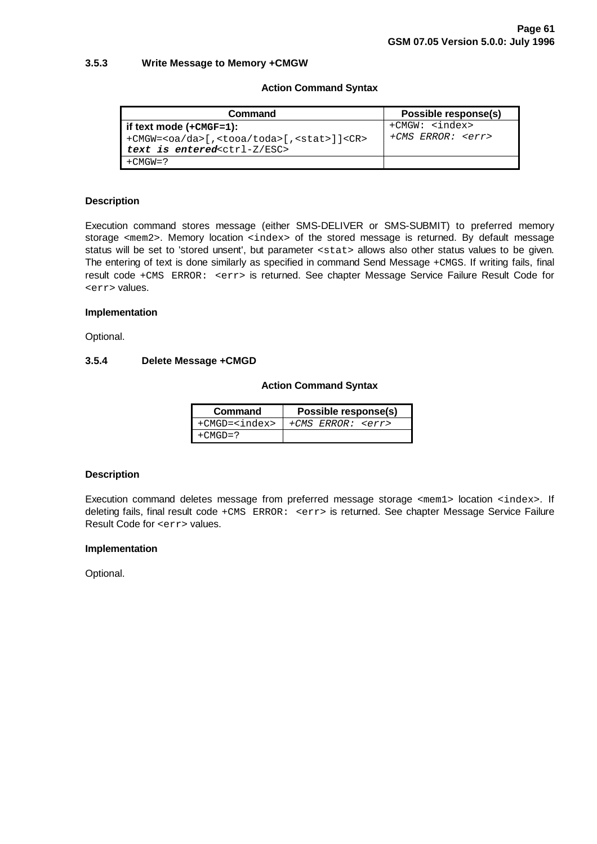### **3.5.3 Write Message to Memory +CMGW**

#### **Action Command Syntax**

| Command                                                                 | Possible response(s)    |  |  |  |  |
|-------------------------------------------------------------------------|-------------------------|--|--|--|--|
| If text mode $(+CHGF=1)$ :                                              | +CMGW: <index></index>  |  |  |  |  |
| -CMGW= <oa da="">[,<tooa toda="">[,<stat>]]<cr></cr></stat></tooa></oa> | +CMS ERROR: <err></err> |  |  |  |  |
| text is entered <ctrl-z esc=""></ctrl-z>                                |                         |  |  |  |  |
| +CMGW=?                                                                 |                         |  |  |  |  |

### **Description**

Execution command stores message (either SMS-DELIVER or SMS-SUBMIT) to preferred memory storage <mem2>. Memory location <index> of the stored message is returned. By default message status will be set to 'stored unsent', but parameter <stat> allows also other status values to be given. The entering of text is done similarly as specified in command Send Message  $+CMGS$ . If writing fails, final result code +CMS ERROR: <err> is returned. See chapter Message Service Failure Result Code for <err> values.

#### **Implementation**

Optional.

#### **3.5.4 Delete Message +CMGD**

#### **Action Command Syntax**

| Command                | Possible response(s)    |
|------------------------|-------------------------|
| -CMGD= <index></index> | +CMS ERROR: <err></err> |
| $+CMGD = ?$            |                         |

#### **Description**

Execution command deletes message from preferred message storage <mem1> location <index>. If deleting fails, final result code +CMS ERROR: <err> is returned. See chapter Message Service Failure Result Code for <err> values.

#### **Implementation**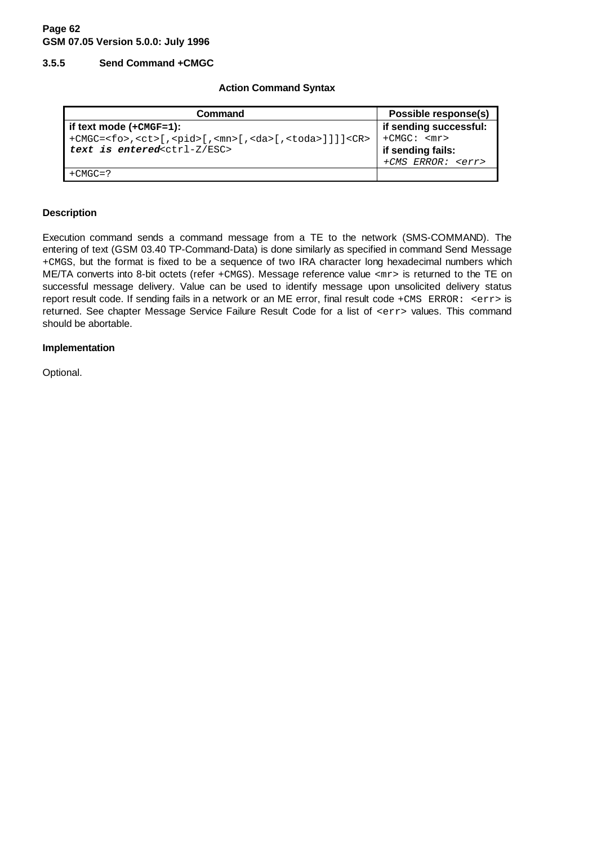# **3.5.5 Send Command +CMGC**

### **Action Command Syntax**

| Command                                                                                                                       | Possible response(s)                         |
|-------------------------------------------------------------------------------------------------------------------------------|----------------------------------------------|
| $\mid$ if text mode (+CMGF=1):<br>  +CMGC= <fo>,<ct>[,<pid>[,<mn>[,<da>[,<toda>]]]]<cr></cr></toda></da></mn></pid></ct></fo> | if sending successful:<br>+CMGC: <mr></mr>   |
| text is entered <ctrl-z esc=""></ctrl-z>                                                                                      | if sending fails:<br>+CMS ERROR: <err></err> |
| +CMGC=?                                                                                                                       |                                              |

### **Description**

Execution command sends a command message from a TE to the network (SMS-COMMAND). The entering of text (GSM 03.40 TP-Command-Data) is done similarly as specified in command Send Message +CMGS, but the format is fixed to be a sequence of two IRA character long hexadecimal numbers which ME/TA converts into 8-bit octets (refer +CMGS). Message reference value <mr> is returned to the TE on successful message delivery. Value can be used to identify message upon unsolicited delivery status report result code. If sending fails in a network or an ME error, final result code +CMS ERROR: <err> is returned. See chapter Message Service Failure Result Code for a list of <err>values. This command should be abortable.

#### **Implementation**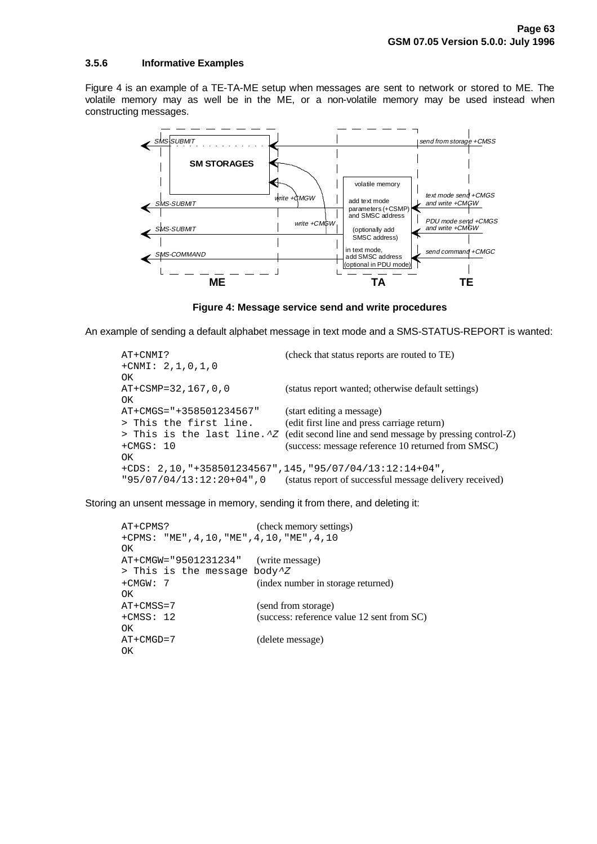### **3.5.6 Informative Examples**

Figure 4 is an example of a TE-TA-ME setup when messages are sent to network or stored to ME. The volatile memory may as well be in the ME, or a non-volatile memory may be used instead when constructing messages.



**Figure 4: Message service send and write procedures**

An example of sending a default alphabet message in text mode and a SMS-STATUS-REPORT is wanted:

```
AT+CNMI? (check that status reports are routed to TE)
+CNMI: 2,1,0,1,0
OK
AT+CSMP=32,167,0,0 (status report wanted; otherwise default settings)
OK
AT+CMGS="+358501234567" (start editing a message)
> This the first line. (edit first line and press carriage return)
> This is the last line.\textdegree{Z} (edit second line and send message by pressing control-Z)
+CMGS: 10 (success: message reference 10 returned from SMSC)
OK
+CDS: 2,10,"+358501234567",145,"95/07/04/13:12:14+04",
"95/07/04/13:12:20+04",0 (status report of successful message delivery received)
```
Storing an unsent message in memory, sending it from there, and deleting it:

```
AT+CPMS? (check memory settings)
+CPMS: "ME",4,10,"ME",4,10,"ME",4,10
OK
AT+CMGW="9501231234" (write message)
> This is the message body^Z
+CMGW: 7 (index number in storage returned)
OK
AT+CMSS=7 (send from storage)
+CMSS: 12 (success: reference value 12 sent from SC)
OK
AT+CMGD=7 (delete message)
OK
```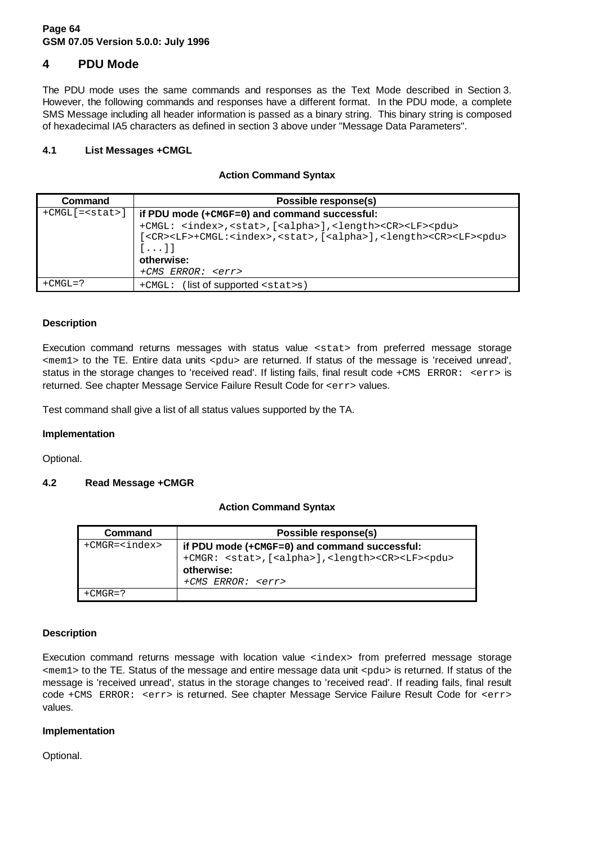# **Page 64 GSM 07.05 Version 5.0.0: July 1996**

# **4 PDU Mode**

The PDU mode uses the same commands and responses as the Text Mode described in Section 3. However, the following commands and responses have a different format. In the PDU mode, a complete SMS Message including all header information is passed as a binary string. This binary string is composed of hexadecimal IA5 characters as defined in section 3 above under "Message Data Parameters".

# **4.1 List Messages +CMGL**

# **Action Command Syntax**

| Command              | Possible response(s)                                                                                                     |
|----------------------|--------------------------------------------------------------------------------------------------------------------------|
| $+CMGL$ = $<$ stat>] | if PDU mode (+CMGF=0) and command successful:                                                                            |
|                      | +CMGL: <index>, <stat>, [<alpha>], <length><cr><lf><pdu></pdu></lf></cr></length></alpha></stat></index>                 |
|                      | [ <cr><lf>+CMGL:<index>,<stat>,[<alpha>],<length><cr><lf><pdu></pdu></lf></cr></length></alpha></stat></index></lf></cr> |
|                      | $[\ldots]$                                                                                                               |
|                      | otherwise:                                                                                                               |
|                      | +CMS ERROR: <err></err>                                                                                                  |
| $+CMGL = ?$          | +CMGL: (list of supported <stat>s)</stat>                                                                                |

# **Description**

Execution command returns messages with status value <stat> from preferred message storage <mem1> to the TE. Entire data units <pdu> are returned. If status of the message is 'received unread', status in the storage changes to 'received read'. If listing fails, final result code +CMS ERROR: <err> is returned. See chapter Message Service Failure Result Code for <err> values.

Test command shall give a list of all status values supported by the TA.

# **Implementation**

Optional.

# **4.2 Read Message +CMGR**

# **Action Command Syntax**

| <b>Command</b>         | Possible response(s)                                                                    |  |  |  |  |  |  |  |  |
|------------------------|-----------------------------------------------------------------------------------------|--|--|--|--|--|--|--|--|
| +CMGR= <index></index> | if PDU mode $(+ \text{CMGF}=0)$ and command successful:                                 |  |  |  |  |  |  |  |  |
|                        | +CMGR: <stat>, [<alpha>], <length><cr><lf><pdu></pdu></lf></cr></length></alpha></stat> |  |  |  |  |  |  |  |  |
|                        | otherwise:                                                                              |  |  |  |  |  |  |  |  |
|                        | +CMS ERROR: <err></err>                                                                 |  |  |  |  |  |  |  |  |
| $+CMGR = ?$            |                                                                                         |  |  |  |  |  |  |  |  |

# **Description**

Execution command returns message with location value <index> from preferred message storage  $\epsilon$ mem1> to the TE. Status of the message and entire message data unit  $\epsilon$ pdu> is returned. If status of the message is 'received unread', status in the storage changes to 'received read'. If reading fails, final result code +CMS ERROR: <err> is returned. See chapter Message Service Failure Result Code for <err> values.

# **Implementation**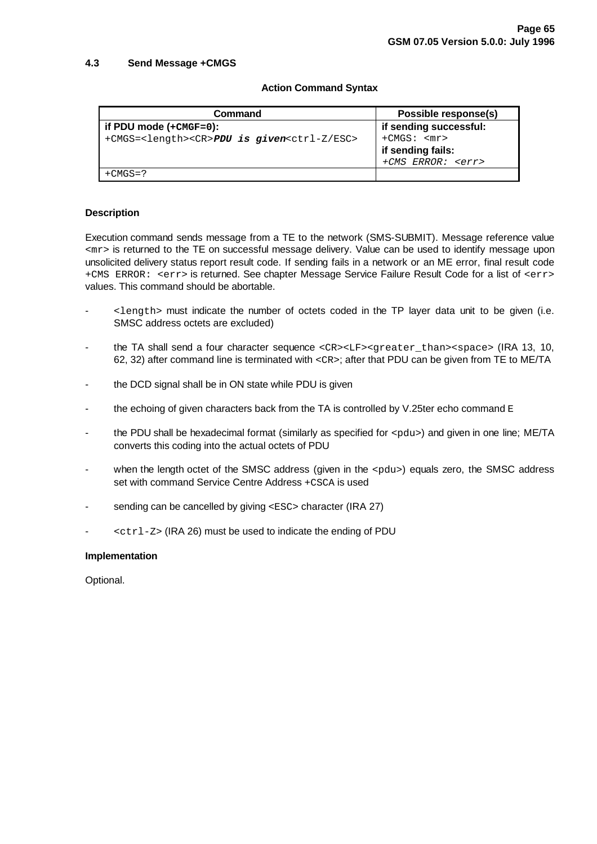# **Action Command Syntax**

| Command                                                               | Possible response(s)    |
|-----------------------------------------------------------------------|-------------------------|
| if PDU mode $(+CHGF=0)$ :                                             | if sending successful:  |
| +CMGS= <length><cr>PDU is given<ctrl-z esc=""></ctrl-z></cr></length> | $+$ CMGS: $<$ mr>       |
|                                                                       | if sending fails:       |
|                                                                       | +CMS ERROR: <err></err> |
| $+$ CMGS=?                                                            |                         |

### **Description**

Execution command sends message from a TE to the network (SMS-SUBMIT). Message reference value <mr> is returned to the TE on successful message delivery. Value can be used to identify message upon unsolicited delivery status report result code. If sending fails in a network or an ME error, final result code +CMS ERROR: <err> is returned. See chapter Message Service Failure Result Code for a list of <err> values. This command should be abortable.

- <length> must indicate the number of octets coded in the TP layer data unit to be given (i.e. SMSC address octets are excluded)
- the TA shall send a four character sequence <CR><LF><greater\_than><space> (IRA 13, 10, 62, 32) after command line is terminated with <CR>; after that PDU can be given from TE to ME/TA
- the DCD signal shall be in ON state while PDU is given
- the echoing of given characters back from the TA is controlled by V.25ter echo command  $E$
- the PDU shall be hexadecimal format (similarly as specified for <pdu>) and given in one line; ME/TA converts this coding into the actual octets of PDU
- when the length octet of the SMSC address (given in the <pdu>) equals zero, the SMSC address set with command Service Centre Address +CSCA is used
- sending can be cancelled by giving <ESC> character (IRA 27)
- <ctrl-Z> (IRA 26) must be used to indicate the ending of PDU

#### **Implementation**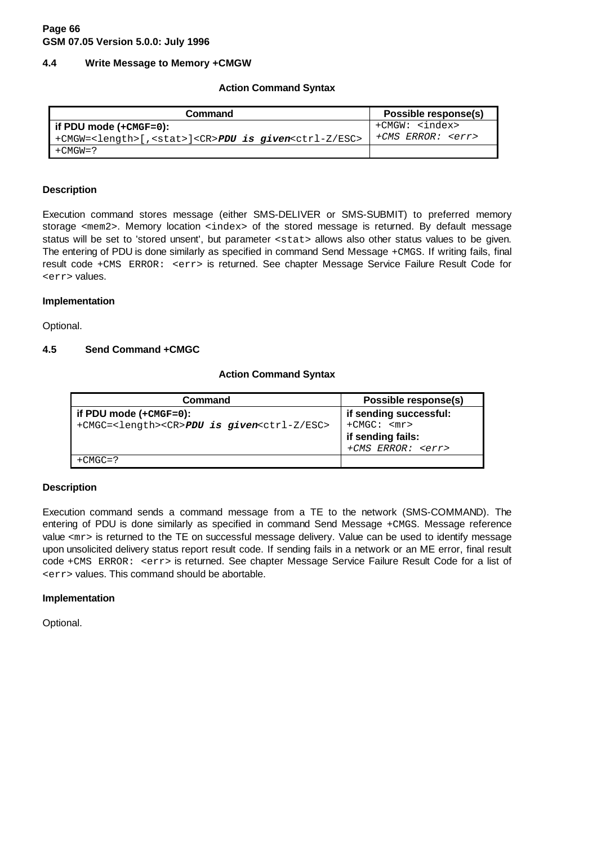### **4.4 Write Message to Memory +CMGW**

#### **Action Command Syntax**

| Command                                                                               | Possible response(s)    |  |  |  |
|---------------------------------------------------------------------------------------|-------------------------|--|--|--|
| $\vert$ if PDU mode (+CMGF=0):                                                        | +CMGW: <index></index>  |  |  |  |
| -CMGW= <length>[,<stat>]<cr>PDU is given<ctrl-z esc=""></ctrl-z></cr></stat></length> | +CMS ERROR: <err></err> |  |  |  |
| +CMGW=?                                                                               |                         |  |  |  |

#### **Description**

Execution command stores message (either SMS-DELIVER or SMS-SUBMIT) to preferred memory storage <mem2>. Memory location <index> of the stored message is returned. By default message status will be set to 'stored unsent', but parameter <stat> allows also other status values to be given. The entering of PDU is done similarly as specified in command Send Message +CMGS. If writing fails, final result code +CMS ERROR: <err> is returned. See chapter Message Service Failure Result Code for <err> values.

### **Implementation**

Optional.

# **4.5 Send Command +CMGC**

#### **Action Command Syntax**

| <b>Command</b>                                                        | Possible response(s)    |  |  |  |  |
|-----------------------------------------------------------------------|-------------------------|--|--|--|--|
| if PDU mode $(+CHGF=0)$ :                                             | if sending successful:  |  |  |  |  |
| +CMGC= <length><cr>PDU is given<ctrl-z esc=""></ctrl-z></cr></length> | $+CMGC:$ <mr></mr>      |  |  |  |  |
|                                                                       | if sending fails:       |  |  |  |  |
|                                                                       | +CMS ERROR: <err></err> |  |  |  |  |
| +CMGC=?                                                               |                         |  |  |  |  |

### **Description**

Execution command sends a command message from a TE to the network (SMS-COMMAND). The entering of PDU is done similarly as specified in command Send Message +CMGS. Message reference value <mr> is returned to the TE on successful message delivery. Value can be used to identify message upon unsolicited delivery status report result code. If sending fails in a network or an ME error, final result code +CMS ERROR: <err> is returned. See chapter Message Service Failure Result Code for a list of <err> values. This command should be abortable.

### **Implementation**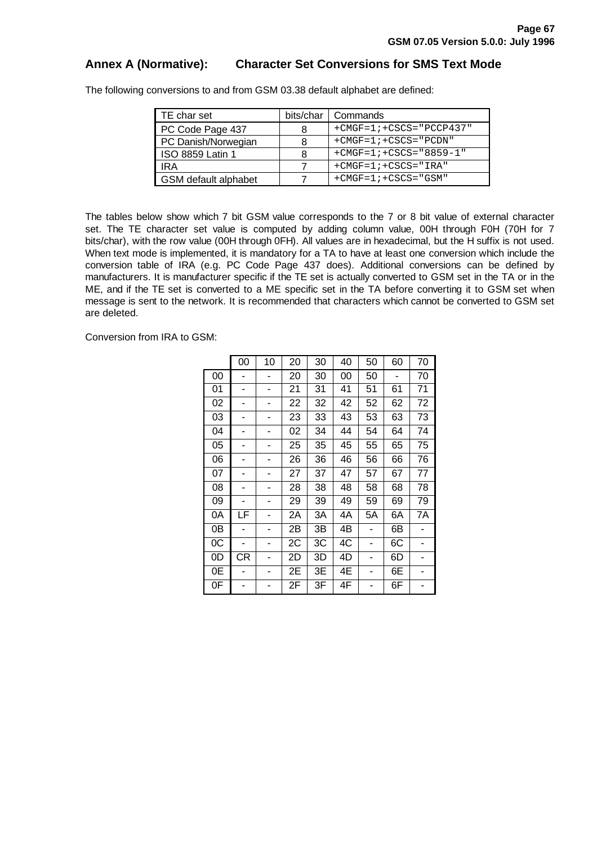# **Annex A (Normative): Character Set Conversions for SMS Text Mode**

| TE char set             | bits/char | Commands                         |
|-------------------------|-----------|----------------------------------|
| PC Code Page 437        |           | $+CMGF=1; +CSCS = "PCCP437"$     |
| PC Danish/Norwegian     |           | $+$ CMGF= $1;$ +CSCS="PCDN"      |
| <b>ISO 8859 Latin 1</b> |           | $+CMGF = 1; + CSCS = "8859 - 1"$ |
| IRA                     |           | $+CMGF=1; +CSCS = "IRA"$         |
| GSM default alphabet    |           | $+CMGF=1; +CSCS = "GSM"$         |

The following conversions to and from GSM 03.38 default alphabet are defined:

The tables below show which 7 bit GSM value corresponds to the 7 or 8 bit value of external character set. The TE character set value is computed by adding column value, 00H through F0H (70H for 7 bits/char), with the row value (00H through 0FH). All values are in hexadecimal, but the H suffix is not used. When text mode is implemented, it is mandatory for a TA to have at least one conversion which include the conversion table of IRA (e.g. PC Code Page 437 does). Additional conversions can be defined by manufacturers. It is manufacturer specific if the TE set is actually converted to GSM set in the TA or in the ME, and if the TE set is converted to a ME specific set in the TA before converting it to GSM set when message is sent to the network. It is recommended that characters which cannot be converted to GSM set are deleted.

Conversion from IRA to GSM:

|    | 00  | 10 | 20 | 30 | 40 | 50 | 60 | 70 |
|----|-----|----|----|----|----|----|----|----|
| 00 |     | ۰  | 20 | 30 | 00 | 50 |    | 70 |
| 01 | -   | ۰  | 21 | 31 | 41 | 51 | 61 | 71 |
| 02 |     |    | 22 | 32 | 42 | 52 | 62 | 72 |
| 03 |     |    | 23 | 33 | 43 | 53 | 63 | 73 |
| 04 |     |    | 02 | 34 | 44 | 54 | 64 | 74 |
| 05 |     |    | 25 | 35 | 45 | 55 | 65 | 75 |
| 06 |     |    | 26 | 36 | 46 | 56 | 66 | 76 |
| 07 |     |    | 27 | 37 | 47 | 57 | 67 | 77 |
| 08 |     |    | 28 | 38 | 48 | 58 | 68 | 78 |
| 09 |     |    | 29 | 39 | 49 | 59 | 69 | 79 |
| 0A | LF  |    | 2Α | ЗA | 4A | 5A | 6A | 7A |
| 0Β |     |    | 2B | 3B | 4B |    | 6B |    |
| 0C |     |    | 2C | 3C | 4C |    | 6C |    |
| 0D | CR. |    | 2D | 3D | 4D |    | 6D |    |
| 0Ε |     |    | 2E | 3E | 4Ε |    | 6E |    |
| 0F |     |    | 2F | 3F | 4F |    | 6F |    |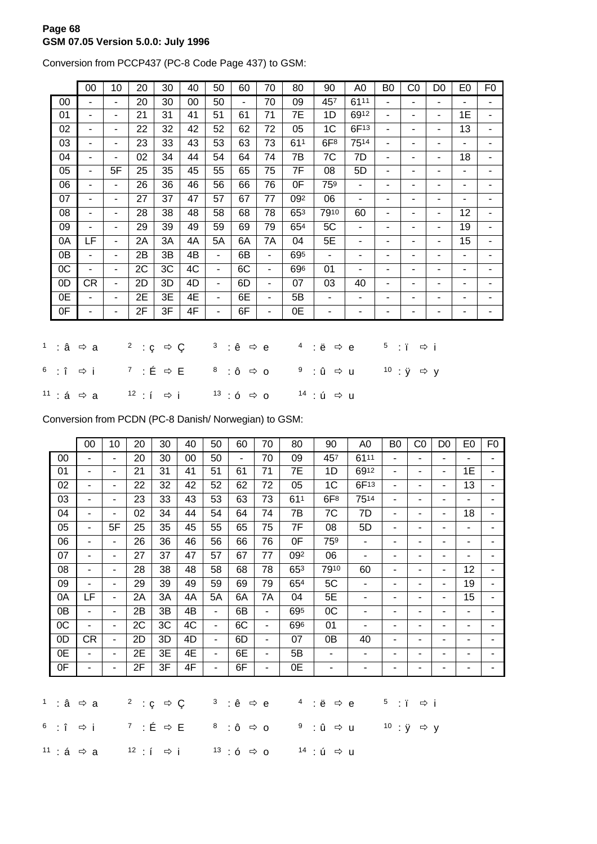# **Page 68 GSM 07.05 Version 5.0.0: July 1996**

| 00<br>01<br>02<br>03 | ۰<br>۰<br>۰<br>۰    | ٠<br>٠<br>۰ | 20<br>21<br>22 | 30<br>31            | 00 | 50                       | $\blacksquare$ |                 |     |                            |                          |                |                |                          |                          |   |
|----------------------|---------------------|-------------|----------------|---------------------|----|--------------------------|----------------|-----------------|-----|----------------------------|--------------------------|----------------|----------------|--------------------------|--------------------------|---|
|                      |                     |             |                |                     |    |                          |                | 70              | 09  | 457                        | 6111                     | ۰              | ۰              | ۰                        | $\blacksquare$           | ۰ |
|                      |                     |             |                |                     | 41 | 51                       | 61             | 71              | 7Е  | 1D                         | 6912                     | ۰              | ۰              | ۰                        | 1E                       |   |
|                      |                     |             |                | 32                  | 42 | 52                       | 62             | 72              | 05  | 1C                         | 6F13                     | ٠              | ۰              | ٠                        | 13                       | ٠ |
|                      |                     | ۰           | 23             | 33                  | 43 | 53                       | 63             | 73              | 611 | 6F <sup>8</sup>            | 7514                     | ۰              | $\blacksquare$ | ۰                        |                          |   |
| 04                   | ۰                   | ۰           | 02             | 34                  | 44 | 54                       | 64             | 74              | 7B  | 7C                         | 7D                       | ۰              | ۰              | ۰                        | 18                       | ٠ |
| 05                   | ٠                   | 5F          | 25             | 35                  | 45 | 55                       | 65             | 75              | 7F  | 08                         | 5D                       | ۰              | ۰              | ۰                        | $\overline{\phantom{a}}$ | ۰ |
| 06                   | ۰                   | ٠           | 26             | 36                  | 46 | 56                       | 66             | 76              | 0F  | 759                        | ۰                        | ۰              | ۰              | ۰                        | ٠                        | ۰ |
| 07                   | ۰                   | ٠           | 27             | 37                  | 47 | 57                       | 67             | 77              | 092 | 06                         | ۰                        | ۰              | ۰              | ۰                        | ٠                        | ۰ |
| 08                   | ۰                   | ٠           | 28             | 38                  | 48 | 58                       | 68             | 78              | 653 | 7910                       | 60                       | $\blacksquare$ | $\blacksquare$ | ۰                        | 12                       |   |
| 09                   | ۰                   | ۰.          | 29             | 39                  | 49 | 59                       | 69             | 79              | 654 | 5C                         | ٠                        | ۰              | ۰              |                          | 19                       | ۰ |
| 0A                   | LF                  | ۰           | 2A             | 3A                  | 4A | 5A                       | 6A             | 7A              | 04  | 5E                         | $\overline{a}$           | ۰              | ۰              | ٠                        | 15                       | ۰ |
| 0B                   | ۰.                  | ٠           | 2B             | 3B                  | 4B | $\blacksquare$           | 6B             | ۰.              | 695 | $\blacksquare$             | ٠                        | ۰              | ۰              | ۰                        | $\blacksquare$           | ٠ |
| OC                   | ۰                   | ٠           | 2C             | 3C                  | 4C | ۰                        | 6C             | ۰.              | 696 | 01                         | ۰                        | $\blacksquare$ | ۰              | ۰                        | -                        | ۰ |
| 0D                   | CR                  | ۰.          | 2D             | 3D                  | 4D | ۰                        | 6D             | ٠.              | 07  | 03                         | 40                       | ۰              | ۰              | ۰                        | ۰                        |   |
| 0E                   | ۰                   | ٠           | 2E             | 3E                  | 4E | $\overline{\phantom{a}}$ | 6E             | ۰               | 5B  | ٠                          | $\overline{\phantom{a}}$ | ۰              | ۰              | ۰                        | -                        |   |
| 0F                   | ۰                   | ۰           | 2F             | 3F                  | 4F | $\overline{\phantom{a}}$ | 6F             | ۰.              | 0E  | ۰                          | ٠                        | ۰              | ۰              | $\overline{\phantom{a}}$ | $\overline{\phantom{a}}$ |   |
|                      |                     |             |                |                     |    |                          |                |                 |     |                            |                          |                |                |                          |                          |   |
| $^1$ : â             | $\Leftrightarrow$ a |             | $\mathbf{2}$   | : $c \Rightarrow C$ |    | 3                        | ∶ê             | $\Rightarrow$ e | 4   | : ë<br>$\Leftrightarrow$ e |                          | 5              | ∴ï.            | ⇒ i                      |                          |   |

Conversion from PCCP437 (PC-8 Code Page 437) to GSM:

|  | $\pm$ :a $\rightarrow$ a $\pm$ : c $\rightarrow$ c $\rightarrow$ .e $\rightarrow$ e $\pm$ c $\pm$ c $\pm$ c $\pm$ c $\pm$ c $\pm$ c $\pm$ c $\pm$ c $\pm$ c $\pm$ c $\pm$ c $\pm$ c $\pm$ c $\pm$ c $\pm$ c $\pm$ c $\pm$ c $\pm$ c $\pm$ c $\pm$ c $\pm$ c $\pm$ c $\pm$ c $\pm$ c $\pm$ c |  |
|--|---------------------------------------------------------------------------------------------------------------------------------------------------------------------------------------------------------------------------------------------------------------------------------------------|--|
|  | 6 : î $\Leftrightarrow$ i $\overline{1}$ : $\overline{2}$ $\Rightarrow$ E $\overline{6}$ $\Rightarrow$ 6 $\Rightarrow$ 6 $\Rightarrow$ 0 $\overline{9}$ : û $\Rightarrow$ u $\overline{10}$ : $\overline{y}$ $\Rightarrow$ y                                                                |  |
|  | $11 : \acute{a} \Rightarrow a$ $12 : \acute{i} \Rightarrow \acute{i}$ $13 : \acute{0} \Rightarrow o$ $14 : \acute{u} \Rightarrow u$                                                                                                                                                         |  |

Conversion from PCDN (PC-8 Danish/ Norwegian) to GSM:

|    | 00 | 10 | 20 | 30 | 40 | 50 | 60 | 70 | 80  | 90              | A0               | B0                       | C <sub>0</sub> | D <sub>0</sub> | E <sub>0</sub>           | F <sub>0</sub> |
|----|----|----|----|----|----|----|----|----|-----|-----------------|------------------|--------------------------|----------------|----------------|--------------------------|----------------|
| 00 | ۰  | ۰  | 20 | 30 | 00 | 50 | ٠  | 70 | 09  | 457             | 6111             |                          |                |                |                          | -              |
| 01 | ۰  | ۰  | 21 | 31 | 41 | 51 | 61 | 71 | 7E  | 1D              | 6912             | ۰                        |                | -              | 1E                       |                |
| 02 | ۰  | ٠  | 22 | 32 | 42 | 52 | 62 | 72 | 05  | 1C              | 6F <sub>13</sub> | -                        | -              | ۰              | 13                       | -              |
| 03 | ۰  | ٠  | 23 | 33 | 43 | 53 | 63 | 73 | 611 | 6F <sup>8</sup> | 7514             | ٠                        | -              | -              | ۰                        | ٠              |
| 04 | ۰  | ۰  | 02 | 34 | 44 | 54 | 64 | 74 | 7B  | 7C              | 7D               | ٠                        | -              | ۰              | 18                       | ۰              |
| 05 | ۰  | 5F | 25 | 35 | 45 | 55 | 65 | 75 | 7F  | 08              | 5D               | ٠                        | -              | -              | $\overline{\phantom{a}}$ | -              |
| 06 | ۰  | ٠  | 26 | 36 | 46 | 56 | 66 | 76 | 0F  | 759             |                  | ۰                        | -              | -              | ۰                        | ۰              |
| 07 | ۰  | ۰  | 27 | 37 | 47 | 57 | 67 | 77 | 092 | 06              | -                | ٠                        | -              | ۰              | -                        | ٠              |
| 08 | -  | ٠  | 28 | 38 | 48 | 58 | 68 | 78 | 653 | 7910            | 60               | ٠                        | ۰              | ۰              | 12                       | ٠              |
| 09 | ۰  | ٠  | 29 | 39 | 49 | 59 | 69 | 79 | 654 | 5C              | $\blacksquare$   | $\overline{\phantom{a}}$ | -              | ۰              | 19                       | -              |
| 0A | LF | ۰  | 2A | 3A | 4A | 5A | 6A | 7A | 04  | 5E              |                  | ۰                        |                | ۰              | 15                       |                |
| 0B | ۰  | ٠  | 2B | 3B | 4B | ۰  | 6B | ۰  | 695 | 0C              |                  | ۰                        | -              |                | -                        |                |
| OC | ۰  | ۰  | 2C | 3C | 4C | ۰  | 6C | ٠  | 696 | 01              | -                | ۰                        | -              | -              | -                        | ٠              |
| 0D | СR | ۰  | 2D | 3D | 4D | ۰  | 6D | ۰  | 07  | 0B              | 40               | ٠                        | -              | ۰              | ۰                        | ۰              |
| 0E | ۰  | ٠  | 2E | 3E | 4E | ۰  | 6E | ۰  | 5B  | -               | -                | ٠                        | -              | -              | -                        | -              |
| 0F | -  | -  | 2F | 3F | 4F | -  | 6F | ۰  | 0E  |                 |                  | ۰                        | -              | -              | -                        |                |

1 : â  $\Leftrightarrow$  a  $2$  :  $\varsigma \Rightarrow \varsigma$   $3$  :  $\hat{e} \Rightarrow e$   $4$  :  $\ddot{e} \Rightarrow e$   $5$  :  $\ddot{v} \Rightarrow i$ 6 : î  $\Leftrightarrow$  i  $\begin{array}{ccc} 7 & \vdots \not\in \Rightarrow E & 8 & \vdots \hat{0} & \Rightarrow \textbf{0} & 9 & \vdots \hat{u} & \Rightarrow u & 10 & \vdots \ddot{y} & \Rightarrow y \end{array}$  $11$  : á  $\Leftrightarrow$  a  $12$  : í  $\Leftrightarrow$  j  $13$  : ó  $\Leftrightarrow$  o  $14$  : ú  $\Leftrightarrow$  u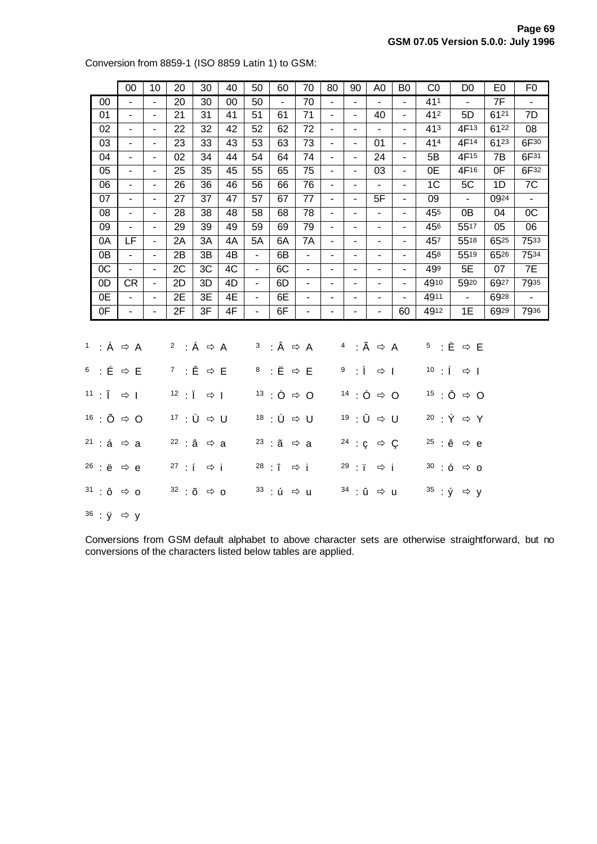|   |                                   | 00                                                                                                                                    | 10                       | 20                     | 30                           | 40              | 50                                            | 60                       | 70                       | 80                                             | 90                             | A <sub>0</sub>              | B <sub>0</sub>                  | C <sub>0</sub>                   | D <sub>0</sub>   | E <sub>0</sub> | F <sub>0</sub>   |  |
|---|-----------------------------------|---------------------------------------------------------------------------------------------------------------------------------------|--------------------------|------------------------|------------------------------|-----------------|-----------------------------------------------|--------------------------|--------------------------|------------------------------------------------|--------------------------------|-----------------------------|---------------------------------|----------------------------------|------------------|----------------|------------------|--|
|   | 00                                | $\blacksquare$                                                                                                                        | $\blacksquare$           | 20                     | 30                           | 00              | 50                                            | $\overline{\phantom{a}}$ | 70                       | $\blacksquare$                                 | $\blacksquare$                 | $\blacksquare$              | $\blacksquare$                  | 411                              | $\blacksquare$   | 7F             |                  |  |
|   | 01                                |                                                                                                                                       |                          | 21                     | 31                           | 41              | 51                                            | 61                       | 71                       |                                                | $\blacksquare$                 | 40                          |                                 | 412                              | 5D               | 6121           | 7D               |  |
|   | 02                                | $\blacksquare$                                                                                                                        | $\blacksquare$           | 22                     | 32                           | 42              | 52                                            | 62                       | 72                       | $\blacksquare$                                 | $\overline{\phantom{0}}$       | $\blacksquare$              | $\overline{\phantom{0}}$        | 413                              | 4F13             | 6122           | 08               |  |
|   | $\overline{03}$                   | $\overline{\phantom{a}}$                                                                                                              | $\overline{\phantom{a}}$ | $\overline{23}$        | $\overline{33}$              | $\overline{43}$ | $\overline{53}$                               | 63                       | $\overline{73}$          | $\overline{\phantom{a}}$                       | $\blacksquare$                 | 01                          | $\blacksquare$                  | 414                              | 4F14             | 6123           | 6F30             |  |
|   | 04                                | $\blacksquare$                                                                                                                        | $\blacksquare$           | 02                     | 34                           | 44              | 54                                            | 64                       | 74                       | $\blacksquare$                                 | $\blacksquare$                 | 24                          | $\blacksquare$                  | 5B                               | 4F <sub>15</sub> | 7B             | 6F <sub>31</sub> |  |
|   | 05                                | $\overline{\phantom{a}}$                                                                                                              | $\overline{\phantom{a}}$ | 25                     | 35                           | 45              | 55                                            | 65                       | 75                       | $\blacksquare$                                 | $\blacksquare$                 | 03                          | $\blacksquare$                  | 0E                               | 4F <sub>16</sub> | 0F             | 6F <sub>32</sub> |  |
|   | $\overline{06}$                   | $\mathbf{r}$                                                                                                                          | $\blacksquare$           | $\overline{26}$        | $\overline{36}$              | 46              | 56                                            | 66                       | 76                       | $\blacksquare$                                 | ÷.                             | $\blacksquare$              | $\sim$                          | 1C                               | 5C               | 1D             | $\overline{7C}$  |  |
|   | 07                                | $\blacksquare$                                                                                                                        | -                        | 27                     | 37                           | 47              | 57                                            | 67                       | 77                       | $\blacksquare$                                 | $\blacksquare$                 | 5F                          | $\blacksquare$                  | 09                               | $\blacksquare$   | 0924           | $\sim$           |  |
|   | 08                                | $\blacksquare$                                                                                                                        | $\blacksquare$           | 28                     | 38                           | 48              | 58                                            | 68                       | 78                       | $\blacksquare$                                 | $\blacksquare$                 | $\blacksquare$              | $\blacksquare$                  | 455                              | 0B               | 04             | 0C               |  |
|   | 09                                | $\blacksquare$                                                                                                                        | -                        | 29                     | 39                           | 49              | 59                                            | 69                       | 79                       |                                                |                                |                             |                                 | 456                              | 5517             | 05             | 06               |  |
|   | 0A                                | LF                                                                                                                                    | $\blacksquare$           | 2A                     | 3A                           | 4A              | 5A                                            | 6A                       | 7A                       | $\blacksquare$                                 | ٠                              | $\blacksquare$              | $\overline{a}$                  | 457                              | 5518             | 6525           | 7533             |  |
|   | 0B                                | $\blacksquare$                                                                                                                        | $\blacksquare$           | 2B                     | 3B                           | 4B              | $\sim$                                        | 6B                       | $\blacksquare$           | $\mathbf{r}$                                   | ÷.                             | $\blacksquare$              | $\sim$                          | 458                              | 5519             | 6526           | 7534             |  |
|   | OC                                |                                                                                                                                       |                          | 2C                     | 3C                           | 4C              | $\blacksquare$                                | 6C                       | $\overline{\phantom{a}}$ | -                                              |                                |                             |                                 | 499                              | 5E               | 07             | 7E               |  |
|   | 0D                                | <b>CR</b>                                                                                                                             | $\blacksquare$           | 2D                     | 3D                           | 4D              | $\blacksquare$                                | 6D                       | $\blacksquare$           | $\blacksquare$                                 | $\blacksquare$                 | $\blacksquare$              | $\blacksquare$                  | 4910                             | 5920             | 6927           | 7935             |  |
|   | 0E                                | $\blacksquare$                                                                                                                        | $\blacksquare$           | 2E                     | 3E                           | 4E              | $\blacksquare$                                | 6E                       | $\overline{\phantom{a}}$ | $\blacksquare$                                 | $\blacksquare$                 | $\overline{\phantom{a}}$    | $\blacksquare$                  | 4911                             | $\blacksquare$   | 6928           | $\omega$         |  |
|   | 0F                                | $\overline{\phantom{a}}$                                                                                                              | $\overline{\phantom{a}}$ | 2F                     | 3F                           | 4F              | $\blacksquare$                                | 6F                       | $\overline{\phantom{a}}$ | ۰                                              |                                | $\overline{\phantom{a}}$    | 60                              | 4912                             | 1E               | 6929           | 7936             |  |
|   |                                   |                                                                                                                                       |                          |                        |                              |                 |                                               |                          |                          |                                                |                                |                             |                                 |                                  |                  |                |                  |  |
|   |                                   | $1 \ \cdot \ \mathsf{A} \ \Rightarrow \ \mathsf{A}$<br>: $\mathsf{A} \Rightarrow \mathsf{A}$<br>: $\hat{A}$ $\Rightarrow$ A<br>2<br>3 |                          |                        |                              |                 |                                               |                          |                          |                                                |                                | : $\tilde{A} \Rightarrow A$ |                                 | $: E \Leftrightarrow E$<br>5     |                  |                |                  |  |
|   |                                   |                                                                                                                                       |                          |                        |                              |                 |                                               |                          |                          |                                                | 4                              |                             |                                 |                                  |                  |                |                  |  |
| 6 | ΞÉ                                | $\Rightarrow$ E                                                                                                                       |                          | $\mathbf{7}$           | $: \hat{E} \Rightarrow E$    |                 | ÷Ë<br>8<br>$\Leftrightarrow$ E                |                          |                          |                                                | 9<br>÷Ì<br>$Arr$ 1             |                             |                                 | $10 \div \mathbf{i}$<br>$Arr$ 1  |                  |                |                  |  |
|   |                                   |                                                                                                                                       |                          |                        |                              |                 |                                               |                          |                          |                                                |                                |                             |                                 |                                  |                  |                |                  |  |
|   | 11 : Î                            | $Arr$ 1                                                                                                                               |                          | $12 \div \ddot{\cdot}$ | Arr 1                        |                 | $13 \div \dot{O}$<br>$\Rightarrow$ O          |                          |                          | $14 \cdot \dot{\Omega}$<br>$\Leftrightarrow$ O |                                |                             | $15 \div \hat{O} \Rightarrow O$ |                                  |                  |                |                  |  |
|   | <sup>16</sup> : Õ $\Rightarrow$ O |                                                                                                                                       |                          |                        | $17 : \dot{U} \Rightarrow U$ |                 | $18 \cdot U$                                  |                          |                          |                                                | 19<br>ΞÛ<br>⇒ U                |                             |                                 | <sup>20</sup> : Ý ⇔ Υ            |                  |                |                  |  |
|   |                                   |                                                                                                                                       |                          |                        |                              |                 | $\Rightarrow$ U                               |                          |                          |                                                |                                |                             |                                 |                                  |                  |                |                  |  |
|   | $^{21}$ : á                       | $\Leftrightarrow$ a                                                                                                                   |                          | $22 \div \hat{a}$      | $\Leftrightarrow$ a          |                 | $23 \div \tilde{a}$<br>$\Leftrightarrow$ a    |                          |                          |                                                | 24<br>Ç<br>$\therefore$ C<br>⇨ |                             |                                 | 25<br>: ê<br>$\Leftrightarrow$ e |                  |                |                  |  |
|   |                                   |                                                                                                                                       |                          |                        |                              |                 |                                               |                          |                          |                                                |                                |                             |                                 |                                  |                  |                |                  |  |
|   | <sup>26</sup> :ë                  | $\Leftrightarrow$ e                                                                                                                   |                          | 27 : 1                 | $\Rightarrow$ i              |                 | $28 \div \hat{\mathbf{i}}$<br>$\Rightarrow$ i |                          |                          | $29 \div 7$<br>$\Rightarrow$ i                 |                                |                             | 30 : 6<br>$\Rightarrow$ 0       |                                  |                  |                |                  |  |
|   | $31 \div 6$                       |                                                                                                                                       |                          | $32 \div 0$            |                              |                 | 33 : 0<br>$34 : \hat{u}$<br>35<br>⇒ u         |                          |                          |                                                |                                |                             |                                 |                                  |                  |                |                  |  |
|   |                                   | ⇒ o                                                                                                                                   |                          |                        | $\Rightarrow$ 0              |                 |                                               |                          | ⇒ u                      |                                                |                                |                             |                                 | ÷Ý                               | Arr y            |                |                  |  |
|   | <sup>36</sup> : ÿ                 | ⇒ v                                                                                                                                   |                          |                        |                              |                 |                                               |                          |                          |                                                |                                |                             |                                 |                                  |                  |                |                  |  |
|   |                                   |                                                                                                                                       |                          |                        |                              |                 |                                               |                          |                          |                                                |                                |                             |                                 |                                  |                  |                |                  |  |

Conversion from 8859-1 (ISO 8859 Latin 1) to GSM:

Conversions from GSM default alphabet to above character sets are otherwise straightforward, but no conversions of the characters listed below tables are applied.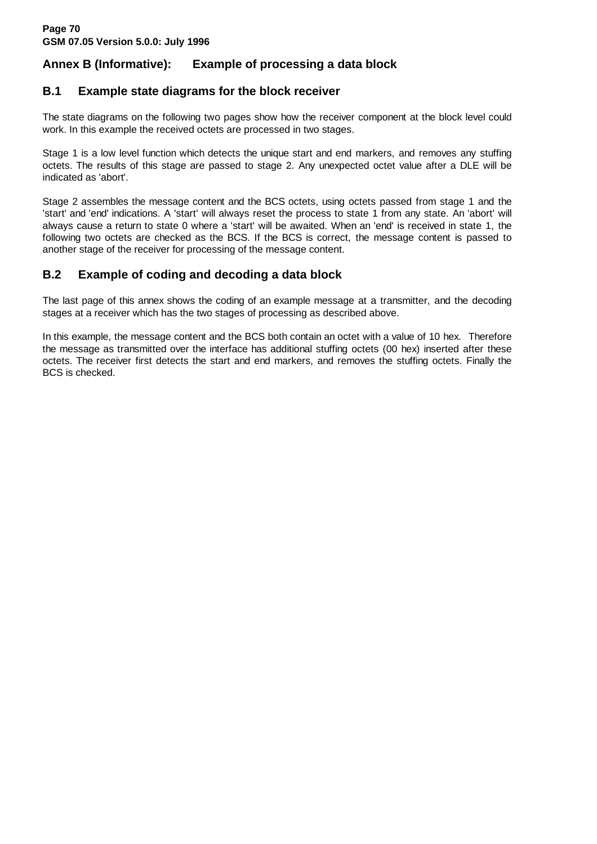# **Annex B (Informative): Example of processing a data block**

# **B.1 Example state diagrams for the block receiver**

The state diagrams on the following two pages show how the receiver component at the block level could work. In this example the received octets are processed in two stages.

Stage 1 is a low level function which detects the unique start and end markers, and removes any stuffing octets. The results of this stage are passed to stage 2. Any unexpected octet value after a DLE will be indicated as 'abort'.

Stage 2 assembles the message content and the BCS octets, using octets passed from stage 1 and the 'start' and 'end' indications. A 'start' will always reset the process to state 1 from any state. An 'abort' will always cause a return to state 0 where a 'start' will be awaited. When an 'end' is received in state 1, the following two octets are checked as the BCS. If the BCS is correct, the message content is passed to another stage of the receiver for processing of the message content.

# **B.2 Example of coding and decoding a data block**

The last page of this annex shows the coding of an example message at a transmitter, and the decoding stages at a receiver which has the two stages of processing as described above.

In this example, the message content and the BCS both contain an octet with a value of 10 hex. Therefore the message as transmitted over the interface has additional stuffing octets (00 hex) inserted after these octets. The receiver first detects the start and end markers, and removes the stuffing octets. Finally the BCS is checked.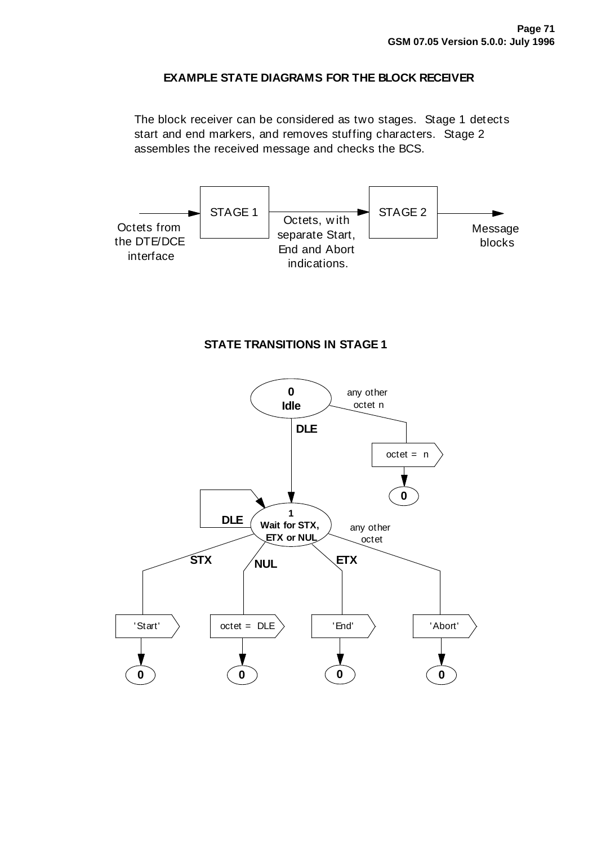# **EXAMPLE STATE DIAGRAMS FOR THE BLOCK RECEIVER**

The block receiver can be considered as two stages. Stage 1 detects start and end markers, and removes stuffing characters. Stage 2 assembles the received message and checks the BCS.



# **STATE TRANSITIONS IN STAGE 1**

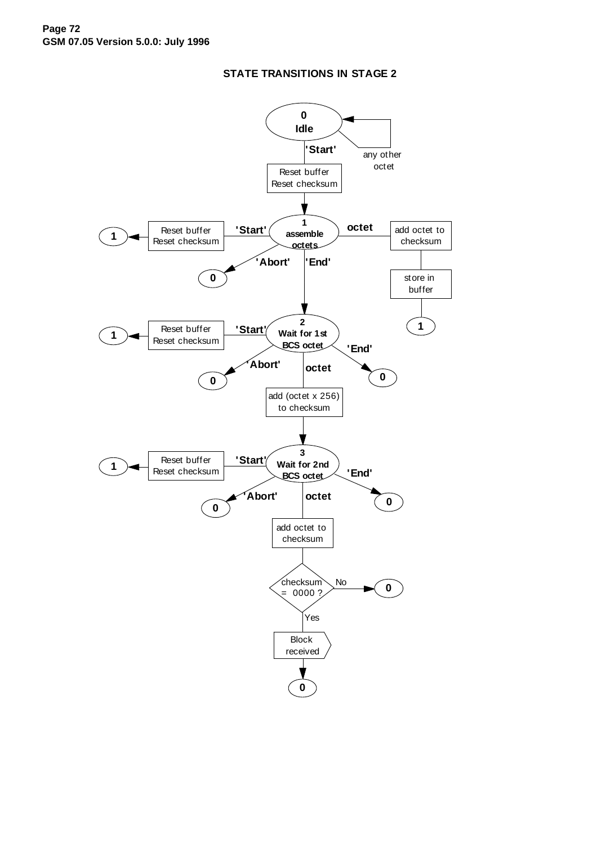**STATE TRANSITIONS IN STAGE 2**

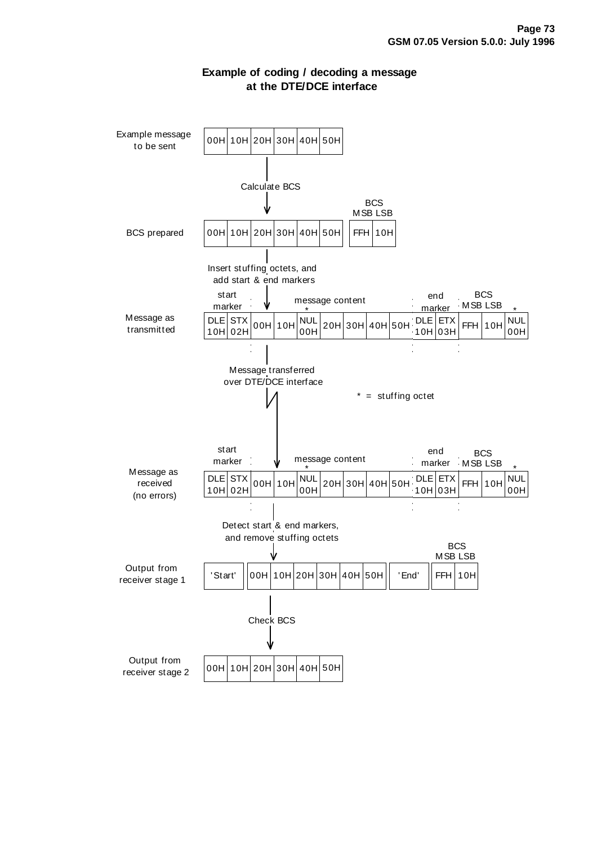

## **Example of coding / decoding a message at the DTE/DCE interface**